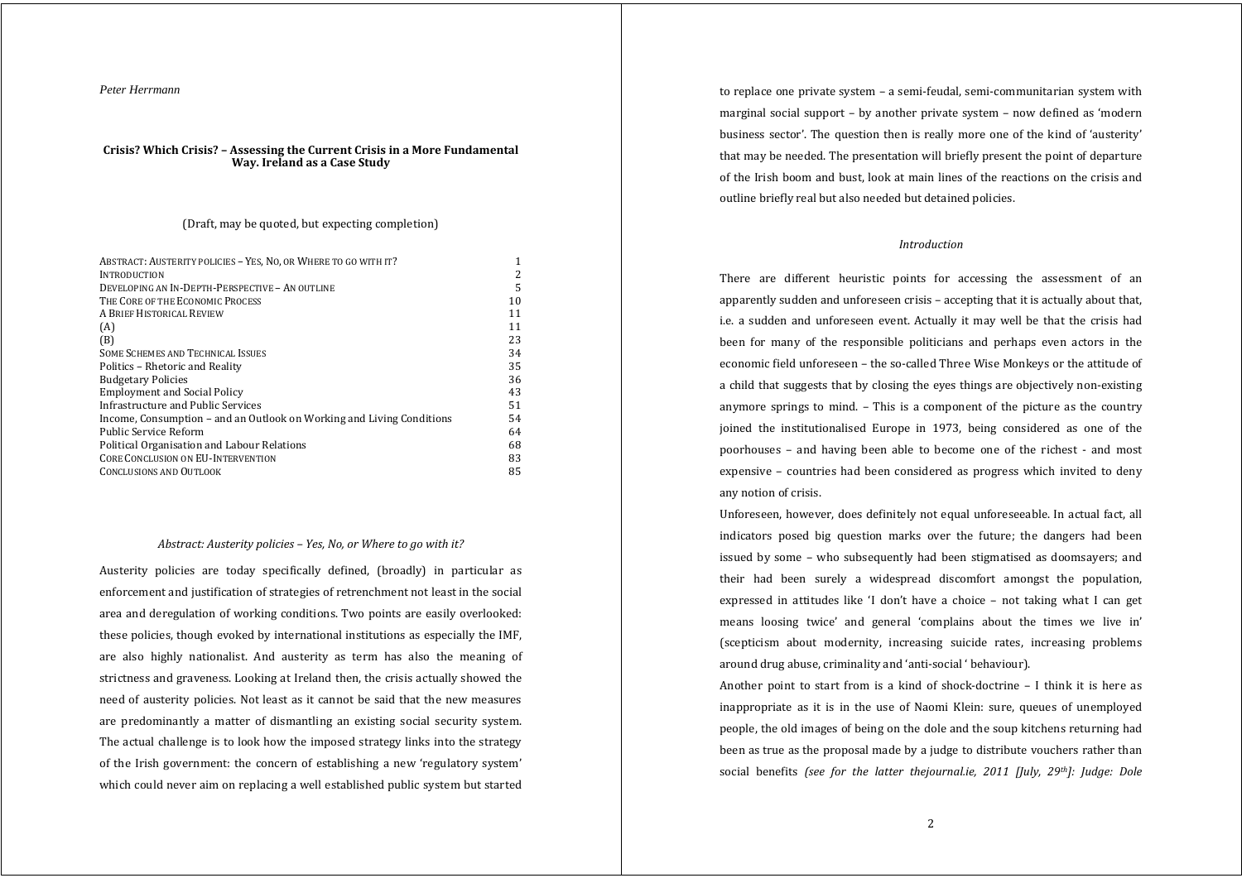## *Peter Herrmann*

#### **Crisis? Which Crisis? – Assessing the Current Crisis in <sup>a</sup> More Fundamental Way. Ireland as <sup>a</sup> Case Study**

## (Draft, may be quoted, but expecting completion)

| ABSTRACT: AUSTERITY POLICIES - YES, NO, OR WHERE TO GO WITH IT?       | 1  |
|-----------------------------------------------------------------------|----|
| <b>INTRODUCTION</b>                                                   | 2  |
| DEVELOPING AN IN-DEPTH-PERSPECTIVE - AN OUTLINE                       | 5  |
| THE CORE OF THE ECONOMIC PROCESS                                      | 10 |
| A BRIEF HISTORICAL REVIEW                                             | 11 |
| (A)                                                                   | 11 |
| (B)                                                                   | 23 |
| <b>SOME SCHEMES AND TECHNICAL ISSUES</b>                              | 34 |
| Politics - Rhetoric and Reality                                       | 35 |
| <b>Budgetary Policies</b>                                             | 36 |
| <b>Employment and Social Policy</b>                                   | 43 |
| Infrastructure and Public Services                                    | 51 |
| Income, Consumption – and an Outlook on Working and Living Conditions | 54 |
| <b>Public Service Reform</b>                                          | 64 |
| Political Organisation and Labour Relations                           | 68 |
| <b>CORE CONCLUSION ON EU-INTERVENTION</b>                             | 83 |
| <b>CONCLUSIONS AND OUTLOOK</b>                                        | 85 |

#### *Abstract: Austerity policies – Yes, No, or Where to go with it?*

Austerity policies are today specifically defined, (broadly) in particular as enforcement and justification of strategies of retrenchment not least in the social area and deregulation of working conditions. Two points are easily overlooked: these policies, though evoked by international institutions as especially the IMF, are also highly nationalist. And austerity as term has also the meaning of strictness and graveness. Looking at Ireland then, the crisis actually showed the need of austerity policies. Not least as it cannot be said that the new measures are predominantly <sup>a</sup> matter of dismantling an existing social security system. The actual challenge is to look how the imposed strategy links into the strategy of the Irish government: the concern of establishing <sup>a</sup> new 'regulatory system' which could never aim on replacing a well established public system but started

to replace one private system – a semi‐feudal, semi‐communitarian system with marginal social support – by another private system – now defined as 'modern business sector'. The question then is really more one of the kind of 'austerity' that may be needed. The presentation will briefly present the point of departure of the Irish boom and bust, look at main lines of the reactions on the crisis and outline briefly real but also needed but detained policies.

# *Introduction*

There are different heuristic points for accessing the assessment of an apparently sudden and unforeseen crisis – accepting that it is actually about that, i.e. <sup>a</sup> sudden and unforeseen event. Actually it may well be that the crisis had been for many of the responsible politicians and perhaps even actors in the economic field unforeseen – the so-called Three Wise Monkeys or the attitude of a child that suggests that by closing the eyes things are objectively non‐existing anymore springs to mind. – This is <sup>a</sup> component of the picture as the country joined the institutionalised Europe in 1973, being considered as one of the poorhouses - and having been able to become one of the richest - and most expensive – countries had been considered as progress which invited to deny any notion of crisis.

Unforeseen, however, does definitely not equal unforeseeable. In actual fact, all indicators posed big question marks over the future; the dangers had been issued by some – who subsequently had been stigmatised as doomsayers; and their had been surely <sup>a</sup> widespread discomfort amongs<sup>t</sup> the population, expressed in attitudes like 'I don't have <sup>a</sup> choice – not taking what I can ge<sup>t</sup> means loosing twice' and general 'complains about the times we live in' (scepticism about modernity, increasing suicide rates, increasing problems around drug abuse, criminality and 'anti‐social ' behaviour).

Another point to start from is a kind of shock-doctrine  $-1$  think it is here as inappropriate as it is in the use of Naomi Klein: sure, queues of unemployed people, the old images of being on the dole and the soup kitchens returning had been as true as the proposal made by a judge to distribute vouchers rather than social benefits *(see for the latter thejournal.ie, 2011 [July, 29th]: Judge: Dole*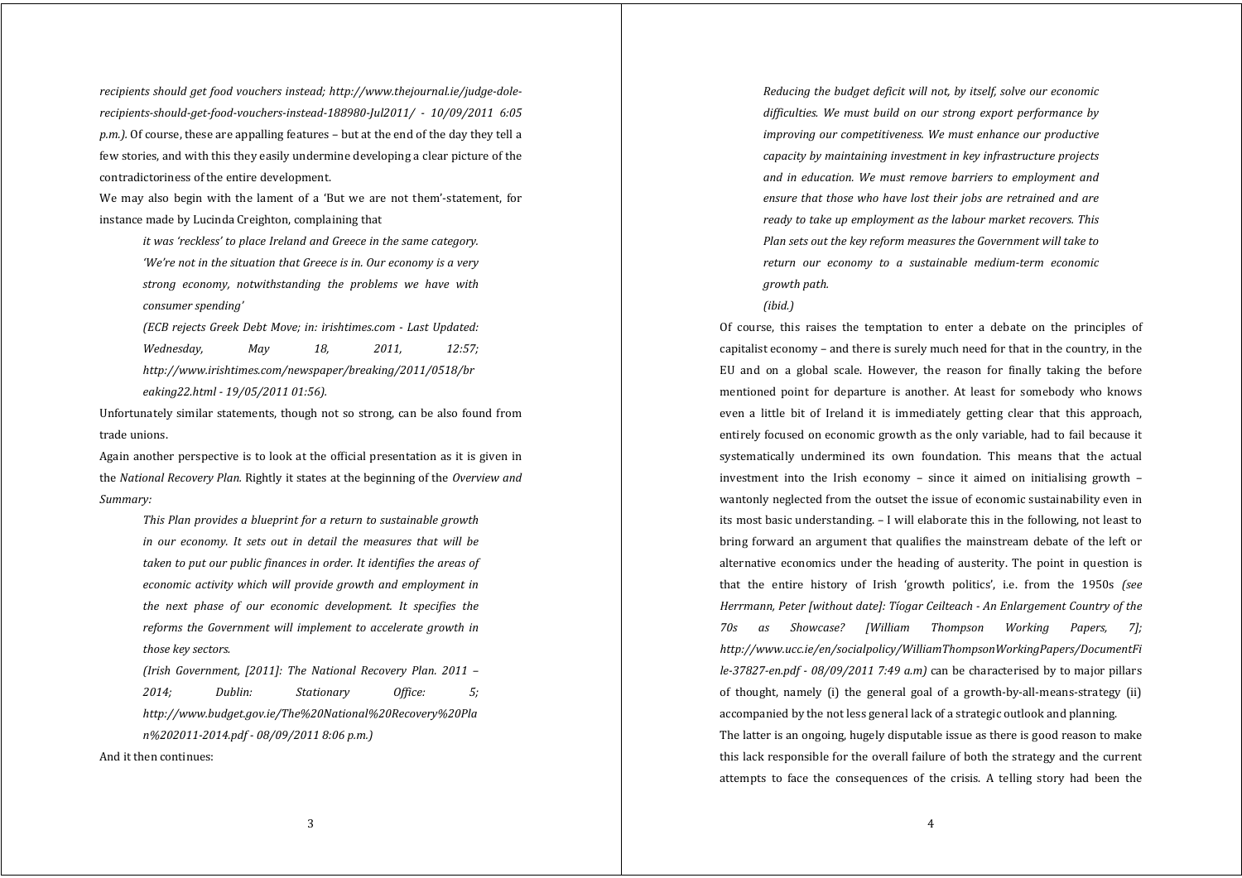*recipients should ge<sup>t</sup> food vouchers instead; http://www.thejournal.ie/judgedolerecipientsshouldgetfoodvouchersinstead188980Jul2011/ 10/09/2011 6:05 p.m.).* Of course, these are appalling features – but at the end of the day they tell a few stories, and with this they easily undermine developing a clear picture of the contradictoriness of the entire development.

We may also begin with the lament of a 'But we are not them'-statement, for instance made by Lucinda Creighton, complaining that

*it was 'reckless' to place Ireland and Greece in the same category. 'We're not in the situation that Greece is in. Our economy is <sup>a</sup> very strong economy, notwithstanding the problems we have with consumer spending'*

*(ECB rejects Greek Debt Move; in: irishtimes.com Last Updated: Wednesday, May 18, 2011, 12:57; http://www.irishtimes.com/newspaper/breaking/2011/0518/br eaking22.html 19/05/2011 01:56).*

Unfortunately similar statements, though not so strong, can be also found from trade unions.

Again another perspective is to look at the official presentation as it is given in the *National Recovery Plan.* Rightly it states at the beginning of the *Overview and Summary:*

*This Plan provides <sup>a</sup> blueprint for <sup>a</sup> return to sustainable growth in our economy. It sets out in detail the measures that will be taken to put our public finances in order. It identifies the areas of economic activity which will provide growth and employment in the next phase of our economic development. It specifies the reforms the Government will implement to accelerate growth in those key sectors.*

*(Irish Government, [2011]: The National Recovery Plan. 2011 – 2014; Dublin: Stationary Office: 5; http://www.budget.gov.ie/The%20National%20Recovery%20Pla n%2020112014.pdf 08/09/2011 8:06 p.m.)*

And it then continues:

*Reducing the budget deficit will not, by itself, solve our economic difficulties. We must build on our strong export performance by improving our competitiveness. We must enhance our productive capacity by maintaining investment in key infrastructure projects and in education. We must remove barriers to employment and ensure that those who have lost their jobs are retrained and are ready to take up employment as the labour market recovers. This Plan sets out the key reform measures the Government will take to return our economy to <sup>a</sup> sustainable mediumterm economic growth path.*

*(ibid.)*

Of course, this raises the temptation to enter <sup>a</sup> debate on the principles of capitalist economy – and there is surely much need for that in the country, in the EU and on <sup>a</sup> global scale. However, the reason for finally taking the before mentioned point for departure is another. At least for somebody who knows even a little bit of Ireland it is immediately getting clear that this approach, entirely focused on economic growth as the only variable, had to fail because it systematically undermined its own foundation. This means that the actual investment into the Irish economy  $-$  since it aimed on initialising growth  $$ wantonly neglected from the outset the issue of economic sustainability even in its most basic understanding. – I will elaborate this in the following, not least to bring forward an argumen<sup>t</sup> that qualifies the mainstream debate of the left or alternative economics under the heading of austerity. The point in question is that the entire history of Irish 'growth politics', i.e. from the 1950s *(see Herrmann, Peter [without date]: Tíogar Ceilteach An Enlargement Country of the 70s as Showcase? [William Thompson Working Papers, 7]; http://www.ucc.ie/en/socialpolicy/WilliamThompsonWorkingPapers/DocumentFi le37827en.pdf 08/09/2011 7:49 a.m)* can be characterised by to major pillars of thought, namely (i) the general goal of <sup>a</sup> growth‐by‐all‐means‐strategy (ii) accompanied by the not less general lack of a strategic outlook and planning. The latter is an ongoing, hugely disputable issue as there is good reason to make this lack responsible for the overall failure of both the strategy and the current attempts to face the consequences of the crisis. A telling story had been the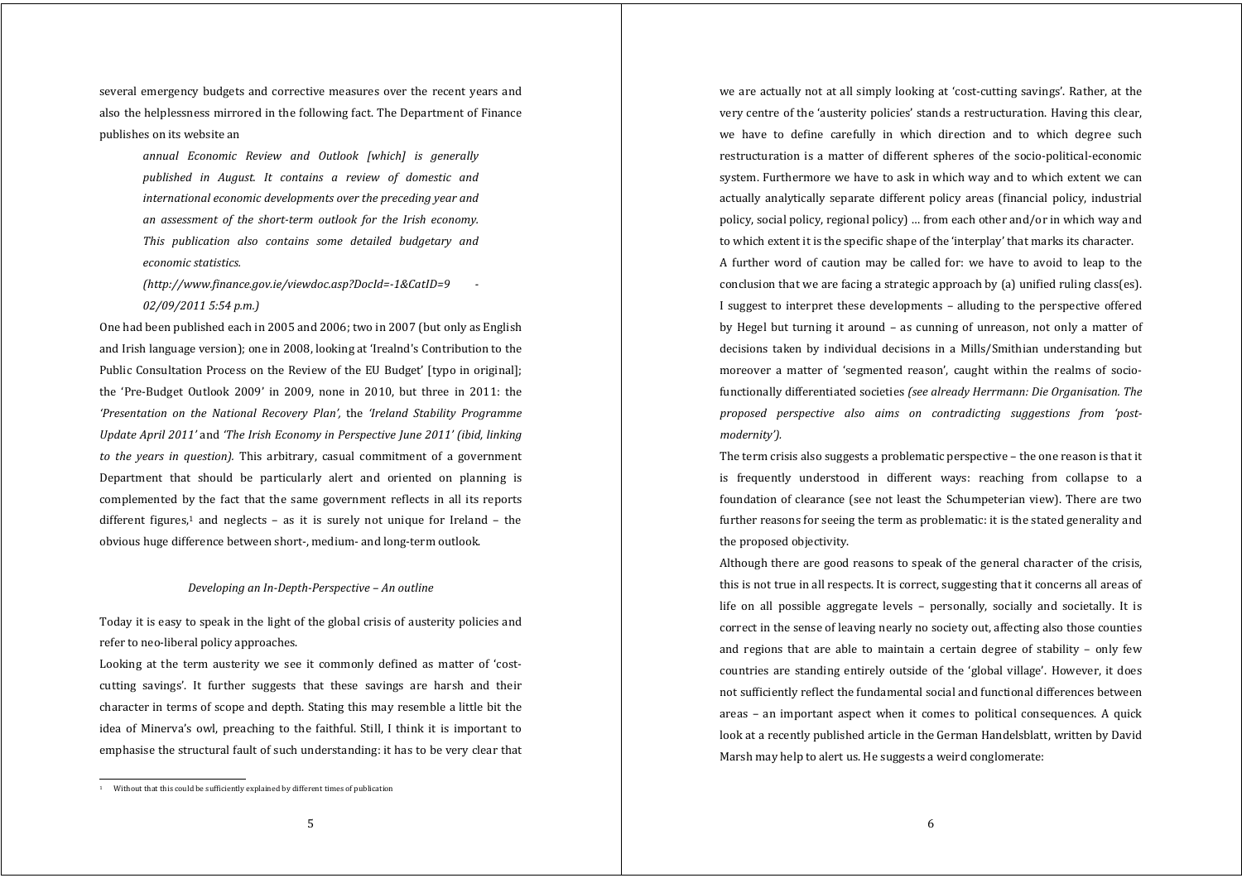several emergency budgets and corrective measures over the recent vears and also the helplessness mirrored in the following fact. The Department of Finance publishes on its website an

*annual Economic Review and Outlook [which] is generally published in August. It contains <sup>a</sup> review of domestic and international economic developments over the preceding year and an assessment of the shortterm outlook for the Irish economy. This publication also contains some detailed budgetary and economic statistics.*

*(http://www.finance.gov.ie/viewdoc.asp?DocId=1&CatID=9 02/09/2011 5:54 p.m.)*

One had been published each in 2005 and 2006; two in 2007 (but only as English and Irish language version); one in 2008, looking at 'Irealnd's Contribution to the Public Consultation Process on the Review of the EU Budget' [typo in original]; the 'Pre‐Budget Outlook 2009' in 2009, none in 2010, but three in 2011: the *'Presentation on the National Recovery Plan',* the *'Ireland Stability Programme Update April 2011'* and *'The Irish Economy in Perspective June 2011' (ibid, linking to the years in question).* This arbitrary, casual commitment of <sup>a</sup> governmen<sup>t</sup> Department that should be particularly alert and oriented on planning is complemented by the fact that the same governmen<sup>t</sup> reflects in all its reports different figures,<sup>1</sup> and neglects  $-$  as it is surely not unique for Ireland  $-$  the obvious huge difference between short‐, medium‐ and long‐term outlook.

#### *Developing an InDepthPerspective – An outline*

Today it is easy to speak in the light of the global crisis of austerity policies and refer to neo‐liberal policy approaches.

Looking at the term austerity we see it commonly defined as matter of 'costcutting savings'. It further suggests that these savings are harsh and their character in terms of scope and depth. Stating this may resemble a little bit the idea of Minerva's owl, preaching to the faithful. Still, I think it is important to emphasise the structural fault of such understanding: it has to be very clear that

<sup>1</sup> Without that this could be sufficiently explained by different times of publication

we are actually not at all simply looking at 'cost-cutting savings'. Rather, at the very centre of the 'austerity policies' stands a restructuration. Having this clear, we have to define carefully in which direction and to which degree such restructuration is a matter of different spheres of the socio-political-economic system. Furthermore we have to ask in which way and to which extent we can actually analytically separate different policy areas (financial policy, industrial policy, social policy, regional policy) … from each other and/or in which way and to which extent it is the specific shape of the 'interplay' that marks its character.

A further word of caution may be called for: we have to avoid to leap to the conclusion that we are facing a strategic approach by (a) unified ruling class(es). I sugges<sup>t</sup> to interpret these developments – alluding to the perspective offered by Hegel but turning it around – as cunning of unreason, not only a matter of decisions taken by individual decisions in <sup>a</sup> Mills/Smithian understanding but moreover a matter of 'segmented reason', caught within the realms of sociofunctionally differentiated societies *(see already Herrmann: Die Organisation. The proposed perspective also aims on contradicting suggestions from 'postmodernity').*

The term crisis also suggests a problematic perspective – the one reason is that it is frequently understood in different ways: reaching from collapse to <sup>a</sup> foundation of clearance (see not least the Schumpeterian view). There are two further reasons for seeing the term as problematic: it is the stated generality and the proposed objectivity.

Although there are good reasons to speak of the general character of the crisis, this is not true in all respects. It is correct, suggesting that it concerns all areas of life on all possible aggregate levels – personally, socially and societally. It is correct in the sense of leaving nearly no society out, affecting also those counties and regions that are able to maintain a certain degree of stability - only few countries are standing entirely outside of the 'global village'. However, it does not sufficiently reflect the fundamental social and functional differences between areas – an important aspect when it comes to political consequences. A quick look at a recently published article in the German Handelsblatt, written by David Marsh may help to alert us. He suggests a weird conglomerate: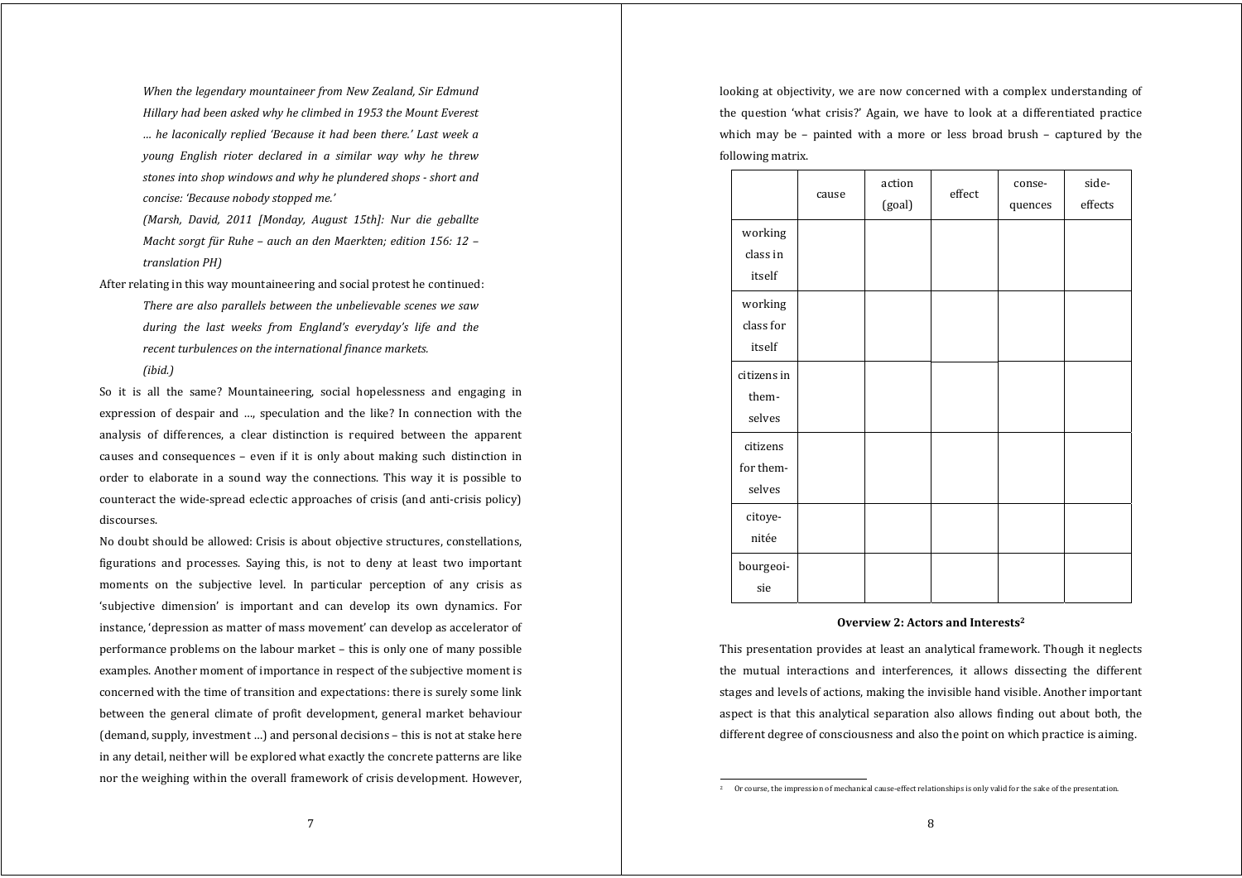*When the legendary mountaineer from New Zealand, Sir Edmund Hillary had been asked why he climbed in 1953 the Mount Everest … he laconically replied 'Because it had been there.' Last week <sup>a</sup> young English rioter declared in <sup>a</sup> similar way why he threw stones into shop windows and why he plundered shops short and concise: 'Because nobody stopped me.'*

*(Marsh, David, 2011 [Monday, August 15th]: Nur die geballte Macht sorg<sup>t</sup> für Ruhe – auch an den Maerkten; edition 156: 12 – translation PH)*

After relating in this way mountaineering and social protest he continued: *There are also parallels between the unbelievable scenes we saw during the last weeks from England's everyday's life and the recent turbulences on the international finance markets.*

*(ibid.)*

So it is all the same? Mountaineering, social hopelessness and engaging in expression of despair and …, speculation and the like? In connection with the analysis of differences, <sup>a</sup> clear distinction is required between the apparent causes and consequences – even if it is only about making such distinction in order to elaborate in <sup>a</sup> sound way the connections. This way it is possible to counteract the wide‐spread eclectic approaches of crisis (and anti‐crisis policy) discourses.

No doubt should be allowed: Crisis is about objective structures, constellations, figurations and processes. Saying this, is not to deny at least two important moments on the subjective level. In particular perception of any crisis as 'subjective dimension' is important and can develop its own dynamics. For instance, 'depression as matter of mass movement' can develop as accelerator of performance problems on the labour market – this is only one of many possible examples. Another moment of importance in respect of the subjective moment is concerned with the time of transition and expectations: there is surely some link between the general climate of profit development, general market behaviour (demand, supply, investment …) and personal decisions – this is not at stake here in any detail, neither will be explored what exactly the concrete patterns are like nor the weighing within the overall framework of crisis development. However,

looking at objectivity, we are now concerned with a complex understanding of the question 'what crisis?' Again, we have to look at <sup>a</sup> differentiated practice which may be - painted with a more or less broad brush - captured by the following matrix.

|                                 | cause | action<br>(goal) | $\operatorname{\mathsf{effect}}$ | conse-<br>quences | side-<br>effects |
|---------------------------------|-------|------------------|----------------------------------|-------------------|------------------|
| working<br>class in<br>itself   |       |                  |                                  |                   |                  |
| working<br>class for<br>itself  |       |                  |                                  |                   |                  |
| citizens in<br>them-<br>selves  |       |                  |                                  |                   |                  |
| citizens<br>for them-<br>selves |       |                  |                                  |                   |                  |
| citoye-<br>nitée                |       |                  |                                  |                   |                  |
| bourgeoi-<br>sie                |       |                  |                                  |                   |                  |

#### **Overview 2: Actors and Interests2**

This presentation provides at least an analytical framework. Though it neglects the mutual interactions and interferences, it allows dissecting the different stages and levels of actions, making the invisible hand visible. Another important aspect is that this analytical separation also allows finding out about both, the different degree of consciousness and also the point on which practice is aiming.

Or course, the impression of mechanical cause-effect relationships is only valid for the sake of the presentation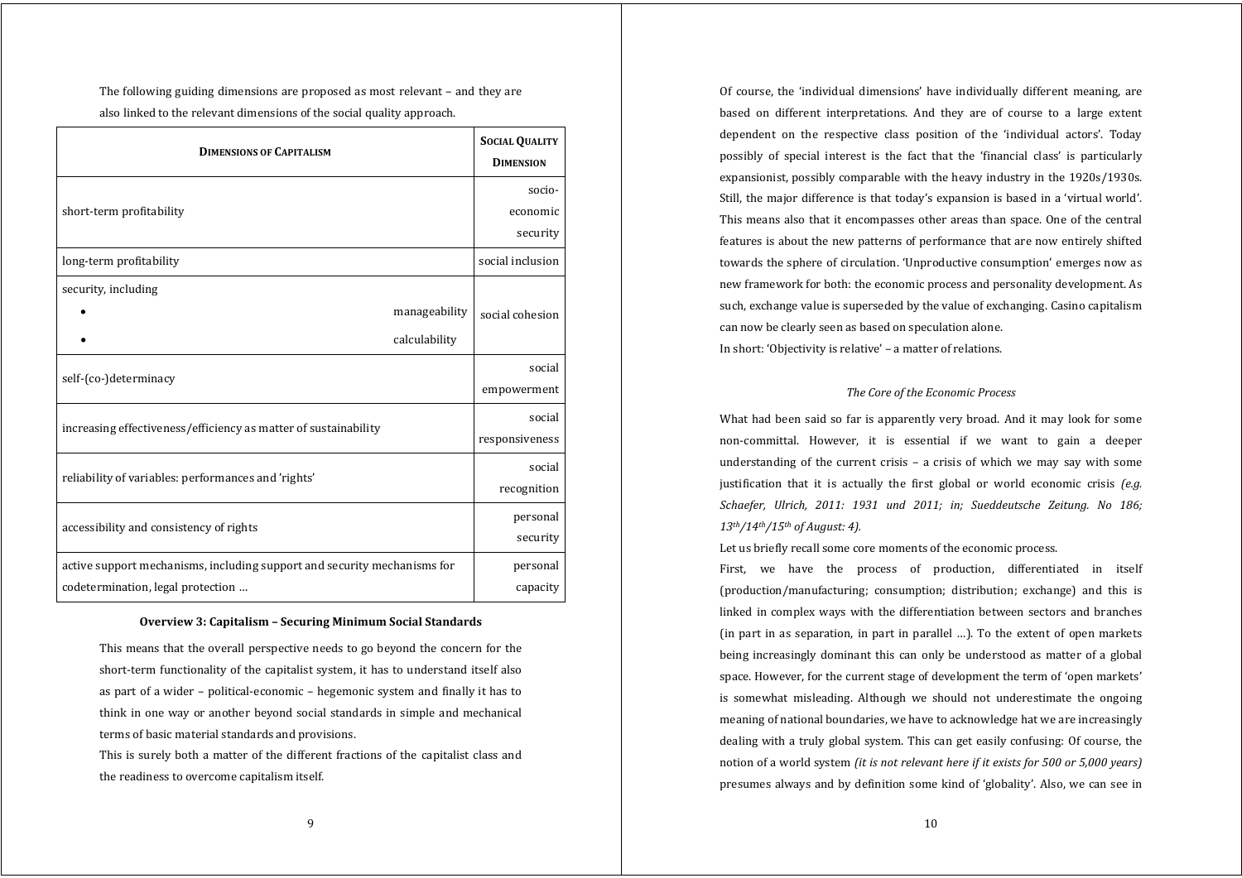The following guiding dimensions are proposed as most relevant – and they are also linked to the relevant dimensions of the social quality approach.

| <b>DIMENSIONS OF CAPITALISM</b>                                          | <b>SOCIAL QUALITY</b><br><b>DIMENSION</b> |
|--------------------------------------------------------------------------|-------------------------------------------|
| short-term profitability                                                 | socio-<br>economic                        |
|                                                                          | security                                  |
| long-term profitability                                                  | social inclusion                          |
| security, including                                                      |                                           |
| manageability                                                            | social cohesion                           |
| calculability                                                            |                                           |
| self-(co-)determinacy                                                    | social                                    |
|                                                                          | empowerment                               |
| increasing effectiveness/efficiency as matter of sustainability          | social                                    |
|                                                                          | responsiveness                            |
| reliability of variables: performances and 'rights'                      | social                                    |
|                                                                          | recognition                               |
| accessibility and consistency of rights                                  | personal                                  |
|                                                                          | security                                  |
| active support mechanisms, including support and security mechanisms for | personal                                  |
| codetermination, legal protection                                        | capacity                                  |

### **Overview 3: Capitalism – Securing Minimum Social Standards**

This means that the overall perspective needs to go beyond the concern for the short-term functionality of the capitalist system, it has to understand itself also as part of a wider – political‐economic – hegemonic system and finally it has to think in one way or another beyond social standards in simple and mechanical terms of basic material standards and provisions.

This is surely both a matter of the different fractions of the capitalist class and the readiness to overcome capitalism itself.

Of course, the 'individual dimensions' have individually different meaning, are based on different interpretations. And they are of course to <sup>a</sup> large extent dependent on the respective class position of the 'individual actors'. Today possibly of special interest is the fact that the 'financial class' is particularly expansionist, possibly comparable with the heavy industry in the 1920s/1930s. Still, the major difference is that today's expansion is based in a 'virtual world'. This means also that it encompasses other areas than space. One of the central features is about the new patterns of performance that are now entirely shifted towards the sphere of circulation. 'Unproductive consumption' emerges now as new framework for both: the economic process and personality development. As such, exchange value is superseded by the value of exchanging. Casino capitalism can now be clearly seen as based on speculation alone. In short: 'Objectivity is relative' – a matter of relations.

# *The Core of the Economic Process*

What had been said so far is apparently very broad. And it may look for some non‐committal. However, it is essential if we want to gain <sup>a</sup> deeper understanding of the current crisis – a crisis of which we may say with some justification that it is actually the first global or world economic crisis *(e.g. Schaefer, Ulrich, 2011: 1931 und 2011; in; Sueddeutsche Zeitung. No 186; 13th/14th/15th of August: 4).*

Let us briefly recall some core moments of the economic process.

First, we have the process of production, differentiated in itself (production/manufacturing; consumption; distribution; exchange) and this is linked in complex ways with the differentiation between sectors and branches (in part in as separation, in part in parallel …). To the extent of open markets being increasingly dominant this can only be understood as matter of <sup>a</sup> global space. However, for the current stage of development the term of 'open markets' is somewhat misleading. Although we should not underestimate the ongoing meaning of national boundaries, we have to acknowledge hat we are increasingly dealing with a truly global system. This can get easily confusing: Of course, the notion of a world system *(it is not relevant here if it exists for 500 or 5,000 years)* presumes always and by definition some kind of 'globality'. Also, we can see in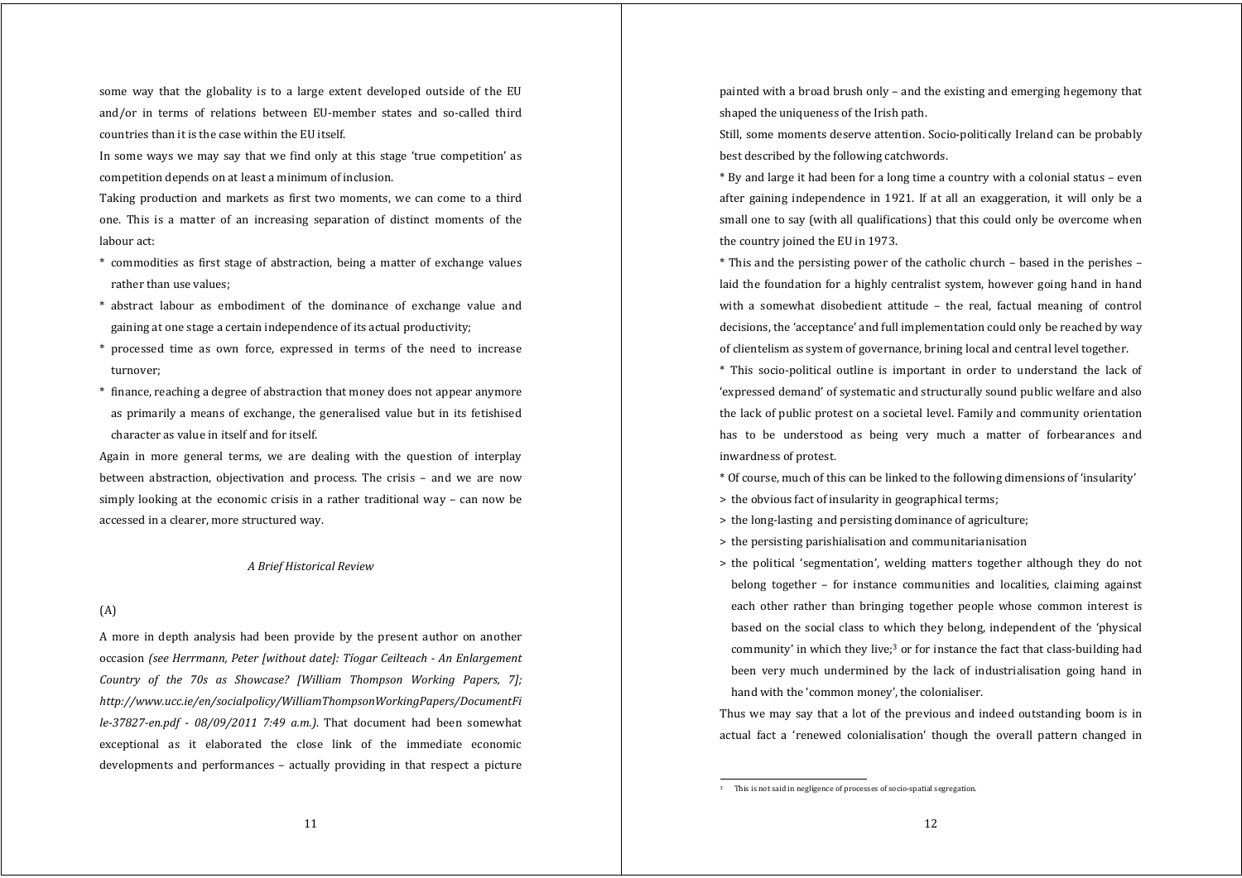some way that the globality is to a large extent developed outside of the EU and/or in terms of relations between EU-member states and so-called third countries than it is the case within the EU itself.

In some ways we may say that we find only at this stage 'true competition' as competition depends on at least a minimum of inclusion.

Taking production and markets as first two moments, we can come to <sup>a</sup> third one. This is <sup>a</sup> matter of an increasing separation of distinct moments of the labour act:

- \* commodities as first stage of abstraction, being <sup>a</sup> matter of exchange values rather than use values;
- \* abstract labour as embodiment of the dominance of exchange value and gaining at one stage a certain independence of its actual productivity;
- \* processed time as own force, expressed in terms of the need to increase turnover;
- \* finance, reaching a degree of abstraction that money does not appear anymore as primarily a means of exchange, the generalised value but in its fetishised character as value in itself and for itself.

Again in more general terms, we are dealing with the question of interplay between abstraction, objectivation and process. The crisis - and we are now simply looking at the economic crisis in a rather traditional way – can now be accessed in a clearer, more structured way.

# *A Brief Historical Review*

# (A)

A more in depth analysis had been provide by the present author on another occasion *(see Herrmann, Peter [without date]: Tíogar Ceilteach An Enlargement Country of the 70s as Showcase? [William Thompson Working Papers, 7]; http://www.ucc.ie/en/socialpolicy/WilliamThompsonWorkingPapers/DocumentFi le37827en.pdf 08/09/2011 7:49 a.m.)*. That document had been somewhat exceptional as it elaborated the close link of the immediate economic developments and performances – actually providing in that respect <sup>a</sup> picture painted with a broad brush only – and the existing and emerging hegemony that shaped the uniqueness of the Irish path.

Still, some moments deserve attention. Socio-politically Ireland can be probably best described by the following catchwords.

\* By and large it had been for a long time a country with a colonial status – even after gaining independence in 1921. If at all an exaggeration, it will only be <sup>a</sup> small one to say (with all qualifications) that this could only be overcome when the country joined the EU in 1973.

\* This and the persisting power of the catholic church – based in the perishes – laid the foundation for a highly centralist system, however going hand in hand with a somewhat disobedient attitude - the real, factual meaning of control decisions, the 'acceptance' and full implementation could only be reached by way of clientelism as system of governance, brining local and central level together.

\* This socio‐political outline is important in order to understand the lack of 'expressed demand' of systematic and structurally sound public welfare and also the lack of public protest on a societal level. Family and community orientation has to be understood as being very much <sup>a</sup> matter of forbearances and inwardness of protest.

- \* Of course, much of this can be linked to the following dimensions of 'insularity'
- <sup>&</sup>gt; the obvious fact of insularity in geographical terms;
- <sup>&</sup>gt; the long‐lasting and persisting dominance of agriculture;
- <sup>&</sup>gt; the persisting parishialisation and communitarianisation
- <sup>&</sup>gt; the political 'segmentation', welding matters together although they do not belong together – for instance communities and localities, claiming against each other rather than bringing together people whose common interest is based on the social class to which they belong, independent of the 'physical community' in which they live;3 or for instance the fact that class‐building had been very much undermined by the lack of industrialisation going hand in hand with the 'common money', the colonialiser.

Thus we may say that a lot of the previous and indeed outstanding boom is in actual fact <sup>a</sup> 'renewed colonialisation' though the overall pattern changed in

This is not said in negligence of processes of socio-spatial segregation.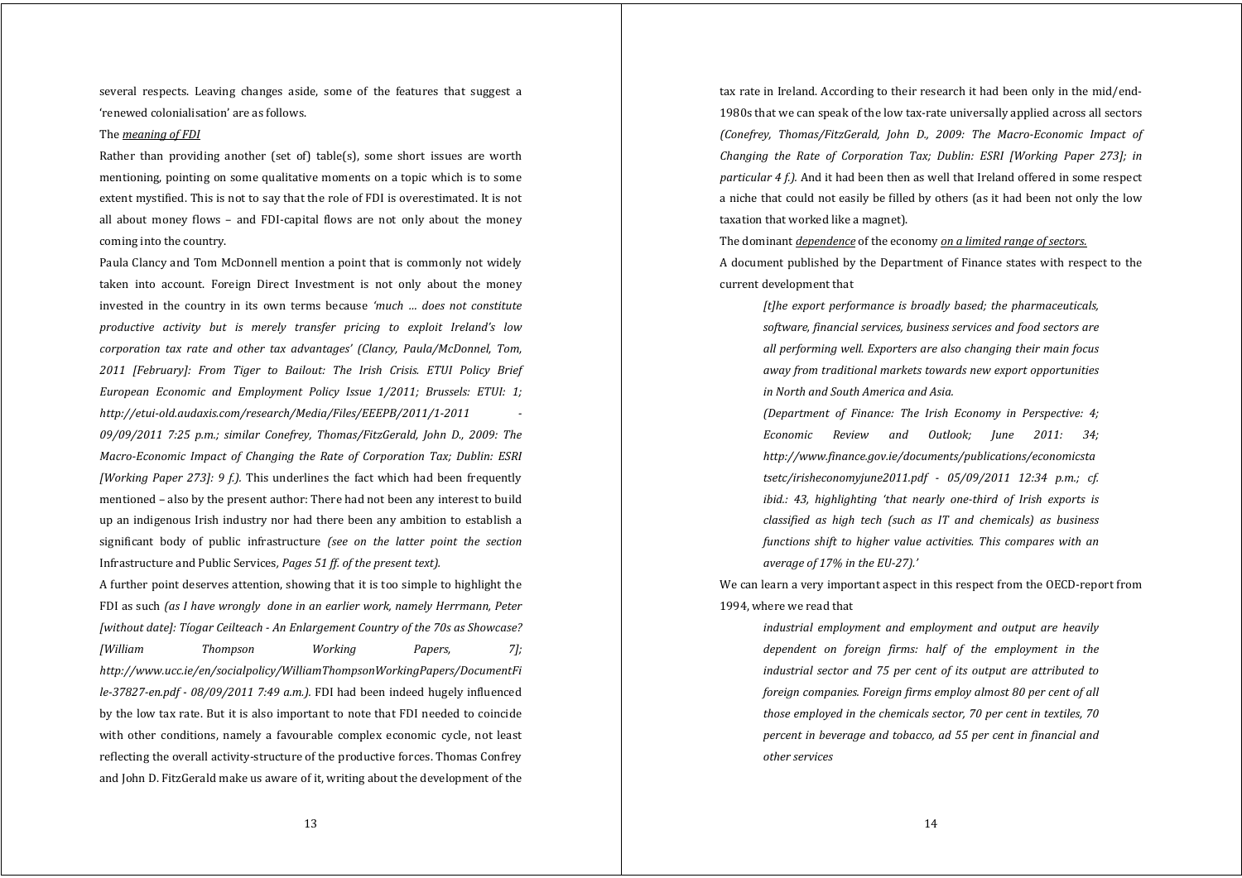several respects. Leaving changes aside, some of the features that sugges<sup>t</sup> <sup>a</sup> 'renewed colonialisation' are as follows.

#### The *meaning of FDI*

Rather than providing another (set of) table(s), some short issues are worth mentioning, pointing on some qualitative moments on a topic which is to some extent mystified. This is not to say that the role of FDI is overestimated. It is not all about money flows – and FDI‐capital flows are not only about the money coming into the country.

Paula Clancy and Tom McDonnell mention a point that is commonly not widely taken into account. Foreign Direct Investment is not only about the money invested in the country in its own terms because *'much … does not constitute productive activity but is merely transfer pricing to exploit Ireland's low corporation tax rate and other tax advantages' (Clancy, Paula/McDonnel, Tom, 2011 [February]: From Tiger to Bailout: The Irish Crisis. ETUI Policy Brief European Economic and Employment Policy Issue 1/2011; Brussels: ETUI: 1; http://etuiold.audaxis.com/research/Media/Files/EEEPB/2011/12011 09/09/2011 7:25 p.m.; similar Conefrey, Thomas/FitzGerald, John D., 2009: The MacroEconomic Impact of Changing the Rate of Corporation Tax; Dublin: ESRI [Working Paper 273]: 9 f.).* This underlines the fact which had been frequently mentioned – also by the present author: There had not been any interest to build up an indigenous Irish industry nor had there been any ambition to establish a significant body of public infrastructure *(see on the latter point the section* Infrastructure and Public Services*, Pages 51 ff. of the present text).*

A further point deserves attention, showing that it is too simple to highlight the FDI as such *(as I have wrongly done in an earlier work, namely Herrmann, Peter [without date]: Tíogar Ceilteach An Enlargement Country of the 70s as Showcase? [William Thompson Working Papers, 7]; http://www.ucc.ie/en/socialpolicy/WilliamThompsonWorkingPapers/DocumentFi le37827en.pdf 08/09/2011 7:49 a.m.).* FDI had been indeed hugely influenced by the low tax rate. But it is also important to note that FDI needed to coincide with other conditions, namely a favourable complex economic cycle, not least reflecting the overall activity‐structure of the productive forces. Thomas Confrey and John D. FitzGerald make us aware of it, writing about the development of the

tax rate in Ireland. According to their research it had been only in the mid/end‐ 1980s that we can speak of the low tax‐rate universally applied across all sectors *(Conefrey, Thomas/FitzGerald, John D., 2009: The MacroEconomic Impact of Changing the Rate of Corporation Tax; Dublin: ESRI [Working Paper 273]; in particular 4 f.).* And it had been then as well that Ireland offered in some respect a niche that could not easily be filled by others (as it had been not only the low taxation that worked like a magnet).

The dominant *dependence* of the economy *on <sup>a</sup> limited range of sectors.*

A document published by the Department of Finance states with respect to the current development that

*[t]he export performance is broadly based; the pharmaceuticals, software, financial services, business services and food sectors are all performing well. Exporters are also changing their main focus away from traditional markets towards new export opportunities in North and South America and Asia.*

*(Department of Finance: The Irish Economy in Perspective: 4; Economic Review and Outlook; June 2011: 34; http://www.finance.gov.ie/documents/publications/economicsta tsetc/irisheconomyjune2011.pdf 05/09/2011 12:34 p.m.; cf. ibid.: 43, highlighting 'that nearly onethird of Irish exports is classified as high tech (such as IT and chemicals) as business functions shift to higher value activities. This compares with an average of 17% in the EU27).'*

We can learn a very important aspect in this respect from the OECD-report from 1994, where we read that

*industrial employment and employment and output are heavily dependent on foreign firms: half of the employment in the industrial sector and 75 per cent of its output are attributed to foreign companies. Foreign firms employ almost 80 per cent of all those employed in the chemicals sector, 70 per cent in textiles, 70 percent in beverage and tobacco, ad 55 per cent in financial and other services*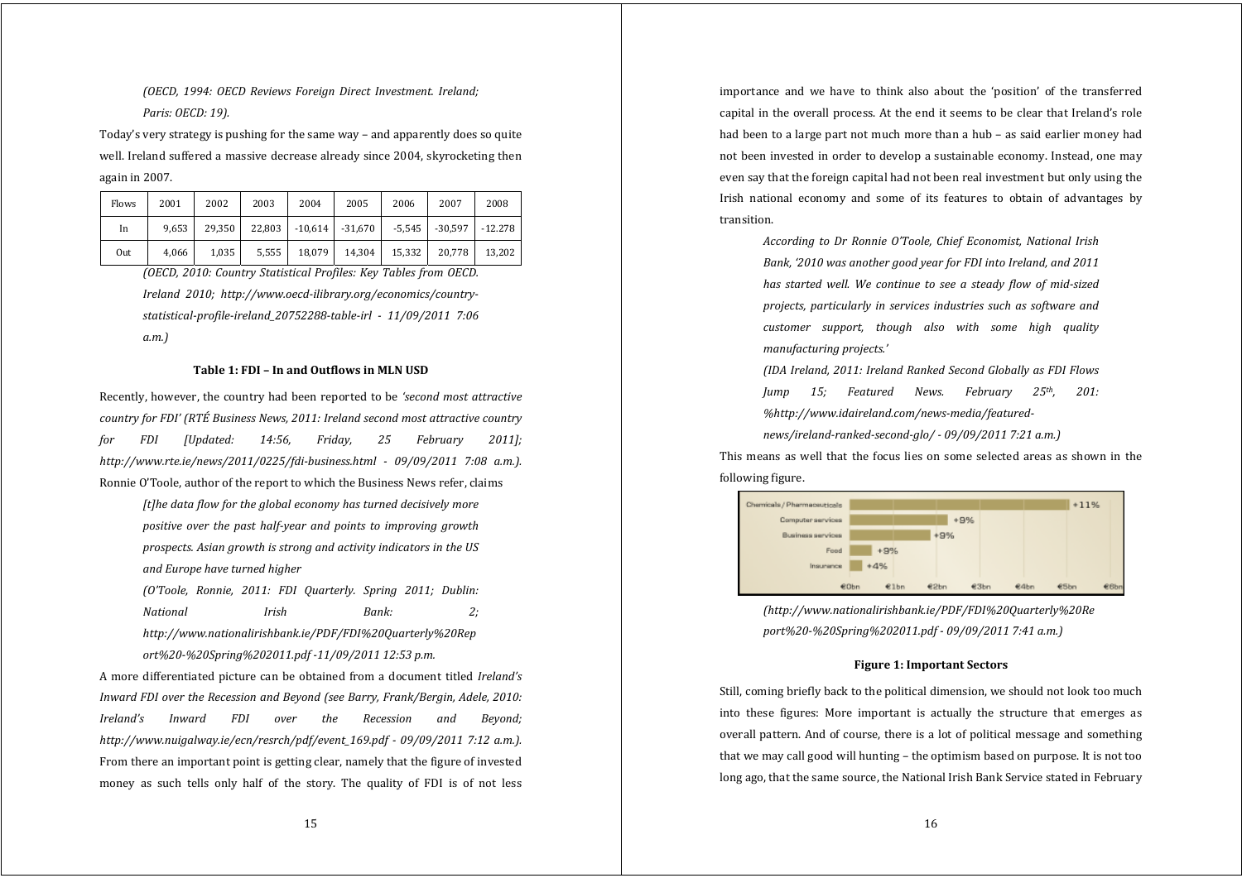*(OECD, 1994: OECD Reviews Foreign Direct Investment. Ireland; Paris: OECD: 19).*

Today's very strategy is pushing for the same way – and apparently does so quite well. Ireland suffered a massive decrease already since 2004, skyrocketing then again in 2007.

| <b>Flows</b> | 2001  | 2002   | 2003  | 2004                     | 2005   | 2006   | 2007               | 2008      |
|--------------|-------|--------|-------|--------------------------|--------|--------|--------------------|-----------|
| In           | 9.653 | 29.350 |       | $22,803$ -10,614 -31,670 |        |        | $-5.545$ $-30.597$ | $-12.278$ |
| Out          | 4,066 | 1,035  | 5,555 | 18,079                   | 14,304 | 15,332 | 20,778             | 13.202    |

*(OECD, 2010: Country Statistical Profiles: Key Tables from OECD. Ireland 2010; http://www.oecdilibrary.org/economics/countrystatisticalprofileireland\_20752288tableirl 11/09/2011 7:06 a.m.)*

## **Table 1: FDI – In and Outflows in MLN USD**

Recently, however, the country had been reported to be *'second most attractive country for FDI' (RTÉ Business News, 2011: Ireland second most attractive country for FDI [Updated: 14:56, Friday, 25 February 2011]; http://www.rte.ie/news/2011/0225/fdibusiness.html 09/09/2011 7:08 a.m.).* Ronnie O'Toole, author of the report to which the Business News refer, claims

> *[t]he data flow for the global economy has turned decisively more positive over the past halfyear and points to improving growth prospects. Asian growth is strong and activity indicators in the US and Europe have turned higher*

> *(O'Toole, Ronnie, 2011: FDI Quarterly. Spring 2011; Dublin: National Irish Bank: 2; http://www.nationalirishbank.ie/PDF/FDI%20Quarterly%20Rep ort%20%20Spring%202011.pdf 11/09/2011 12:53 p.m.*

A more differentiated picture can be obtained from a document titled *Ireland's Inward FDI over the Recession and Beyond (see Barry, Frank/Bergin, Adele, 2010: Ireland's Inward FDI over the Recession and Beyond; http://www.nuigalway.ie/ecn/resrch/pdf/event\_169.pdf 09/09/2011 7:12 a.m.).* From there an important point is getting clear, namely that the figure of invested money as such tells only half of the story. The quality of FDI is of not less

importance and we have to think also about the 'position' of the transferred capital in the overall process. At the end it seems to be clear that Ireland's role had been to a large part not much more than a hub – as said earlier money had not been invested in order to develop a sustainable economy. Instead, one may even say that the foreign capital had not been real investment but only using the Irish national economy and some of its features to obtain of advantages by transition.

> *According to Dr Ronnie O'Toole, Chief Economist, National Irish Bank, '2010 was another good year for FDI into Ireland, and 2011 has started well. We continue to see <sup>a</sup> steady flow of midsized projects, particularly in services industries such as software and customer support, though also with some high quality manufacturing projects.'*

> *(IDA Ireland, 2011: Ireland Ranked Second Globally as FDI Flows Jump 15; Featured News. February 25th, 201: %http://www.idaireland.com/newsmedia/featured-*

*news/irelandrankedsecondglo/ 09/09/2011 7:21 a.m.)*

This means as well that the focus lies on some selected areas as shown in the following figure.



*(http://www.nationalirishbank.ie/PDF/FDI%20Quarterly%20Re port%20%20Spring%202011.pdf 09/09/2011 7:41 a.m.)*

# **Figure 1: Important Sectors**

Still, coming briefly back to the political dimension, we should not look too much into these figures: More important is actually the structure that emerges as overall pattern. And of course, there is a lot of political message and something that we may call good will hunting – the optimism based on purpose. It is not too long ago, that the same source, the National Irish Bank Service stated in February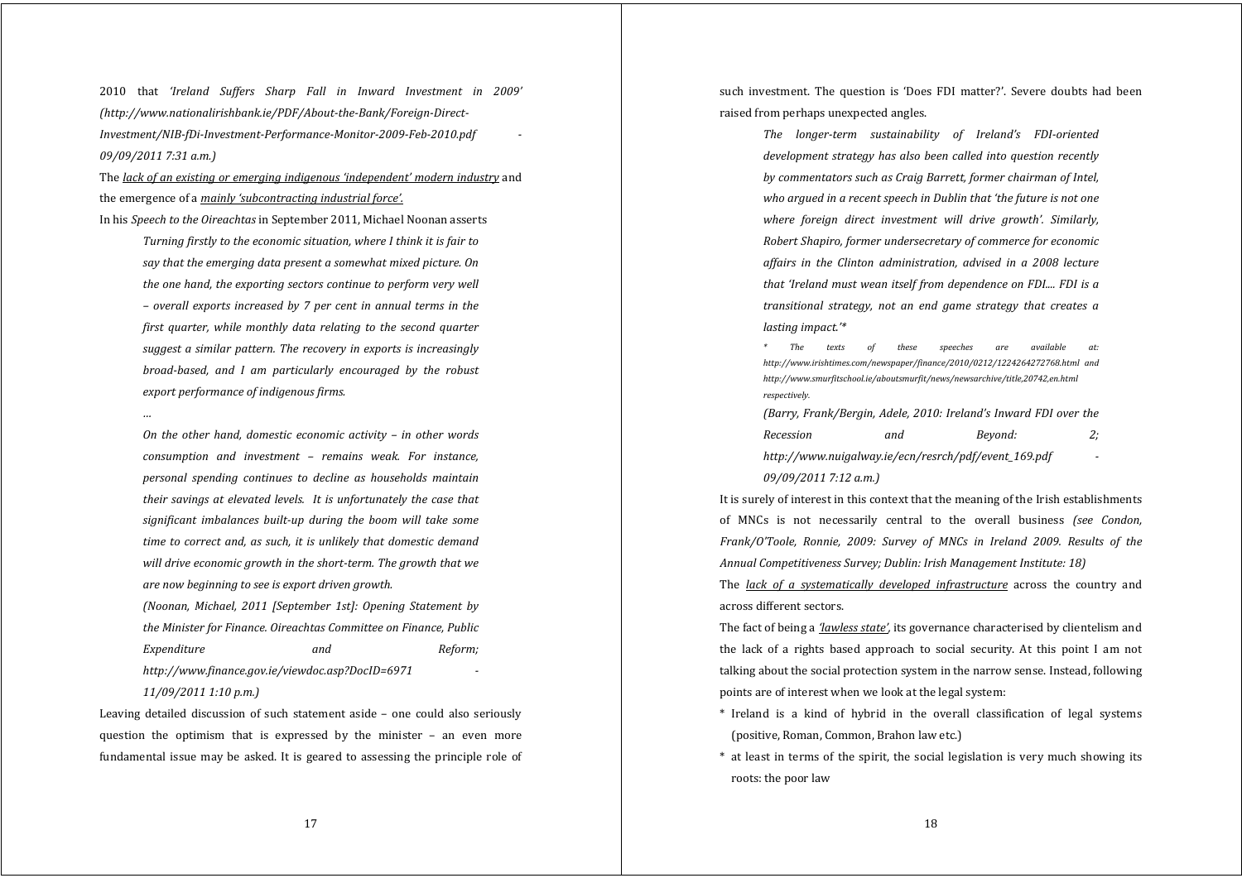2010 that *'Ireland Suffers Sharp Fall in Inward Investment in 2009' (http://www.nationalirishbank.ie/PDF/AbouttheBank/ForeignDirect-Investment/NIBfDiInvestmentPerformanceMonitor2009Feb2010.pdf 09/09/2011 7:31 a.m.)*

The *lack of an existing or emerging indigenous 'independent' modern industry* and the emergence of a *mainly 'subcontracting industrial force'.*

In his *Speech to the Oireachtas* in September 2011, Michael Noonan asserts

*Turning firstly to the economic situation, where I think it is fair to say that the emerging data present <sup>a</sup> somewhat mixed picture. On the one hand, the exporting sectors continue to perform very well – overall exports increased by 7 per cent in annual terms in the first quarter, while monthly data relating to the second quarter sugges<sup>t</sup> <sup>a</sup> similar pattern. The recovery in exports is increasingly broadbased, and I am particularly encouraged by the robust export performance of indigenous firms.*

*On the other hand, domestic economic activity – in other words consumption and investment – remains weak. For instance, personal spending continues to decline as households maintain their savings at elevated levels. It is unfortunately the case that significant imbalances builtup during the boom will take some time to correct and, as such, it is unlikely that domestic demand will drive economic growth in the shortterm. The growth that we are now beginning to see is export driven growth.*

*(Noonan, Michael, 2011 [September 1st]: Opening Statement by the Minister for Finance. Oireachtas Committee on Finance, Public Expenditure and Reform; http://www.finance.gov.ie/viewdoc.asp?DocID=6971* 

*11/09/2011 1:10 p.m.)*

Leaving detailed discussion of such statement aside - one could also seriously question the optimism that is expressed by the minister – an even more fundamental issue may be asked. It is geared to assessing the principle role of

such investment. The question is 'Does FDI matter?'. Severe doubts had been raised from perhaps unexpected angles.

> *The longerterm sustainability of Ireland's FDIoriented development strategy has also been called into question recently by commentators such as Craig Barrett, former chairman of Intel, who argued in <sup>a</sup> recent speech in Dublin that 'the future is not one where foreign direct investment will drive growth'. Similarly, Robert Shapiro, former undersecretary of commerce for economic affairs in the Clinton administration, advised in <sup>a</sup> 2008 lecture that 'Ireland must wean itself from dependence on FDI.... FDI is <sup>a</sup> transitional strategy, not an end game strategy that creates <sup>a</sup> lasting impact.'\**

> *\* The texts of these speeches are available at: http://www.irishtimes.com/newspaper/finance/2010/0212/1224264272768.html and http://www.smurfitschool.ie/aboutsmurfit/news/newsarchive/title,20742,en.html respectively.*

> *(Barry, Frank/Bergin, Adele, 2010: Ireland's Inward FDI over the Recession and Beyond: 2; http://www.nuigalway.ie/ecn/resrch/pdf/event\_169.pdf 09/09/2011 7:12 a.m.)*

It is surely of interest in this context that the meaning of the Irish establishments of MNCs is not necessarily central to the overall business *(see Condon, Frank/O'Toole, Ronnie, 2009: Survey of MNCs in Ireland 2009. Results of the Annual Competitiveness Survey; Dublin: Irish Management Institute: 18)*

The *lack of <sup>a</sup> systematically developed infrastructure* across the country and across different sectors.

The fact of being a *'lawless state',* its governance characterised by clientelism and the lack of a rights based approach to social security. At this point I am not talking about the social protection system in the narrow sense. Instead, following points are of interest when we look at the legal system:

- \* Ireland is <sup>a</sup> kind of hybrid in the overall classification of legal systems (positive, Roman, Common, Brahon law etc.)
- \* at least in terms of the spirit, the social legislation is very much showing its roots: the poor law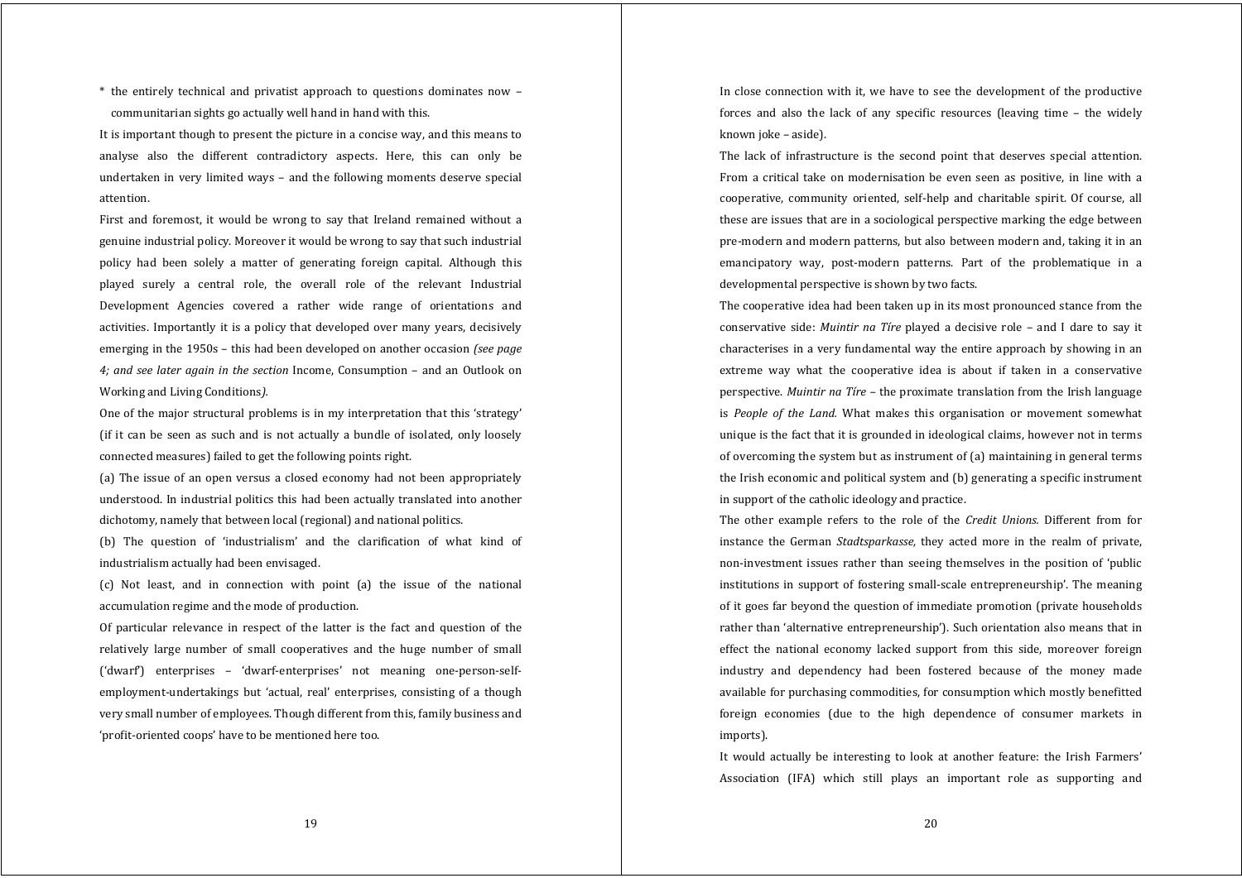\* the entirely technical and privatist approach to questions dominates now – communitarian sights go actually well hand in hand with this.

It is important though to present the picture in a concise way, and this means to analyse also the different contradictory aspects. Here, this can only be undertaken in very limited ways – and the following moments deserve special attention.

First and foremost, it would be wrong to say that Ireland remained without a genuine industrial policy. Moreover it would be wrong to say that such industrial policy had been solely <sup>a</sup> matter of generating foreign capital. Although this played surely <sup>a</sup> central role, the overall role of the relevant Industrial Development Agencies covered <sup>a</sup> rather wide range of orientations and activities. Importantly it is a policy that developed over many years, decisively emerging in the 1950s – this had been developed on another occasion *(see page 4; and see later again in the section* Income, Consumption – and an Outlook on Working and Living Conditions*).*

One of the major structural problems is in my interpretation that this 'strategy' (if it can be seen as such and is not actually a bundle of isolated, only loosely connected measures) failed to get the following points right.

(a) The issue of an open versus <sup>a</sup> closed economy had not been appropriately understood. In industrial politics this had been actually translated into another dichotomy, namely that between local (regional) and national politics.

(b) The question of 'industrialism' and the clarification of what kind of industrialism actually had been envisaged.

(c) Not least, and in connection with point (a) the issue of the national accumulation regime and the mode of production.

Of particular relevance in respect of the latter is the fact and question of the relatively large number of small cooperatives and the huge number of small ('dwarf') enterprises – 'dwarf‐enterprises' not meaning one‐person‐self‐ employment-undertakings but 'actual, real' enterprises, consisting of a though very small number of employees. Though different from this, family business and 'profit‐oriented coops' have to be mentioned here too.

In close connection with it, we have to see the development of the productive forces and also the lack of any specific resources (leaving time – the widely known joke – aside).

The lack of infrastructure is the second point that deserves special attention. From <sup>a</sup> critical take on modernisation be even seen as positive, in line with <sup>a</sup> cooperative, community oriented, self‐help and charitable spirit. Of course, all these are issues that are in a sociological perspective marking the edge between pre‐modern and modern patterns, but also between modern and, taking it in an emancipatory way, post-modern patterns. Part of the problematique in a developmental perspective is shown by two facts.

The cooperative idea had been taken up in its most pronounced stance from the conservative side: *Muintir na Tíre* played <sup>a</sup> decisive role – and I dare to say it characterises in a very fundamental way the entire approach by showing in an extreme way what the cooperative idea is about if taken in <sup>a</sup> conservative perspective. *Muintir na Tíre –* the proximate translation from the Irish language is *People of the Land.* What makes this organisation or movement somewhat unique is the fact that it is grounded in ideological claims, however not in terms of overcoming the system but as instrument of (a) maintaining in general terms the Irish economic and political system and (b) generating a specific instrument in support of the catholic ideology and practice.

The other example refers to the role of the *Credit Unions.* Different from for instance the German *Stadtsparkasse,* they acted more in the realm of private, non-investment issues rather than seeing themselves in the position of 'public institutions in support of fostering small‐scale entrepreneurship'. The meaning of it goes far beyond the question of immediate promotion (private households rather than 'alternative entrepreneurship'). Such orientation also means that in effect the national economy lacked support from this side, moreover foreign industry and dependency had been fostered because of the money made available for purchasing commodities, for consumption which mostly benefitted foreign economies (due to the high dependence of consumer markets in imports).

It would actually be interesting to look at another feature: the Irish Farmers' Association (IFA) which still plays an important role as supporting and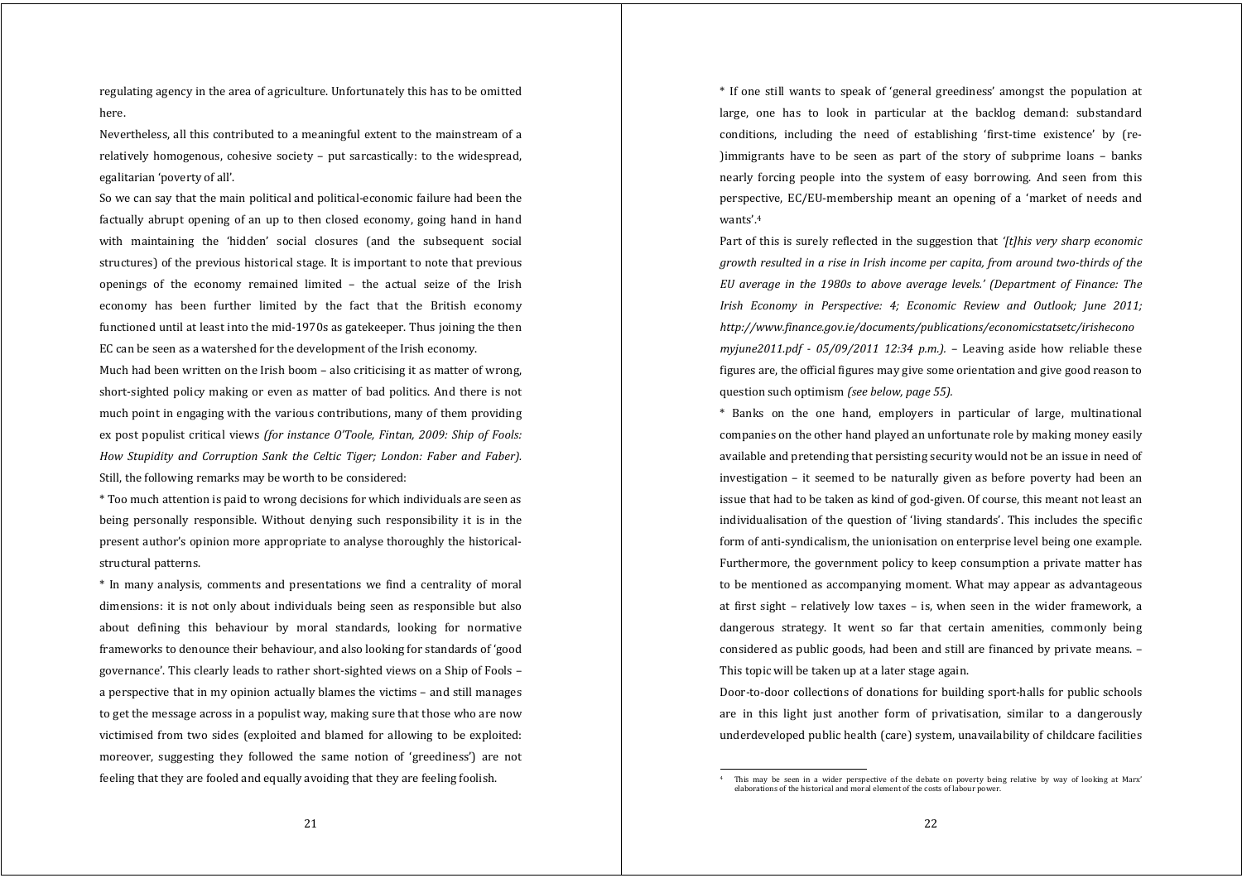regulating agency in the area of agriculture. Unfortunately this has to be omitted here.

Nevertheless, all this contributed to a meaningful extent to the mainstream of a relatively homogenous, cohesive society – put sarcastically: to the widespread, egalitarian 'poverty of all'.

So we can say that the main political and political‐economic failure had been the factually abrupt opening of an up to then closed economy, going hand in hand with maintaining the 'hidden' social closures (and the subsequent social structures) of the previous historical stage. It is important to note that previous openings of the economy remained limited – the actual seize of the Irish economy has been further limited by the fact that the British economy functioned until at least into the mid‐1970s as gatekeeper. Thus joining the then EC can be seen as a watershed for the development of the Irish economy.

Much had been written on the Irish boom – also criticising it as matter of wrong, short‐sighted policy making or even as matter of bad politics. And there is not much point in engaging with the various contributions, many of them providing ex post populist critical views *(for instance O'Toole, Fintan, 2009: Ship of Fools: How Stupidity and Corruption Sank the Celtic Tiger; London: Faber and Faber).* Still, the following remarks may be worth to be considered:

\* Too much attention is paid to wrong decisions for which individuals are seen as being personally responsible. Without denying such responsibility it is in the present author's opinion more appropriate to analyse thoroughly the historicalstructural patterns.

\* In many analysis, comments and presentations we find <sup>a</sup> centrality of moral dimensions: it is not only about individuals being seen as responsible but also about defining this behaviour by moral standards, looking for normative frameworks to denounce their behaviour, and also looking for standards of 'good governance'. This clearly leads to rather short‐sighted views on a Ship of Fools – a perspective that in my opinion actually blames the victims – and still manages to get the message across in a populist way, making sure that those who are now victimised from two sides (exploited and blamed for allowing to be exploited: moreover, suggesting they followed the same notion of 'greediness') are not feeling that they are fooled and equally avoiding that they are feeling foolish.

\* If one still wants to speak of 'general greediness' amongs<sup>t</sup> the population at large, one has to look in particular at the backlog demand: substandard conditions, including the need of establishing 'first-time existence' by (re-)immigrants have to be seen as part of the story of subprime loans – banks nearly forcing people into the system of easy borrowing. And seen from this perspective, EC/EU‐membership meant an opening of <sup>a</sup> 'market of needs and wants'.4

Part of this is surely reflected in the suggestion that *'[t]his very sharp economic growth resulted in <sup>a</sup> rise in Irish income per capita, from around twothirds of the EU average in the 1980s to above average levels.' (Department of Finance: The Irish Economy in Perspective: 4; Economic Review and Outlook; June 2011; http://www.finance.gov.ie/documents/publications/economicstatsetc/irishecono myiune2011.pdf*  $\cdot$  05/09/2011 12:34 *p.m.).* – Leaving aside how reliable these figures are, the official figures may give some orientation and give good reason to question such optimism *(see below, page 55).*

\* Banks on the one hand, employers in particular of large, multinational companies on the other hand played an unfortunate role by making money easily available and pretending that persisting security would not be an issue in need of investigation – it seemed to be naturally given as before poverty had been an issue that had to be taken as kind of god‐given. Of course, this meant not least an individualisation of the question of 'living standards'. This includes the specific form of anti-syndicalism, the unionisation on enterprise level being one example. Furthermore, the government policy to keep consumption a private matter has to be mentioned as accompanying moment. What may appear as advantageous at first sight – relatively low taxes – is, when seen in the wider framework, <sup>a</sup> dangerous strategy. It went so far that certain amenities, commonly being considered as public goods, had been and still are financed by private means. – This topic will be taken up at a later stage again.

Door-to-door collections of donations for building sport-halls for public schools are in this light just another form of privatisation, similar to <sup>a</sup> dangerously underdeveloped public health (care) system, unavailability of childcare facilities

This may be seen in a wider perspective of the debate on poverty being relative by way of looking at Marx' elaborations of the historical and moral element of the costs of labour power.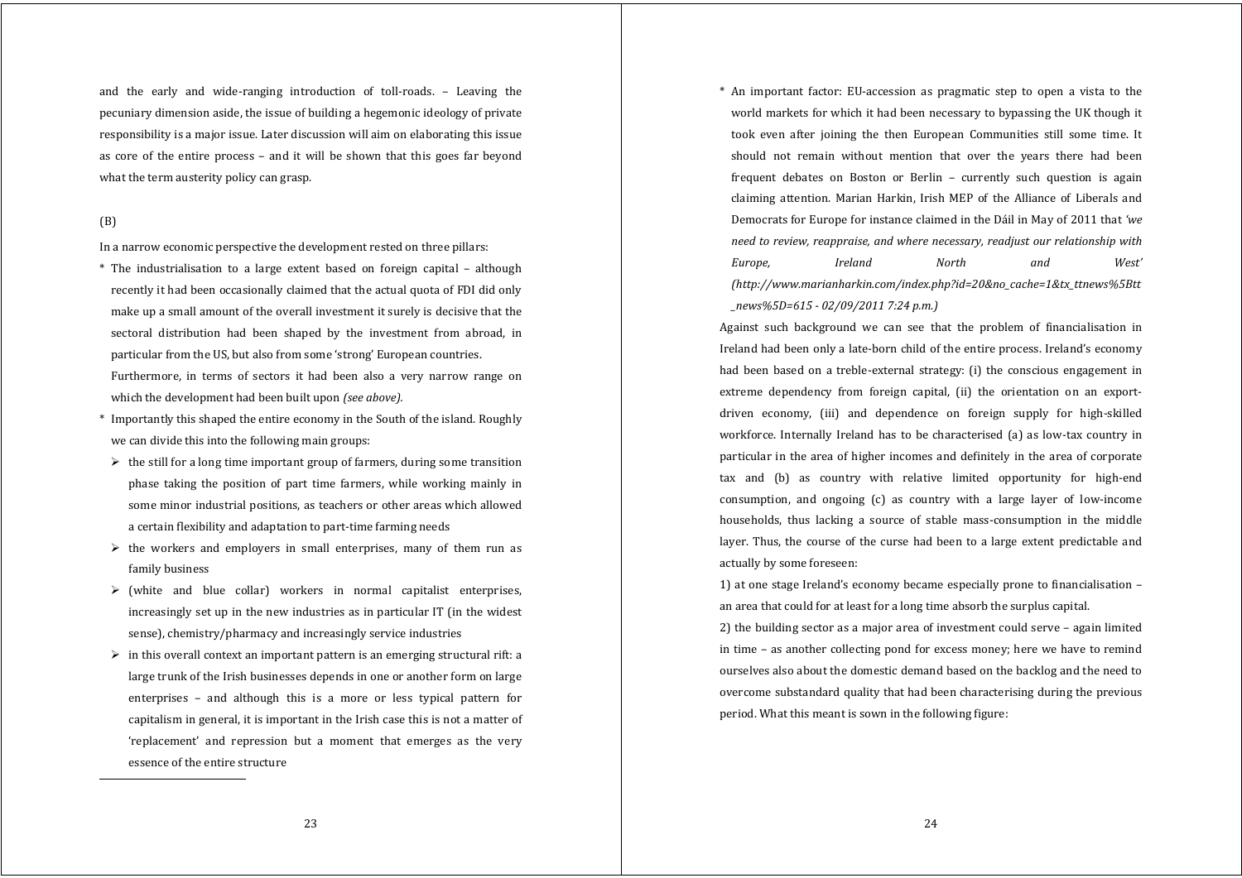and the early and wide‐ranging introduction of toll‐roads. – Leaving the pecuniary dimension aside, the issue of building a hegemonic ideology of private responsibility is a major issue. Later discussion will aim on elaborating this issue as core of the entire process – and it will be shown that this goes far beyond what the term austerity policy can grasp.

# (B)

In a narrow economic perspective the development rested on three pillars:

- \* The industrialisation to <sup>a</sup> large extent based on foreign capital although recently it had been occasionally claimed that the actual quota of FDI did only make up a small amount of the overall investment it surely is decisive that the sectoral distribution had been shaped by the investment from abroad, in particular from the US, but also from some 'strong' European countries. Furthermore, in terms of sectors it had been also a very narrow range on which the development had been built upon *(see above).*
- \* Importantly this shaped the entire economy in the South of the island. Roughly we can divide this into the following main groups:
- $\triangleright$  the still for a long time important group of farmers, during some transition phase taking the position of part time farmers, while working mainly in some minor industrial positions, as teachers or other areas which allowed a certain flexibility and adaptation to part‐time farming needs
- $\triangleright$  the workers and employers in small enterprises, many of them run as family business
- $\triangleright$  (white and blue collar) workers in normal capitalist enterprises, increasingly set up in the new industries as in particular IT (in the widest sense), chemistry/pharmacy and increasingly service industries
- $\triangleright$  in this overall context an important pattern is an emerging structural rift: a large trunk of the Irish businesses depends in one or another form on large enterprises – and although this is a more or less typical pattern for capitalism in general, it is important in the Irish case this is not a matter of 'replacement' and repression but <sup>a</sup> moment that emerges as the very essence of the entire structure

\* An important factor: EU‐accession as pragmatic step to open <sup>a</sup> vista to the world markets for which it had been necessary to bypassing the UK though it took even after joining the then European Communities still some time. It should not remain without mention that over the years there had been frequent debates on Boston or Berlin – currently such question is again claiming attention. Marian Harkin, Irish MEP of the Alliance of Liberals and Democrats for Europe for instance claimed in the Dáil in May of 2011 that *'we need to review, reappraise, and where necessary, readjust our relationship with Europe, Ireland North and West' (http://www.marianharkin.com/index.php?id=20&no\_cache=1&tx\_ttnews%5Btt \_news%5D=615 02/09/2011 7:24 p.m.)*

Against such background we can see that the problem of financialisation in Ireland had been only a late‐born child of the entire process. Ireland's economy had been based on a treble-external strategy: (i) the conscious engagement in extreme dependency from foreign capital, (ii) the orientation on an exportdriven economy, (iii) and dependence on foreign supply for high‐skilled workforce. Internally Ireland has to be characterised (a) as low-tax country in particular in the area of higher incomes and definitely in the area of corporate tax and (b) as country with relative limited opportunity for high-end consumption, and ongoing (c) as country with <sup>a</sup> large layer of low‐income households, thus lacking a source of stable mass-consumption in the middle layer. Thus, the course of the curse had been to a large extent predictable and actually by some foreseen:

1) at one stage Ireland's economy became especially prone to financialisation – an area that could for at least for a long time absorb the surplus capital.

2) the building sector as a major area of investment could serve – again limited in time – as another collecting pond for excess money; here we have to remind ourselves also about the domestic demand based on the backlog and the need to overcome substandard quality that had been characterising during the previous period. What this meant is sown in the following figure: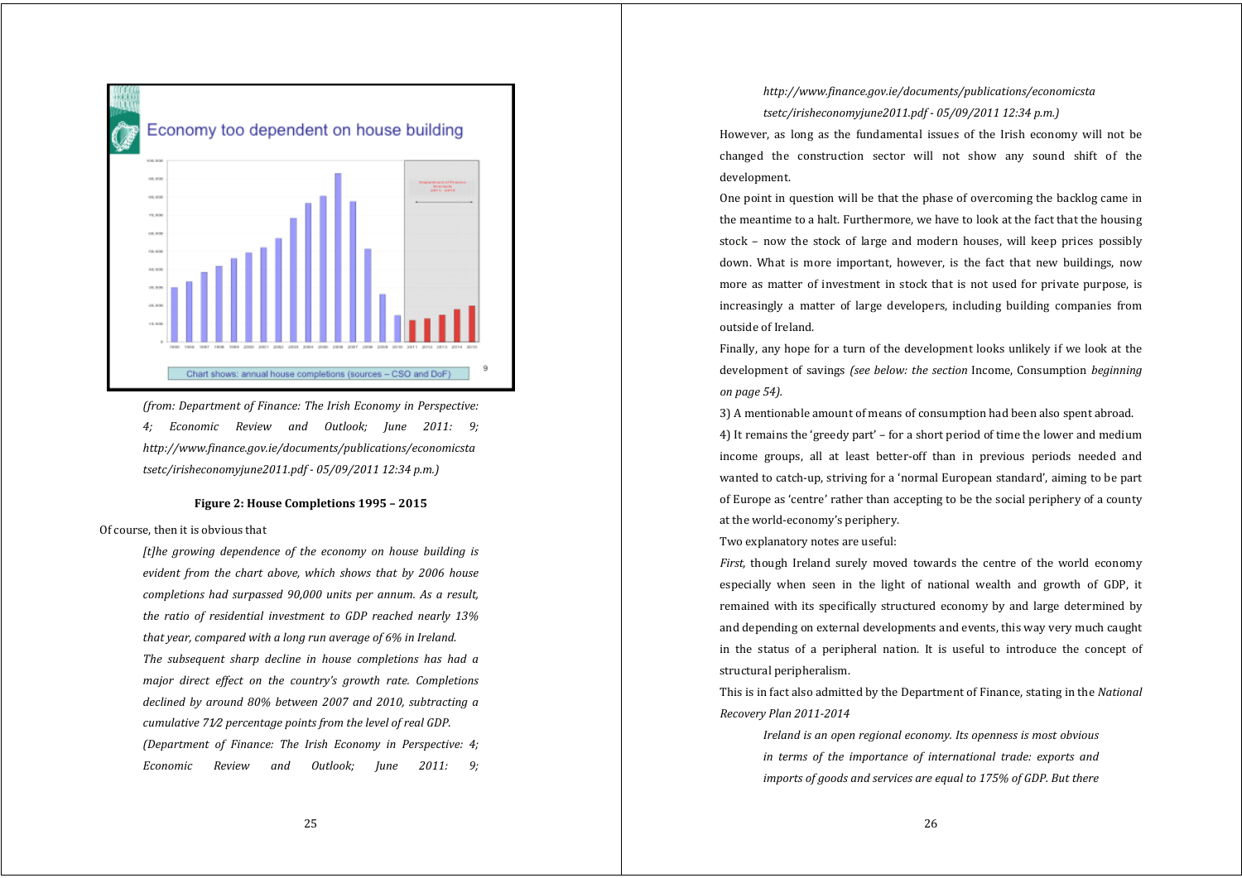

*(from: Department of Finance: The Irish Economy in Perspective: 4; Economic Review and Outlook; June 2011: 9; http://www.finance.gov.ie/documents/publications/economicsta tsetc/irisheconomyjune2011.pdf 05/09/2011 12:34 p.m.)*

# **Figure 2: House Completions 1995 – 2015**

Of course, then it is obvious that

*[t]he growing dependence of the economy on house building is evident from the chart above, which shows that by 2006 house completions had surpassed 90,000 units per annum. As <sup>a</sup> result, the ratio of residential investment to GDP reached nearly 13% that year, compared with <sup>a</sup> long run average of 6% in Ireland. The subsequent sharp decline in house completions has had <sup>a</sup> major direct effect on the country's growth rate. Completions declined by around 80% between 2007 and 2010, subtracting <sup>a</sup> cumulative 71⁄2 percentage points from the level of real GDP. (Department of Finance: The Irish Economy in Perspective: 4; Economic Review and Outlook; June 2011: 9;*

# *http://www.finance.gov.ie/documents/publications/economicsta tsetc/irisheconomyjune2011.pdf 05/09/2011 12:34 p.m.)*

However, as long as the fundamental issues of the Irish economy will not be changed the construction sector will not show any sound shift of the development.

One point in question will be that the phase of overcoming the backlog came in the meantime to a halt. Furthermore, we have to look at the fact that the housing stock – now the stock of large and modern houses, will keep prices possibly down. What is more important, however, is the fact that new buildings, now more as matter of investment in stock that is not used for private purpose, is increasingly a matter of large developers, including building companies from outside of Ireland.

Finally, any hope for a turn of the development looks unlikely if we look at the development of savings *(see below: the section* Income, Consumption *beginning on page 54).*

3) A mentionable amount of means of consumption had been also spent abroad.

4) It remains the 'greedy part' – for a short period of time the lower and medium income groups, all at least better-off than in previous periods needed and wanted to catch‐up, striving for a 'normal European standard', aiming to be part of Europe as 'centre' rather than accepting to be the social periphery of a county at the world‐economy's periphery.

Two explanatory notes are useful:

*First*, though Ireland surely moved towards the centre of the world economy especially when seen in the light of national wealth and growth of GDP, it remained with its specifically structured economy by and large determined by and depending on external developments and events, this way very much caught in the status of <sup>a</sup> peripheral nation. It is useful to introduce the concept of structural peripheralism.

This is in fact also admitted by the Department of Finance, stating in the *National Recovery Plan 20112014*

*Ireland is an open regional economy. Its openness is most obvious in terms of the importance of international trade: exports and imports of goods and services are equal to 175% of GDP. But there*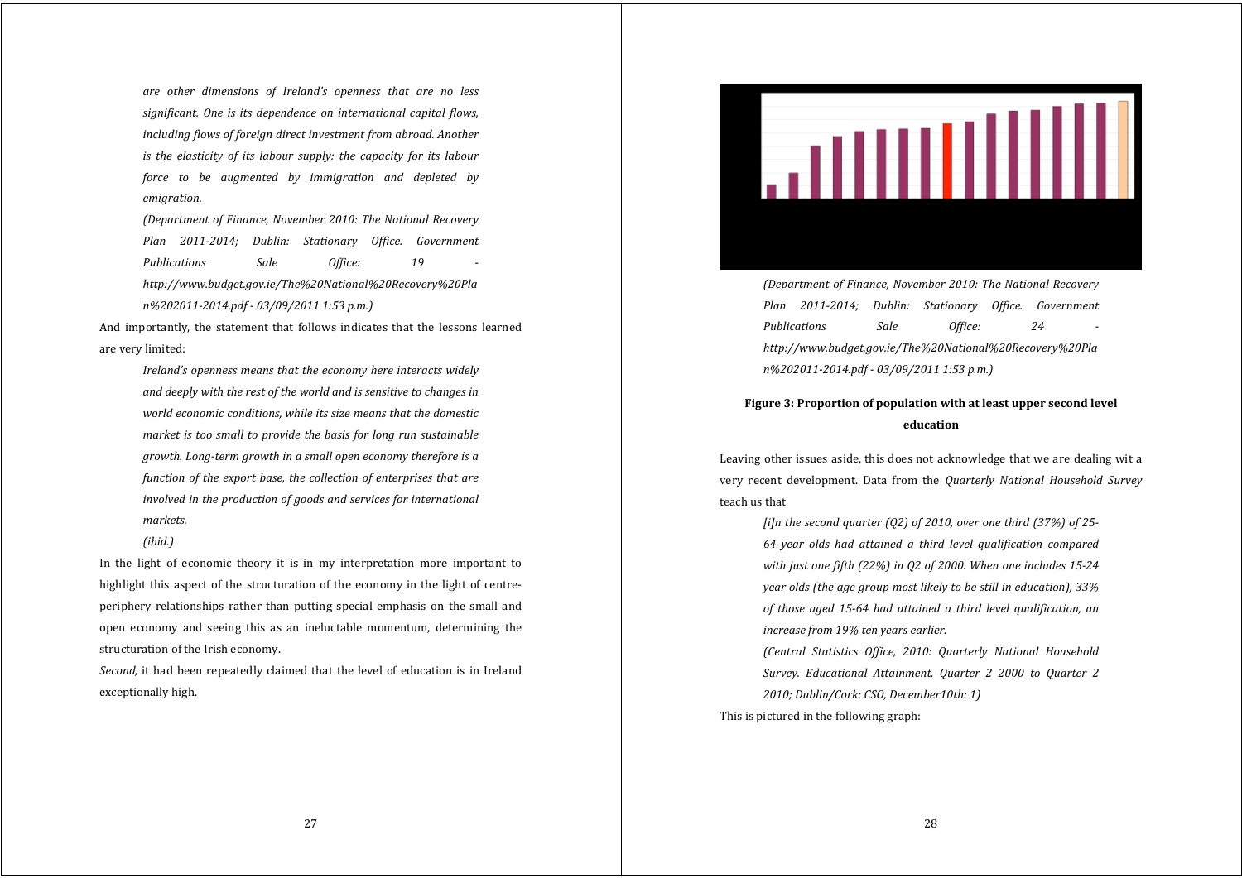*are other dimensions of Ireland's openness that are no less significant. One is its dependence on international capital flows, including flows of foreign direct investment from abroad. Another is the elasticity of its labour supply: the capacity for its labour force to be augmented by immigration and depleted by emigration.*

*(Department of Finance, November 2010: The National Recovery Plan 20112014; Dublin: Stationary Office. Government Publications Sale Office: 19 http://www.budget.gov.ie/The%20National%20Recovery%20Pla n%2020112014.pdf 03/09/2011 1:53 p.m.)*

And importantly, the statement that follows indicates that the lessons learned are very limited:

*Ireland's openness means that the economy here interacts widely and deeply with the rest of the world and is sensitive to changes in world economic conditions, while its size means that the domestic market is too small to provide the basis for long run sustainable growth. Longterm growth in <sup>a</sup> small open economy therefore is <sup>a</sup> function of the export base, the collection of enterprises that are involved in the production of goods and services for international markets.*

*(ibid.)*

In the light of economic theory it is in my interpretation more important to highlight this aspect of the structuration of the economy in the light of centreperiphery relationships rather than putting special emphasis on the small and open economy and seeing this as an ineluctable momentum, determining the structuration of the Irish economy.

*Second*, it had been repeatedly claimed that the level of education is in Ireland exceptionally high.



*(Department of Finance, November 2010: The National Recovery Plan 20112014; Dublin: Stationary Office. Government Publications Sale Office: 24 http://www.budget.gov.ie/The%20National%20Recovery%20Pla n%2020112014.pdf 03/09/2011 1:53 p.m.)*

# **Figure 3: Proportion of population with at least upper second level education**

Leaving other issues aside, this does not acknowledge that we are dealing wit a very recent development. Data from the *Quarterly National Household Survey* teach us that

> *[i]n the second quarter (Q2) of 2010, over one third (37%) of 25 64 year olds had attained <sup>a</sup> third level qualification compared with just one fifth (22%) in Q2 of 2000. When one includes 1524 year olds (the age group most likely to be still in education), 33% of those aged 1564 had attained <sup>a</sup> third level qualification, an increase from 19% ten years earlier.*

> *(Central Statistics Office, 2010: Quarterly National Household Survey. Educational Attainment. Quarter 2 2000 to Quarter 2 2010; Dublin/Cork: CSO, December10th: 1)*

This is pictured in the following graph: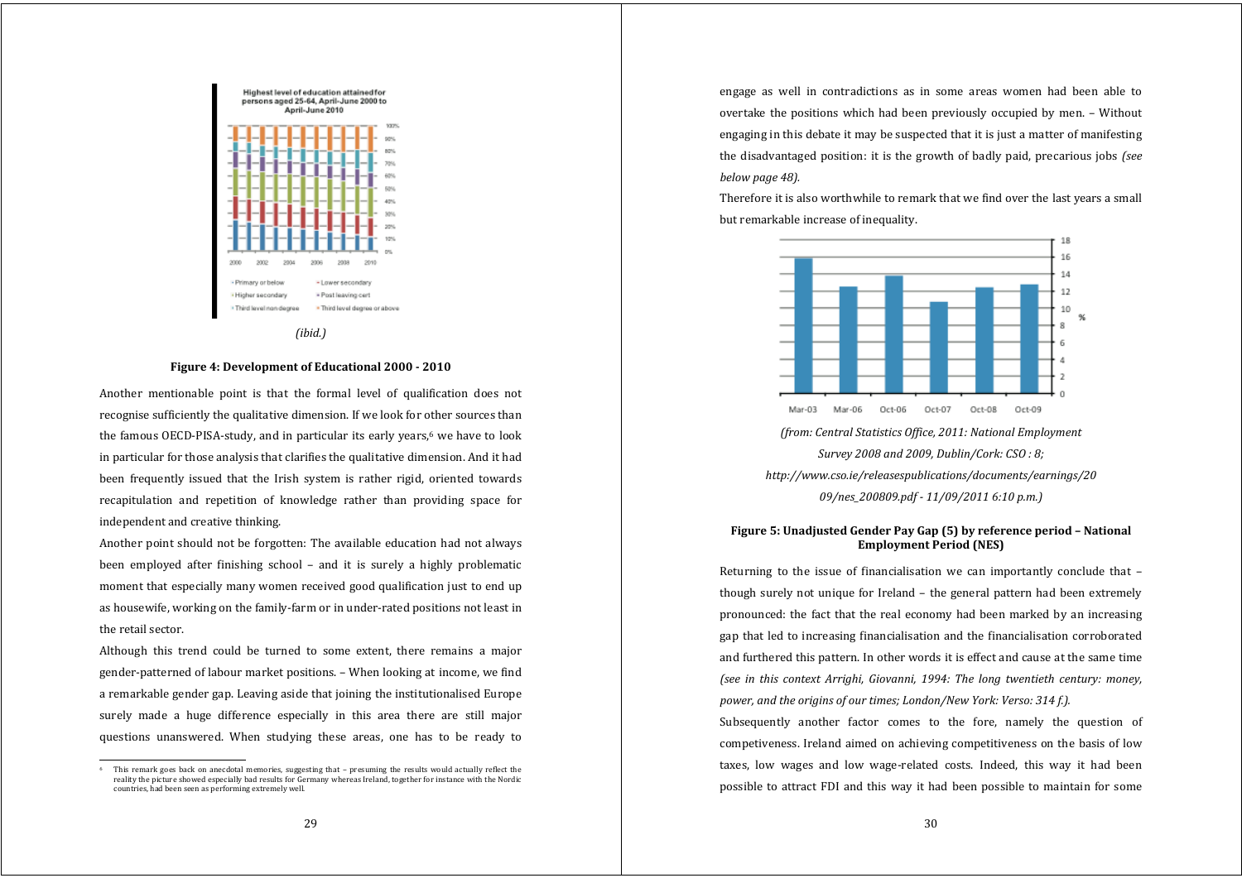

*(ibid.)*

## **Figure 4: Development of Educational 2000 2010**

Another mentionable point is that the formal level of qualification does not recognise sufficiently the qualitative dimension. If we look for other sources than the famous OECD-PISA-study, and in particular its early years,<sup>6</sup> we have to look in particular for those analysis that clarifies the qualitative dimension. And it had been frequently issued that the Irish system is rather rigid, oriented towards recapitulation and repetition of knowledge rather than providing space for independent and creative thinking.

Another point should not be forgotten: The available education had not always been employed after finishing school – and it is surely <sup>a</sup> highly problematic moment that especially many women received good qualification just to end up as housewife, working on the family‐farm or in under‐rated positions not least in the retail sector.

Although this trend could be turned to some extent, there remains <sup>a</sup> major gender‐patterned of labour market positions. – When looking at income, we find a remarkable gender gap. Leaving aside that joining the institutionalised Europe surely made <sup>a</sup> huge difference especially in this area there are still major questions unanswered. When studying these areas, one has to be ready to

engage as well in contradictions as in some areas women had been able to overtake the positions which had been previously occupied by men. – Without engaging in this debate it may be suspected that it is just a matter of manifesting the disadvantaged position: it is the growth of badly paid, precarious jobs *(see below page 48).*

Therefore it is also worthwhile to remark that we find over the last years a small but remarkable increase of inequality.



*(from: Central Statistics Office, 2011: National Employment Survey 2008 and 2009, Dublin/Cork: CSO : 8; http://www.cso.ie/releasespublications/documents/earnings/20 09/nes\_200809.pdf 11/09/2011 6:10 p.m.)*

# **Figure 5: Unadjusted Gender Pay Gap (5) by reference period – National Employment Period (NES)**

Returning to the issue of financialisation we can importantly conclude that though surely not unique for Ireland – the general pattern had been extremely pronounced: the fact that the real economy had been marked by an increasing gap that led to increasing financialisation and the financialisation corroborated and furthered this pattern. In other words it is effect and cause at the same time *(see in this context Arrighi, Giovanni, 1994: The long twentieth century: money, power, and the origins of our times; London/New York: Verso: 314 f.).*

Subsequently another factor comes to the fore, namely the question of competiveness. Ireland aimed on achieving competitiveness on the basis of low taxes, low wages and low wage-related costs. Indeed, this way it had been possible to attract FDI and this way it had been possible to maintain for some

This remark goes back on anecdotal memories, suggesting that - presuming the results would actually reflect the reality the picture showed especially bad results for Germany whereas Ireland, together for instance with the Nordic countries, had been seen as performing extremely well.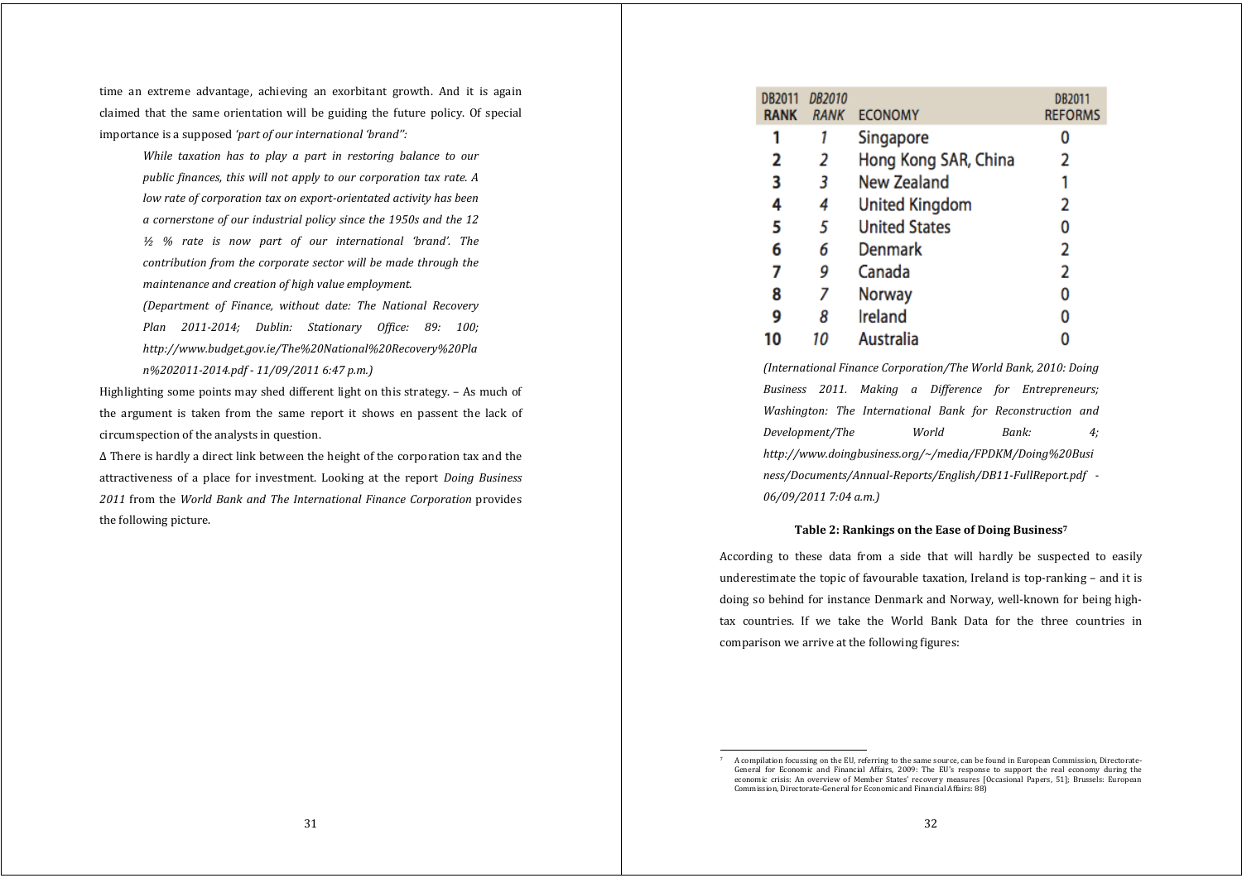time an extreme advantage, achieving an exorbitant growth. And it is again claimed that the same orientation will be guiding the future policy. Of special importance is a supposed *'part of our international 'brand'':*

> *While taxation has to play <sup>a</sup> part in restoring balance to our public finances, this will not apply to our corporation tax rate. A low rate of corporation tax on exportorientated activity has been <sup>a</sup> cornerstone of our industrial policy since the 1950s and the 12 ½ % rate is now part of our international 'brand'. The contribution from the corporate sector will be made through the maintenance and creation of high value employment.*

> *(Department of Finance, without date: The National Recovery Plan 20112014; Dublin: Stationary Office: 89: 100; http://www.budget.gov.ie/The%20National%20Recovery%20Pla n%2020112014.pdf 11/09/2011 6:47 p.m.)*

Highlighting some points may shed different light on this strategy. – As much of the argumen<sup>t</sup> is taken from the same report it shows en passent the lack of circumspection of the analysts in question.

∆ There is hardly a direct link between the height of the corporation tax and the attractiveness of <sup>a</sup> place for investment. Looking at the report *Doing Business 2011* from the *World Bank and The International Finance Corporation* provides the following picture.

| DB2011<br><b>RANK</b> | <b>DB2010</b><br><b>RANK</b> | <b>ECONOMY</b>        | DB2011<br><b>REFORMS</b> |
|-----------------------|------------------------------|-----------------------|--------------------------|
|                       |                              | Singapore             |                          |
| 2                     | 2                            | Hong Kong SAR, China  | 2                        |
| 3                     | 3                            | <b>New Zealand</b>    |                          |
| 4                     | 4                            | <b>United Kingdom</b> | 2                        |
| 5                     | 5                            | <b>United States</b>  | 0                        |
| 6                     | 6                            | Denmark               | 2                        |
| 7                     | 9                            | Canada                | 2                        |
| 8                     | 7                            | <b>Norway</b>         | 0                        |
| 9                     | 8                            | Ireland               | 0                        |
|                       |                              | Australia             |                          |

*(International Finance Corporation/The World Bank, 2010: Doing Business 2011. Making <sup>a</sup> Difference for Entrepreneurs; Washington: The International Bank for Reconstruction and Development/The World Bank: 4; http://www.doingbusiness.org/~/media/FPDKM/Doing%20Busi ness/Documents/AnnualReports/English/DB11FullReport.pdf 06/09/2011 7:04 a.m.)*

# **Table 2: Rankings on the Ease of Doing Business7**

According to these data from <sup>a</sup> side that will hardly be suspected to easily underestimate the topic of favourable taxation, Ireland is top-ranking  $-$  and it is doing so behind for instance Denmark and Norway, well-known for being hightax countries. If we take the World Bank Data for the three countries in comparison we arrive at the following figures:

A compilation focussing on the EU, referring to the same source, can be found in European Commission, Directorate-General for Economic and Financial Affairs, 2009: The EU's response to support the real economy during the economic crisis: An overview of Member States' recovery measures [Occasional Papers, 51]; Brussels: European Commission, Directorate‐General for Economic and Financial Affairs: 88)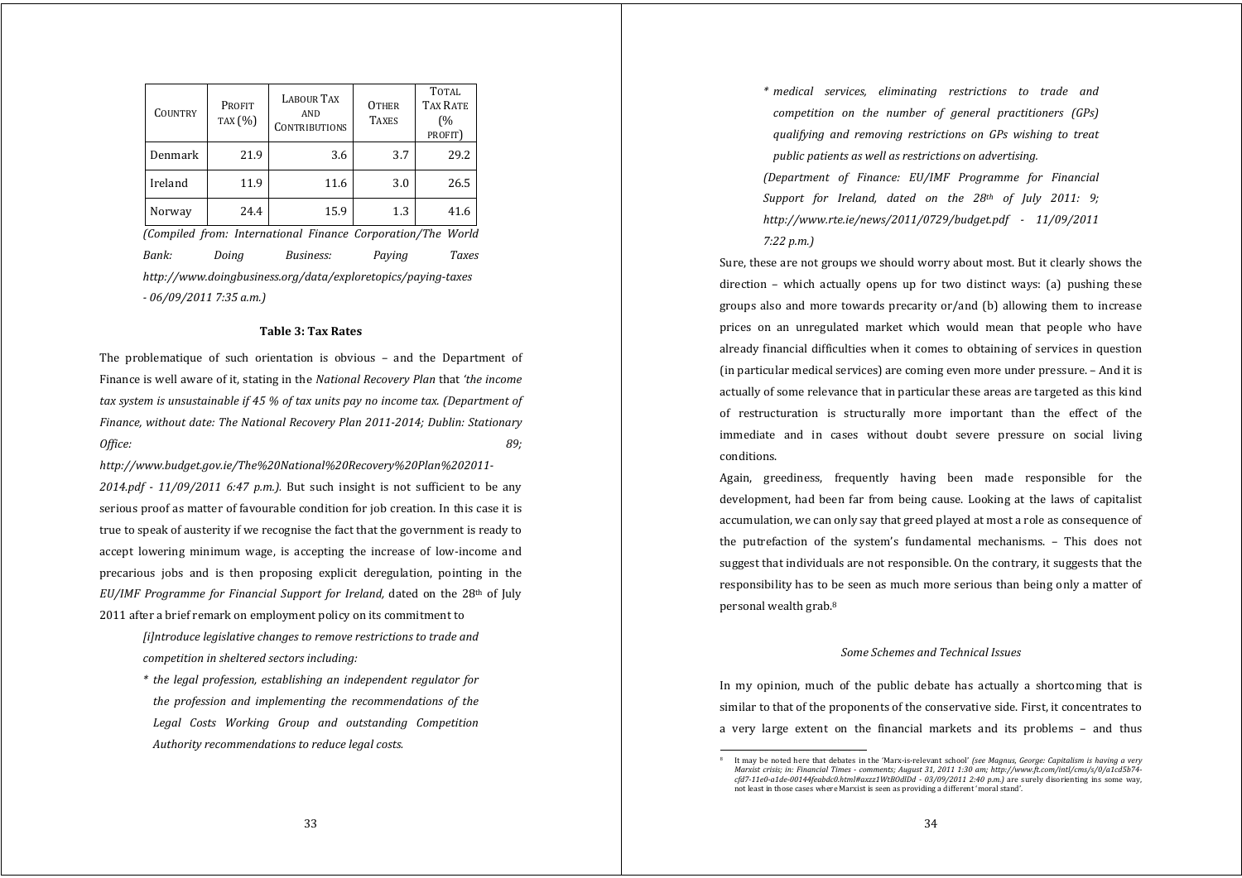| <b>COUNTRY</b>          | <b>PROFIT</b><br>TAX (%)                                     | <b>LABOUR TAX</b><br><b>AND</b><br><b>CONTRIBUTIONS</b>     | <b>OTHER</b><br><b>TAXES</b> | <b>TOTAL</b><br><b>TAX RATE</b><br>(%<br>PROFIT) |  |  |  |
|-------------------------|--------------------------------------------------------------|-------------------------------------------------------------|------------------------------|--------------------------------------------------|--|--|--|
| Denmark                 | 21.9                                                         | 3.6                                                         | 3.7                          | 29.2                                             |  |  |  |
| Ireland                 | 11.9                                                         | 11.6                                                        | 3.0                          | 26.5                                             |  |  |  |
| Norway                  | 24.4                                                         | 15.9                                                        | 1.3                          | 41.6                                             |  |  |  |
|                         |                                                              | (Compiled from: International Finance Corporation/The World |                              |                                                  |  |  |  |
| Bank:                   | Doing                                                        | Business:                                                   | Paying                       | Taxes                                            |  |  |  |
|                         | http://www.doingbusiness.org/data/exploretopics/paying-taxes |                                                             |                              |                                                  |  |  |  |
| - 06/09/2011 7:35 a.m.) |                                                              |                                                             |                              |                                                  |  |  |  |

#### **Table 3: Tax Rates**

The problematique of such orientation is obvious - and the Department of Finance is well aware of it, stating in the *National Recovery Plan* that *'the income tax system is unsustainable if 45 % of tax units pay no income tax. (Department of Finance, without date: The National Recovery Plan 20112014; Dublin: Stationary Office: 89;*

*http://www.budget.gov.ie/The%20National%20Recovery%20Plan%202011*  $2014.pdf$   $\cdot$   $11/09/2011$   $6.47$   $p.m.$ ). But such insight is not sufficient to be any serious proof as matter of favourable condition for job creation. In this case it is true to speak of austerity if we recognise the fact that the government is ready to accept lowering minimum wage, is accepting the increase of low‐income and precarious jobs and is then proposing explicit deregulation, pointing in the *EU/IMF Programme for Financial Support for Ireland,* dated on the 28th of July 2011 after a brief remark on employment policy on its commitment to

> *[i]ntroduce legislative changes to remove restrictions to trade and competition in sheltered sectors including:*

> *\* the legal profession, establishing an independent regulator for the profession and implementing the recommendations of the Legal Costs Working Group and outstanding Competition Authority recommendations to reduce legal costs.*

*\* medical services, eliminating restrictions to trade and competition on the number of general practitioners (GPs) qualifying and removing restrictions on GPs wishing to treat public patients as well as restrictions on advertising. (Department of Finance: EU/IMF Programme for Financial Support for Ireland, dated on the 28th of July 2011: 9; http://www.rte.ie/news/2011/0729/budget.pdf 11/09/2011 7:22 p.m.)*

Sure, these are not groups we should worry about most. But it clearly shows the direction – which actually opens up for two distinct ways: (a) pushing these groups also and more towards precarity  $or/and$  (b) allowing them to increase prices on an unregulated market which would mean that people who have already financial difficulties when it comes to obtaining of services in question (in particular medical services) are coming even more under pressure. – And it is actually of some relevance that in particular these areas are targeted as this kind of restructuration is structurally more important than the effect of the immediate and in cases without doubt severe pressure on social living conditions.

Again, greediness, frequently having been made responsible for the development, had been far from being cause. Looking at the laws of capitalist accumulation, we can only say that greed played at most a role as consequence of the putrefaction of the system's fundamental mechanisms. – This does not suggest that individuals are not responsible. On the contrary, it suggests that the responsibility has to be seen as much more serious than being only a matter of personal wealth grab.8

## *Some Schemes and Technical Issues*

In my opinion, much of the public debate has actually a shortcoming that is similar to that of the proponents of the conservative side. First, it concentrates to <sup>a</sup> very large extent on the financial markets and its problems – and thus

<sup>8</sup>  It may be noted here that debates in the 'Marx‐is‐relevant school' *(see Magnus, George: Capitalism is having <sup>a</sup> very Marxist crisis; in: Financial Times comments; August 31, 2011 1:30 am; http://www.ft.com/intl/cms/s/0/a1cd5b74 cfd711e0a1de00144feabdc0.html#axzz1WtBOdlDd 03/09/2011 2:40 p.m.)* are surely disorienting ins some way, not least in those cases where Marxist is seen as providing a different 'moral stand'.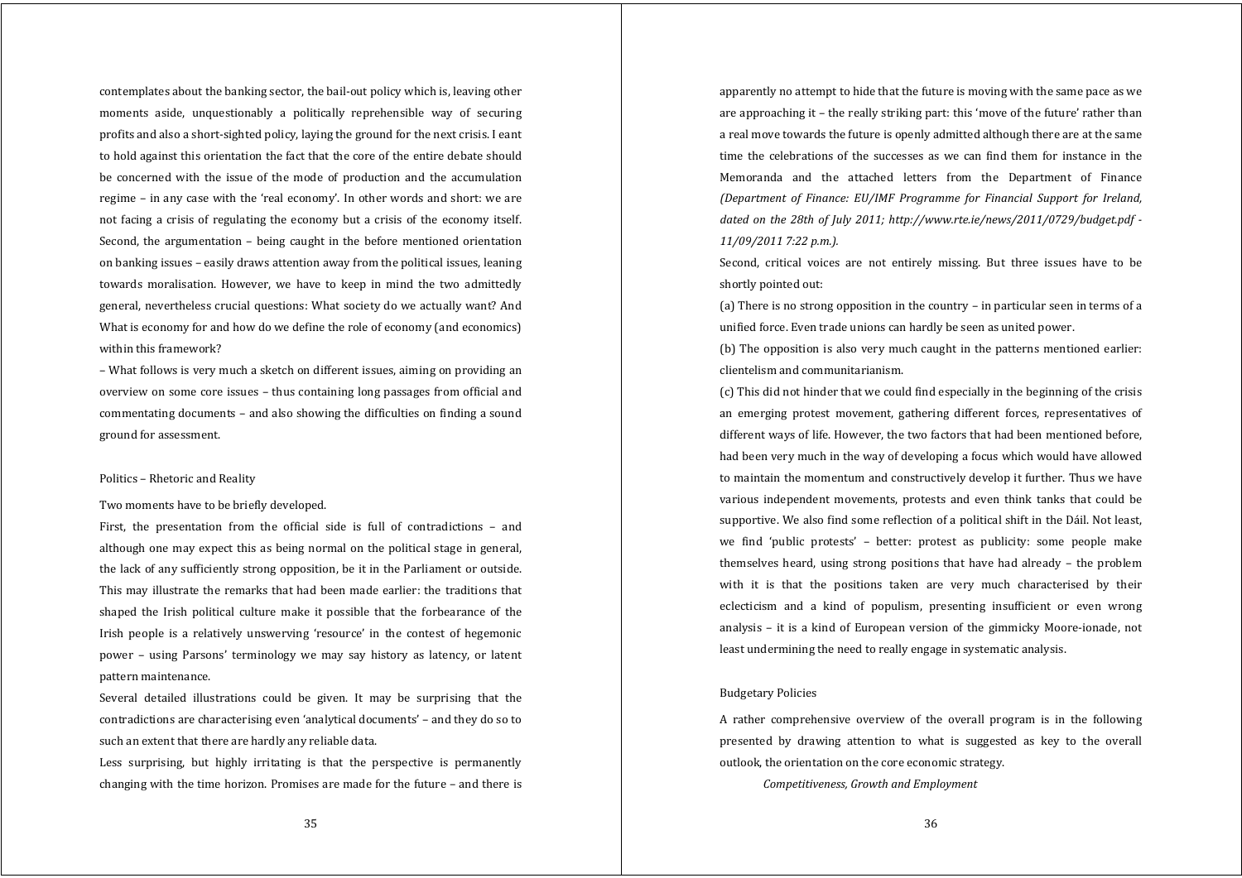contemplates about the banking sector, the bail‐out policy which is, leaving other moments aside, unquestionably <sup>a</sup> politically reprehensible way of securing profits and also a short‐sighted policy, laying the ground for the next crisis. I eant to hold against this orientation the fact that the core of the entire debate should be concerned with the issue of the mode of production and the accumulation regime – in any case with the 'real economy'. In other words and short: we are not facing a crisis of regulating the economy but a crisis of the economy itself. Second, the argumentation – being caught in the before mentioned orientation on banking issues – easily draws attention away from the political issues, leaning towards moralisation. However, we have to keep in mind the two admittedly general, nevertheless crucial questions: What society do we actually want? And What is economy for and how do we define the role of economy (and economics) within this framework?

– What follows is very much a sketch on different issues, aiming on providing an overview on some core issues – thus containing long passages from official and commentating documents – and also showing the difficulties on finding a sound ground for assessment.

## Politics – Rhetoric and Reality

Two moments have to be briefly developed.

First, the presentation from the official side is full of contradictions – and although one may expect this as being normal on the political stage in general, the lack of any sufficiently strong opposition, be it in the Parliament or outside. This may illustrate the remarks that had been made earlier: the traditions that shaped the Irish political culture make it possible that the forbearance of the Irish people is <sup>a</sup> relatively unswerving 'resource' in the contest of hegemonic power – using Parsons' terminology we may say history as latency, or latent pattern maintenance.

Several detailed illustrations could be given. It may be surprising that the contradictions are characterising even 'analytical documents' – and they do so to such an extent that there are hardly any reliable data.

Less surprising, but highly irritating is that the perspective is permanently changing with the time horizon. Promises are made for the future – and there is

apparently no attempt to hide that the future is moving with the same pace as we are approaching it – the really striking part: this 'move of the future' rather than a real move towards the future is openly admitted although there are at the same time the celebrations of the successes as we can find them for instance in the Memoranda and the attached letters from the Department of Finance *(Department of Finance: EU/IMF Programme for Financial Support for Ireland, dated on the 28th of July 2011; http://www.rte.ie/news/2011/0729/budget.pdf 11/09/2011 7:22 p.m.).*

Second, critical voices are not entirely missing. But three issues have to be shortly pointed out:

(a) There is no strong opposition in the country – in particular seen in terms of a unified force. Even trade unions can hardly be seen as united power.

(b) The opposition is also very much caught in the patterns mentioned earlier: clientelism and communitarianism.

(c) This did not hinder that we could find especially in the beginning of the crisis an emerging protest movement, gathering different forces, representatives of different ways of life. However, the two factors that had been mentioned before, had been very much in the way of developing a focus which would have allowed to maintain the momentum and constructively develop it further. Thus we have various independent movements, protests and even think tanks that could be supportive. We also find some reflection of a political shift in the Dáil. Not least, we find 'public protests' – better: protest as publicity: some people make themselves heard, using strong positions that have had already – the problem with it is that the positions taken are very much characterised by their eclecticism and <sup>a</sup> kind of populism, presenting insufficient or even wrong analysis – it is <sup>a</sup> kind of European version of the gimmicky Moore‐ionade, not least undermining the need to really engage in systematic analysis.

# Budgetary Policies

A rather comprehensive overview of the overall program is in the following presented by drawing attention to what is suggested as key to the overall outlook, the orientation on the core economic strategy.

*Competitiveness, Growth and Employment*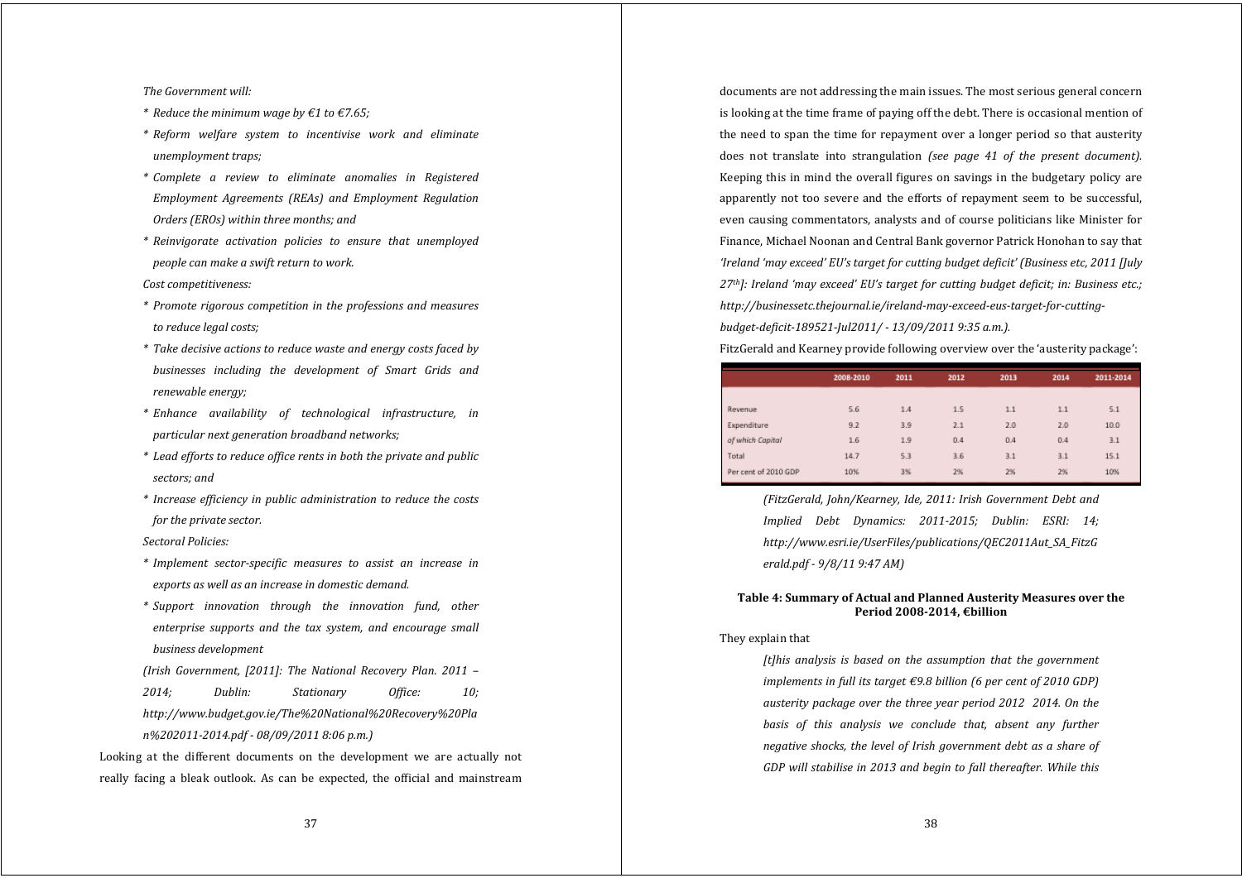#### *The Government will:*

- *\* Reduce the minimum wage by €1 to €7.65;*
- *\* Reform welfare system to incentivise work and eliminate unemployment traps;*
- *\* Complete <sup>a</sup> review to eliminate anomalies in Registered Employment Agreements (REAs) and Employment Regulation Orders (EROs) within three months; and*
- *\* Reinvigorate activation policies to ensure that unemployed people can make <sup>a</sup> swift return to work.*

# *Cost competitiveness:*

- *\* Promote rigorous competition in the professions and measures to reduce legal costs;*
- *\* Take decisive actions to reduce waste and energy costs faced by businesses including the development of Smart Grids and renewable energy;*
- *\* Enhance availability of technological infrastructure, in particular next generation broadband networks;*
- *\* Lead efforts to reduce office rents in both the private and public sectors; and*
- *\* Increase efficiency in public administration to reduce the costs for the private sector.*

# *Sectoral Policies:*

- *\* Implement sectorspecific measures to assist an increase in exports as well as an increase in domestic demand.*
- *\* Support innovation through the innovation fund, other enterprise supports and the tax system, and encourage small business development*
- *(Irish Government, [2011]: The National Recovery Plan. 2011 – 2014; Dublin: Stationary Office: 10; http://www.budget.gov.ie/The%20National%20Recovery%20Pla*

Looking at the different documents on the development we are actually not really facing <sup>a</sup> bleak outlook. As can be expected, the official and mainstream

*n%2020112014.pdf 08/09/2011 8:06 p.m.)*

documents are not addressing the main issues. The most serious general concern is looking at the time frame of paying off the debt. There is occasional mention of the need to span the time for repayment over a longer period so that austerity does not translate into strangulation *(see page 41 of the present document).* Keeping this in mind the overall figures on savings in the budgetary policy are apparently not too severe and the efforts of repayment seem to be successful, even causing commentators, analysts and of course politicians like Minister for Finance, Michael Noonan and Central Bank governor Patrick Honohan to say that *'Ireland 'may exceed' EU's target for cutting budget deficit' (Business etc, 2011 [July 27th]: Ireland 'may exceed' EU's target for cutting budget deficit; in: Business etc.; http://businessetc.thejournal.ie/irelandmayexceedeustargetforcuttingbudgetdeficit189521Jul2011/ 13/09/2011 9:35 a.m.).*

FitzGerald and Kearney provide following overview over the 'austerity package':

|                      | 2008-2010 | 2011 | 2012 | 2013 | 2014 | 2011-2014 |
|----------------------|-----------|------|------|------|------|-----------|
|                      |           |      |      |      |      |           |
| Revenue              | 5.6       | 1.4  | 1.5  | 1.1  | 1.1  | 5.1       |
| Expenditure          | 9.2       | 3.9  | 2.1  | 2.0  | 2.0  | 10.0      |
| of which Capital     | 1.6       | 1.9  | 0.4  | 0.4  | 0.4  | 3.1       |
| Total                | 14.7      | 5.3  | 3.6  | 3.1  | 3.1  | 15.1      |
| Per cent of 2010 GDP | 10%       | 3%   | 2%   | 2%   | 2%   | 10%       |

*(FitzGerald, John/Kearney, Ide, 2011: Irish Government Debt and Implied Debt Dynamics: 20112015; Dublin: ESRI: 14; http://www.esri.ie/UserFiles/publications/QEC2011Aut\_SA\_FitzG erald.pdf 9/8/11 9:47 AM)*

## **Table 4: Summary of Actual and Planned Austerity Measures over the Period 20082014, €billion**

### They explain that

*[t]his analysis is based on the assumption that the governmen<sup>t</sup> implements in full its target €9.8 billion (6 per cent of 2010 GDP) austerity package over the three year period 20122014. On the basis of this analysis we conclude that, absent any further negative shocks, the level of Irish governmen<sup>t</sup> debt as <sup>a</sup> share of GDP will stabilise in 2013 and begin to fall thereafter. While this*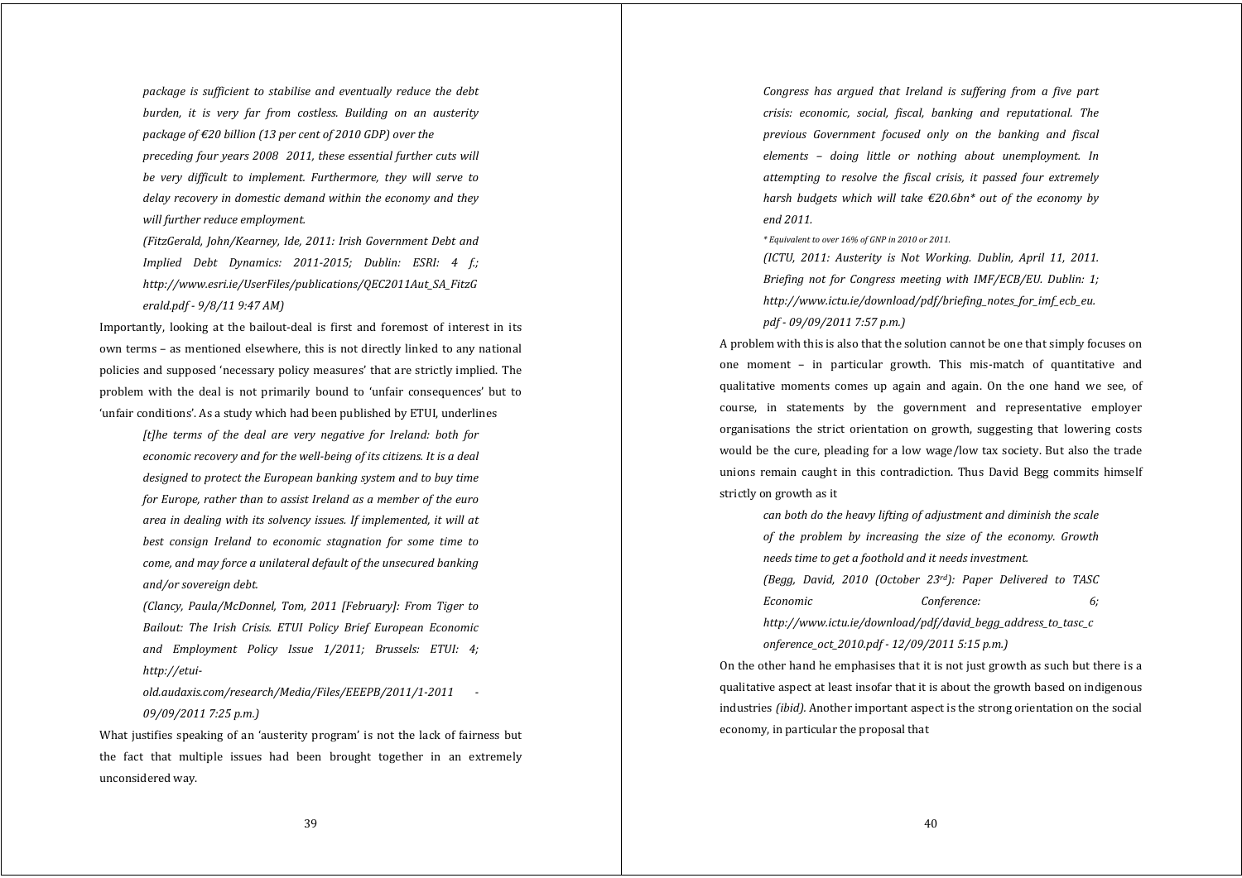*package is sufficient to stabilise and eventually reduce the debt burden, it is very far from costless. Building on an austerity package of €20 billion (13 per cent of 2010 GDP) over the preceding four years 20082011, these essential further cuts will be very difficult to implement. Furthermore, they will serve to delay recovery in domestic demand within the economy and they will further reduce employment.*

*(FitzGerald, John/Kearney, Ide, 2011: Irish Government Debt and Implied Debt Dynamics: 20112015; Dublin: ESRI: 4 f.; http://www.esri.ie/UserFiles/publications/QEC2011Aut\_SA\_FitzG erald.pdf 9/8/11 9:47 AM)*

Importantly, looking at the bailout-deal is first and foremost of interest in its own terms – as mentioned elsewhere, this is not directly linked to any national policies and supposed 'necessary policy measures' that are strictly implied. The problem with the deal is not primarily bound to 'unfair consequences' but to 'unfair conditions'. As a study which had been published by ETUI, underlines

> *[t]he terms of the deal are very negative for Ireland: both for economic recovery and for the wellbeing of its citizens. It is <sup>a</sup> deal designed to protect the European banking system and to buy time for Europe, rather than to assist Ireland as <sup>a</sup> member of the euro area in dealing with its solvency issues. If implemented, it will at best consign Ireland to economic stagnation for some time to come, and may force <sup>a</sup> unilateral default of the unsecured banking and/or sovereign debt.*

> *(Clancy, Paula/McDonnel, Tom, 2011 [February]: From Tiger to Bailout: The Irish Crisis. ETUI Policy Brief European Economic and Employment Policy Issue 1/2011; Brussels: ETUI: 4; http://etui-*

> *old.audaxis.com/research/Media/Files/EEEPB/2011/12011 09/09/2011 7:25 p.m.)*

What justifies speaking of an 'austerity program' is not the lack of fairness but the fact that multiple issues had been brought together in an extremely unconsidered way.

*Congress has argued that Ireland is suffering from <sup>a</sup> five part crisis: economic, social, fiscal, banking and reputational. The previous Government focused only on the banking and fiscal elements – doing little or nothing about unemployment. In attempting to resolve the fiscal crisis, it passed four extremely harsh budgets which will take €20.6bn\* out of the economy by end 2011.*

*\* Equivalent to over 16% of GNP in 2010 or 2011.*

*(ICTU, 2011: Austerity is Not Working. Dublin, April 11, 2011. Briefing not for Congress meeting with IMF/ECB/EU. Dublin: 1; http://www.ictu.ie/download/pdf/briefing\_notes\_for\_imf\_ecb\_eu. pdf 09/09/2011 7:57 p.m.)*

A problem with this is also that the solution cannot be one that simply focuses on one moment – in particular growth. This mis‐match of quantitative and qualitative moments comes up again and again. On the one hand we see, of course, in statements by the governmen<sup>t</sup> and representative employer organisations the strict orientation on growth, suggesting that lowering costs would be the cure, pleading for a low wage/low tax society. But also the trade unions remain caught in this contradiction. Thus David Begg commits himself strictly on growth as it

*can both do the heavy lifting of adjustment and diminish the scale of the problem by increasing the size of the economy. Growth needs time to ge<sup>t</sup> <sup>a</sup> foothold and it needs investment. (Begg, David, 2010 (October 23rd): Paper Delivered to TASC Economic Conference: 6; http://www.ictu.ie/download/pdf/david\_begg\_address\_to\_tasc\_c onference\_oct\_2010.pdf 12/09/2011 5:15 p.m.)*

On the other hand he emphasises that it is not just growth as such but there is a qualitative aspect at least insofar that it is about the growth based on indigenous industries *(ibid).* Another important aspect is the strong orientation on the social economy, in particular the proposal that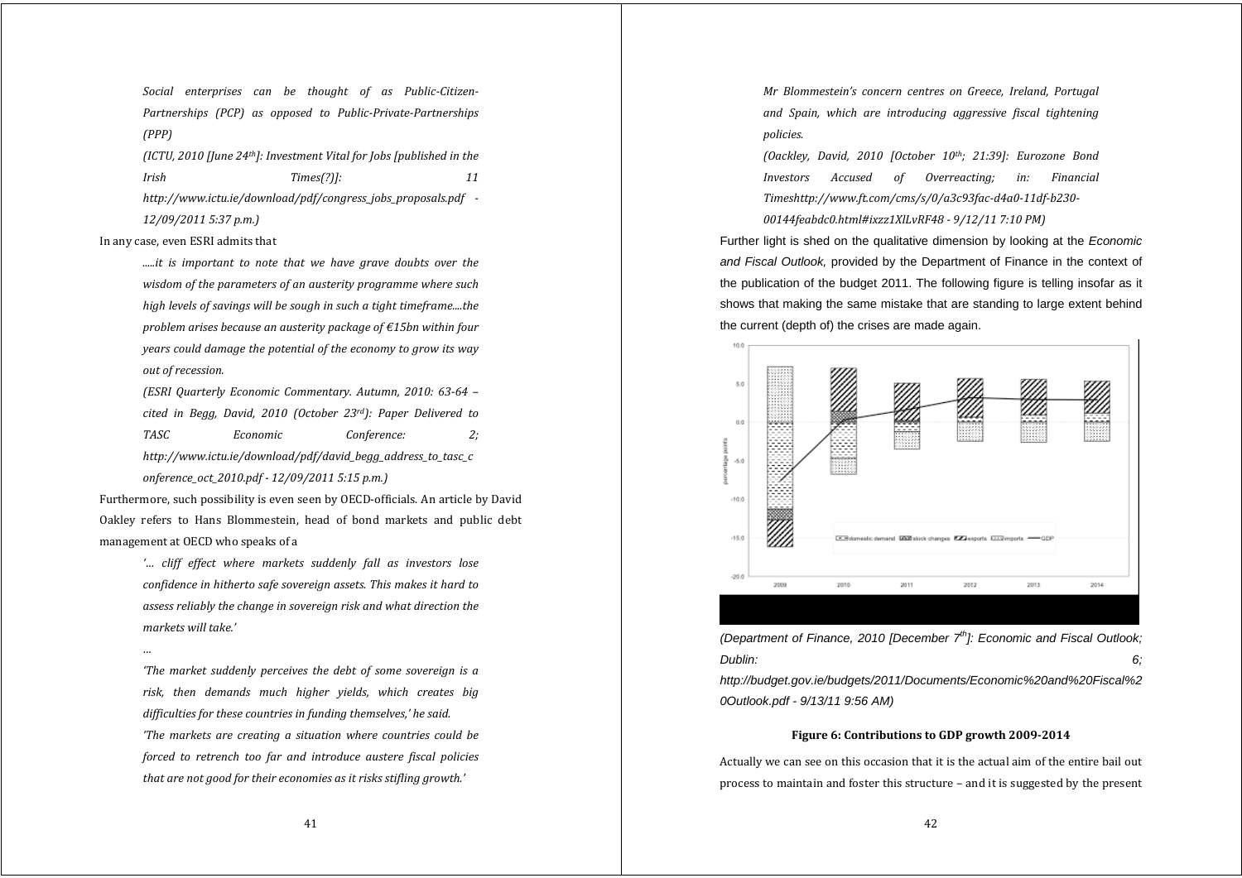*Social enterprises can be thought of as PublicCitizen-Partnerships (PCP) as opposed to PublicPrivatePartnerships (PPP)*

*(ICTU, 2010 [June 24th]: Investment Vital for Jobs [published in the Irish Times(?)]: 11 http://www.ictu.ie/download/pdf/congress\_jobs\_proposals.pdf 12/09/2011 5:37 p.m.)*

In any case, even ESRI admits that

*.....it is important to note that we have grave doubts over the wisdom of the parameters of an austerity programme where such high levels of savings will be sough in such <sup>a</sup> tight timeframe....the problem arises because an austerity package of €15bn within four years could damage the potential of the economy to grow its way out of recession.*

*(ESRI Quarterly Economic Commentary. Autumn, 2010: 6364 – cited in Begg, David, 2010 (October 23rd): Paper Delivered to TASC Economic Conference: 2; http://www.ictu.ie/download/pdf/david\_begg\_address\_to\_tasc\_c onference\_oct\_2010.pdf 12/09/2011 5:15 p.m.)*

Furthermore, such possibility is even seen by OECD‐officials. An article by David Oakley refers to Hans Blommestein, head of bond markets and public debt management at OECD who speaks of a

> *'… cliff effect where markets suddenly fall as investors lose confidence in hitherto safe sovereign assets. This makes it hard to assess reliably the change in sovereign risk and what direction the markets will take.'*

> *'The market suddenly perceives the debt of some sovereign is <sup>a</sup> risk, then demands much higher yields, which creates big difficulties for these countries in funding themselves,' he said. 'The markets are creating <sup>a</sup> situation where countries could be forced to retrench too far and introduce austere fiscal policies that are not good for their economies as it risks stifling growth.'*

*Mr Blommestein's concern centres on Greece, Ireland, Portugal and Spain, which are introducing aggressive fiscal tightening policies.*

*(Oackley, David, 2010 [October 10th; 21:39]: Eurozone Bond Investors Accused of Overreacting; in: Financial Timeshttp://www.ft.com/cms/s/0/a3c93facd4a011dfb230 00144feabdc0.html#ixzz1XlLvRF48 9/12/11 7:10 PM)*

Further light is shed on the qualitative dimension by looking at the *Economic and Fiscal Outlook,* provided by the Department of Finance in the context of the publication of the budget 2011. The following figure is telling insofar as it shows that making the same mistake that are standing to large extent behind the current (depth of) the crises are made again.



*(Department of Finance, 2010 [December 7th]: Economic and Fiscal Outlook; Dublin: 6;* 

*http://budget.gov.ie/budgets/2011/Documents/Economic%20and%20Fiscal%2 0Outlook.pdf - 9/13/11 9:56 AM)* 

# **Figure 6: Contributions to GDP growth 20092014**

Actually we can see on this occasion that it is the actual aim of the entire bail out process to maintain and foster this structure – and it is suggested by the present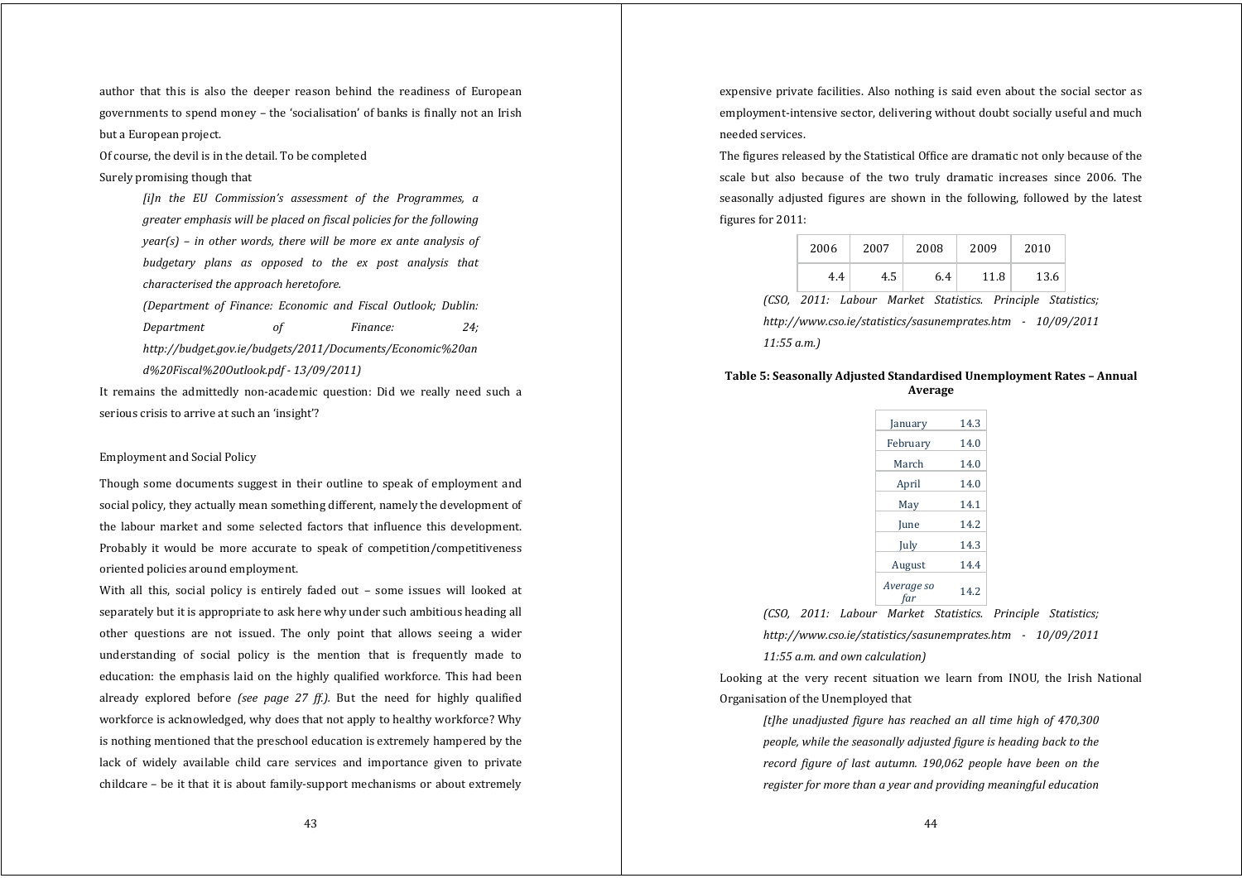author that this is also the deeper reason behind the readiness of European governments to spend money – the 'socialisation' of banks is finally not an Irish but a European project.

Of course, the devil is in the detail. To be completed

Surely promising though that

*[i]n the EU Commission's assessment of the Programmes, <sup>a</sup> greater emphasis will be placed on fiscal policies for the following year(s) – in other words, there will be more ex ante analysis of budgetary plans as opposed to the ex post analysis that characterised the approach heretofore.*

*(Department of Finance: Economic and Fiscal Outlook; Dublin: Department of Finance: 24; http://budget.gov.ie/budgets/2011/Documents/Economic%20an d%20Fiscal%20Outlook.pdf 13/09/2011)*

It remains the admittedly non-academic question: Did we really need such a serious crisis to arrive at such an 'insight'?

# Employment and Social Policy

Though some documents suggest in their outline to speak of employment and social policy, they actually mean something different, namely the development of the labour market and some selected factors that influence this development. Probably it would be more accurate to speak of competition/competitiveness oriented policies around employment.

With all this, social policy is entirely faded out - some issues will looked at separately but it is appropriate to ask here why under such ambitious heading all other questions are not issued. The only point that allows seeing <sup>a</sup> wider understanding of social policy is the mention that is frequently made to education: the emphasis laid on the highly qualified workforce. This had been already explored before *(see page 27 ff.).* But the need for highly qualified workforce is acknowledged, why does that not apply to healthy workforce? Why is nothing mentioned that the preschool education is extremely hampered by the lack of widely available child care services and importance given to private childcare – be it that it is about family‐support mechanisms or about extremely

expensive private facilities. Also nothing is said even about the social sector as employment-intensive sector, delivering without doubt socially useful and much needed services.

The figures released by the Statistical Office are dramatic not only because of the scale but also because of the two truly dramatic increases since 2006. The seasonally adjusted figures are shown in the following, followed by the latest figures for 2011:

| 2006 | 2007                                                        | 2008 | 2009 | 2010 |  |
|------|-------------------------------------------------------------|------|------|------|--|
| 4.4  | 4.5                                                         | 6.4  | 11.8 | 13.6 |  |
|      | (CSO, 2011: Labour Market Statistics. Principle Statistics; |      |      |      |  |

*http://www.cso.ie/statistics/sasunemprates.htm 10/09/2011 11:55 a.m.)*

# **Table 5: Seasonally Adjusted Standardised Unemployment Rates – Annual Average**

| January     | 14.3 |
|-------------|------|
| February    | 14.0 |
| March       | 14.0 |
| April       | 14.0 |
| May         | 14.1 |
| <b>Iune</b> | 14.2 |
| July        | 14.3 |
| August      | 14.4 |
| Average so  | 14.2 |

*(CSO, 2011: Labour Market Statistics. Principle Statistics; http://www.cso.ie/statistics/sasunemprates.htm 10/09/2011 11:55 a.m. and own calculation)*

Looking at the very recent situation we learn from INOU, the Irish National Organisation of the Unemployed that

*[t]he unadjusted figure has reached an all time high of 470,300 people, while the seasonally adjusted figure is heading back to the record figure of last autumn. 190,062 people have been on the register for more than <sup>a</sup> year and providing meaningful education*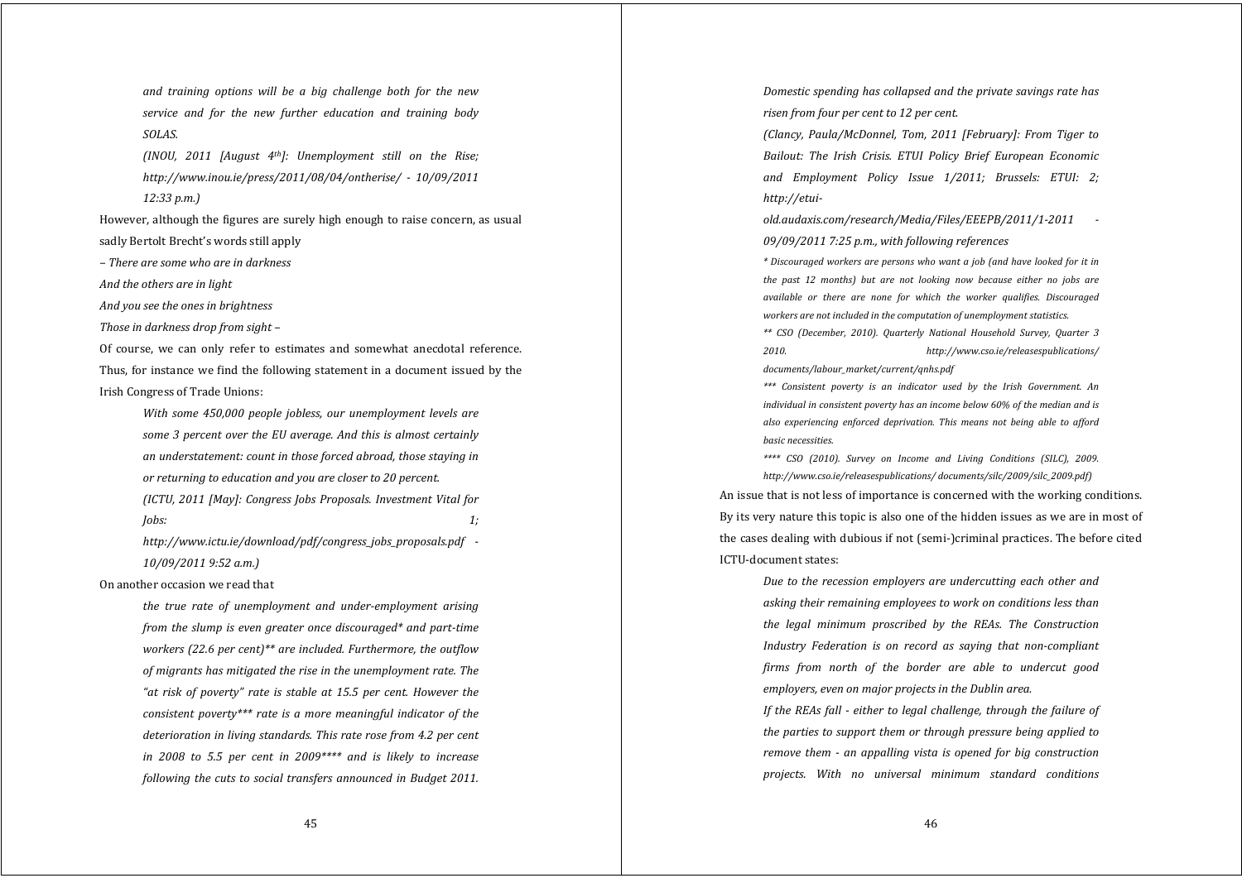*and training options will be <sup>a</sup> big challenge both for the new service and for the new further education and training body SOLAS.*

*(INOU, 2011 [August 4th]: Unemployment still on the Rise; http://www.inou.ie/press/2011/08/04/ontherise/ 10/09/2011 12:33 p.m.)*

However, although the figures are surely high enough to raise concern, as usual sadly Bertolt Brecht's words still apply

*– There are some who are in darkness*

*And the others are in light*

*And you see the ones in brightness*

*Those in darkness drop from sight –*

Of course, we can only refer to estimates and somewhat anecdotal reference. Thus, for instance we find the following statement in a document issued by the Irish Congress of Trade Unions:

> *With some 450,000 people jobless, our unemployment levels are some 3 percent over the EU average. And this is almost certainly an understatement: count in those forced abroad, those staying in or returning to education and you are closer to 20 percent. (ICTU, 2011 [May]: Congress Jobs Proposals. Investment Vital for*

> *Jobs: 1;*

*http://www.ictu.ie/download/pdf/congress\_jobs\_proposals.pdf 10/09/2011 9:52 a.m.)*

On another occasion we read that

*the true rate of unemployment and underemployment arising from the slump is even greater once discouraged\* and parttime workers (22.6 per cent)\*\* are included. Furthermore, the outflow of migrants has mitigated the rise in the unemployment rate. The "at risk of poverty" rate is stable at 15.5 per cent. However the consistent poverty\*\*\* rate is <sup>a</sup> more meaningful indicator of the deterioration in living standards. This rate rose from 4.2 per cent in 2008 to 5.5 per cent in 2009\*\*\*\* and is likely to increase following the cuts to social transfers announced in Budget 2011.* *Domestic spending has collapsed and the private savings rate has risen from four per cent to 12 per cent.*

*(Clancy, Paula/McDonnel, Tom, 2011 [February]: From Tiger to Bailout: The Irish Crisis. ETUI Policy Brief European Economic and Employment Policy Issue 1/2011; Brussels: ETUI: 2; http://etui-*

*old.audaxis.com/research/Media/Files/EEEPB/2011/12011 09/09/2011 7:25 p.m., with following references*

*\* Discouraged workers are persons who want <sup>a</sup> job (and have looked for it in the past 12 months) but are not looking now because either no jobs are available or there are none for which the worker qualifies. Discouraged workers are not included in the computation of unemployment statistics.*

*\*\* CSO (December, 2010). Quarterly National Household Survey, Quarter 3 2010. http://www.cso.ie/releasespublications/ documents/labour\_market/current/qnhs.pdf*

*\*\*\* Consistent poverty is an indicator used by the Irish Government. An individual in consistent poverty has an income below 60% of the median and is also experiencing enforced deprivation. This means not being able to afford basic necessities.*

*\*\*\*\* CSO (2010). Survey on Income and Living Conditions (SILC), 2009. http://www.cso.ie/releasespublications/ documents/silc/2009/silc\_2009.pdf)*

An issue that is not less of importance is concerned with the working conditions. By its very nature this topic is also one of the hidden issues as we are in most of the cases dealing with dubious if not (semi‐)criminal practices. The before cited ICTU‐document states:

*Due to the recession employers are undercutting each other and asking their remaining employees to work on conditions less than the legal minimum proscribed by the REAs. The Construction Industry Federation is on record as saying that noncompliant firms from north of the border are able to undercut good employers, even on major projects in the Dublin area.*

*If the REAs fall either to legal challenge, through the failure of the parties to support them or through pressure being applied to remove them an appalling vista is opened for big construction projects. With no universal minimum standard conditions*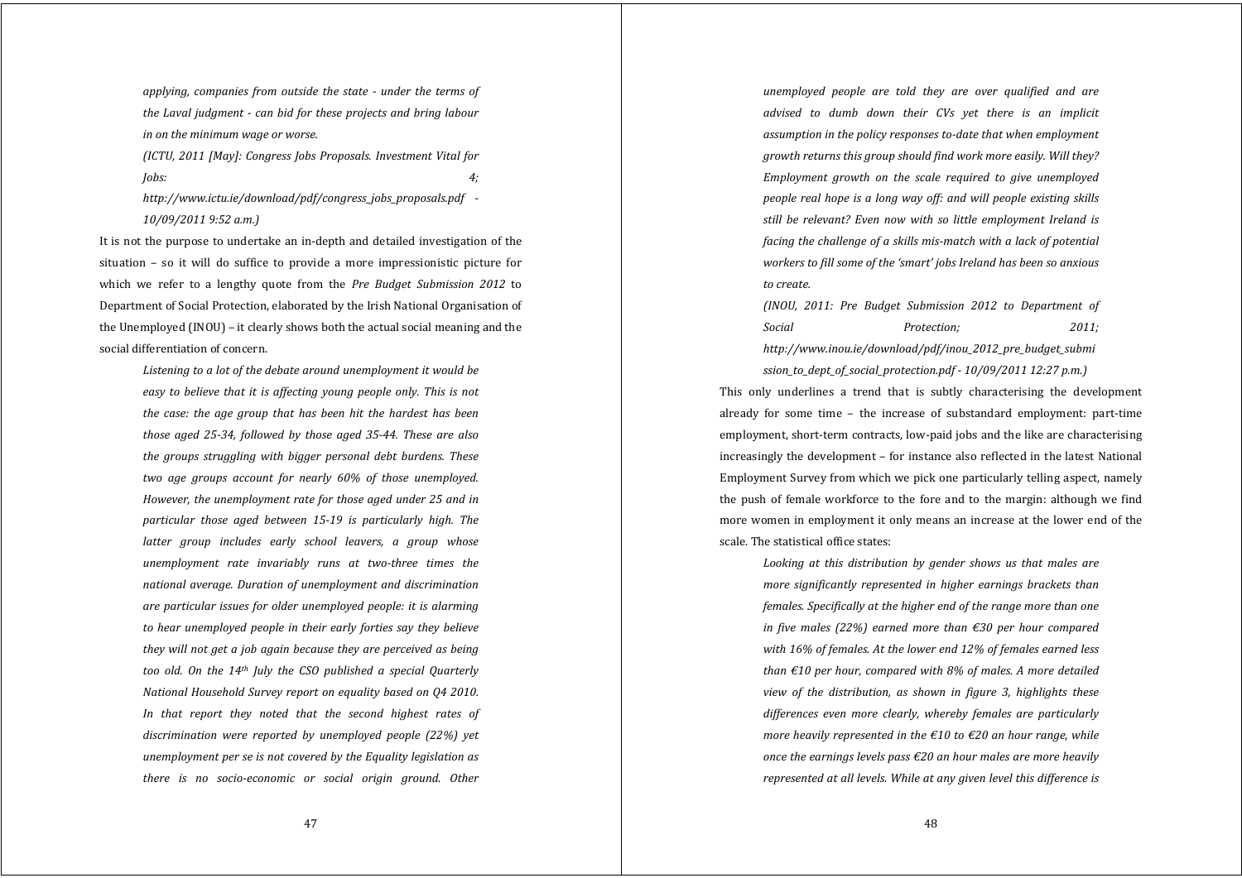*applying, companies from outside the state under the terms of the Laval judgment can bid for these projects and bring labour in on the minimum wage or worse.*

*(ICTU, 2011 [May]: Congress Jobs Proposals. Investment Vital for Jobs: 4;*

*http://www.ictu.ie/download/pdf/congress\_jobs\_proposals.pdf 10/09/2011 9:52 a.m.)*

It is not the purpose to undertake an in‐depth and detailed investigation of the situation – so it will do suffice to provide <sup>a</sup> more impressionistic picture for which we refer to <sup>a</sup> lengthy quote from the *Pre Budget Submission 2012* to Department of Social Protection, elaborated by the Irish National Organisation of the Unemployed (INOU) – it clearly shows both the actual social meaning and the social differentiation of concern.

> *Listening to <sup>a</sup> lot of the debate around unemployment it would be easy to believe that it is affecting young people only. This is not the case: the age group that has been hit the hardest has been those aged 2534, followed by those aged 3544. These are also the groups struggling with bigger personal debt burdens. These two age groups account for nearly 60% of those unemployed. However, the unemployment rate for those aged under 25 and in particular those aged between 1519 is particularly high. The latter group includes early school leavers, <sup>a</sup> group whose unemployment rate invariably runs at twothree times the national average. Duration of unemployment and discrimination are particular issues for older unemployed people: it is alarming to hear unemployed people in their early forties say they believe they will not ge<sup>t</sup> <sup>a</sup> job again because they are perceived as being too old. On the 14th July the CSO published <sup>a</sup> special Quarterly National Household Survey report on equality based on Q4 2010. In that report they noted that the second highest rates of discrimination were reported by unemployed people (22%) yet unemployment per se is not covered by the Equality legislation as there is no socioeconomic or social origin ground. Other*

*unemployed people are told they are over qualified and are advised to dumb down their CVs yet there is an implicit assumption in the policy responses todate that when employment growth returns this group should find work more easily. Will they? Employment growth on the scale required to give unemployed people real hope is <sup>a</sup> long way off: and will people existing skills still be relevant? Even now with so little employment Ireland is facing the challenge of <sup>a</sup> skills mismatch with <sup>a</sup> lack of potential workers to fill some of the 'smart' jobs Ireland has been so anxious to create.*

*(INOU, 2011: Pre Budget Submission 2012 to Department of Social Protection; 2011; http://www.inou.ie/download/pdf/inou\_2012\_pre\_budget\_submi*

*ssion\_to\_dept\_of\_social\_protection.pdf 10/09/2011 12:27 p.m.)* This only underlines a trend that is subtly characterising the development already for some time – the increase of substandard employment: part‐time employment, short-term contracts, low-paid jobs and the like are characterising increasingly the development – for instance also reflected in the latest National Employment Survey from which we pick one particularly telling aspect, namely the push of female workforce to the fore and to the margin: although we find more women in employment it only means an increase at the lower end of the scale. The statistical office states:

*Looking at this distribution by gender shows us that males are more significantly represented in higher earnings brackets than females. Specifically at the higher end of the range more than one in five males (22%) earned more than €30 per hour compared with 16% of females. At the lower end 12% of females earned less than €10 per hour, compared with 8% of males. A more detailed view of the distribution, as shown in figure 3, highlights these differences even more clearly, whereby females are particularly more heavily represented in the €10 to €20 an hour range, while once the earnings levels pass €20 an hour males are more heavily represented at all levels. While at any given level this difference is*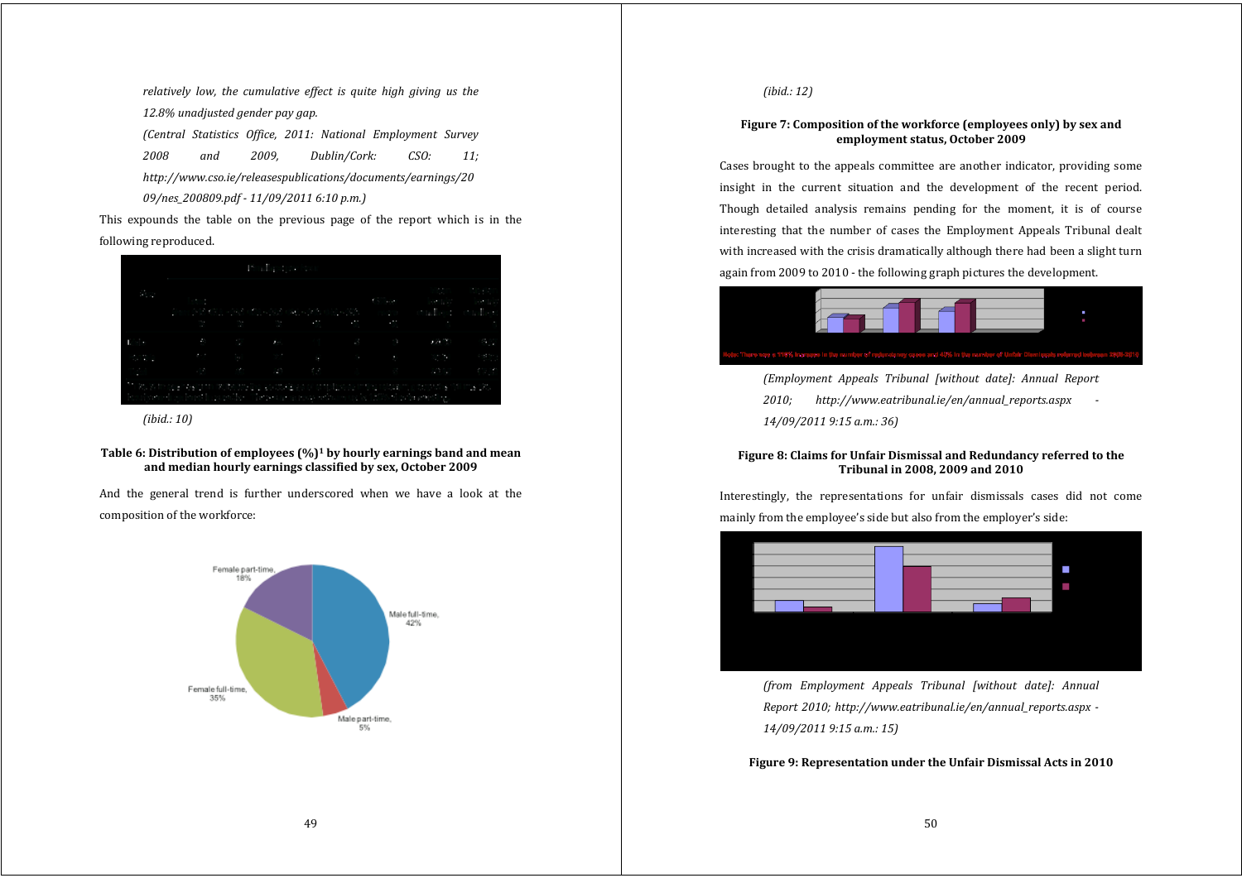*relatively low, the cumulative effect is quite high giving us the 12.8% unadjusted gender pay gap.*

*(Central Statistics Office, 2011: National Employment Survey*

*2008 and 2009, Dublin/Cork: CSO: 11; http://www.cso.ie/releasespublications/documents/earnings/20 09/nes\_200809.pdf 11/09/2011 6:10 p.m.)*

This expounds the table on the previous page of the report which is in the following reproduced.

| <b>COLLECTION</b> |                                                                                                                                                                                                                               |  |  | Man Mish<br>the contract of the contract and the contract of the contract of the contract of the contract of the contract of the contract of the contract of the contract of the contract of the contract of the contract of the contract |  |
|-------------------|-------------------------------------------------------------------------------------------------------------------------------------------------------------------------------------------------------------------------------|--|--|-------------------------------------------------------------------------------------------------------------------------------------------------------------------------------------------------------------------------------------------|--|
|                   |                                                                                                                                                                                                                               |  |  |                                                                                                                                                                                                                                           |  |
|                   | 대학 이 사람들은 한 사람들을 하고 있다. 이 사람들은 이 아이가 없다고 있다.                                                                                                                                                                                  |  |  |                                                                                                                                                                                                                                           |  |
|                   |                                                                                                                                                                                                                               |  |  |                                                                                                                                                                                                                                           |  |
|                   | - 120 - 200 - 421 - 300 - 300 - 400 - 400 - 400 - 400 - 400 - 400 - 400 - 400 - 400 - 400 - 400 - 400 - 400 - 400 - 400 - 400 - 400 - 400 - 400 - 400 - 400 - 400 - 400 - 400 - 400 - 400 - 400 - 400 - 400 - 400 - 400 - 400 |  |  |                                                                                                                                                                                                                                           |  |

*(ibid.: 10)*

**Table 6: Distribution of employees (%)1 by hourly earnings band and mean and median hourly earnings classified by sex, October 2009**

And the general trend is further underscored when we have <sup>a</sup> look at the composition of the workforce:



*(ibid.: 12)*

# **Figure 7: Composition of the workforce (employees only) by sex and employment status, October 2009**

Cases brought to the appeals committee are another indicator, providing some insight in the current situation and the development of the recent period. Though detailed analysis remains pending for the moment, it is of course interesting that the number of cases the Employment Appeals Tribunal dealt with increased with the crisis dramatically although there had been a slight turn again from 2009 to 2010 ‐ the following graph pictures the development.



*(Employment Appeals Tribunal [without date]: Annual Report 2010; http://www.eatribunal.ie/en/annual\_reports.aspx 14/09/2011 9:15 a.m.: 36)*

# **Figure 8: Claims for Unfair Dismissal and Redundancy referred to the Tribunal in 2008, 2009 and 2010**

Interestingly, the representations for unfair dismissals cases did not come mainly from the employee's side but also from the employer's side:



*(from Employment Appeals Tribunal [without date]: Annual Report 2010; http://www.eatribunal.ie/en/annual\_reports.aspx 14/09/2011 9:15 a.m.: 15)*

**Figure 9: Representation under the Unfair Dismissal Acts in 2010**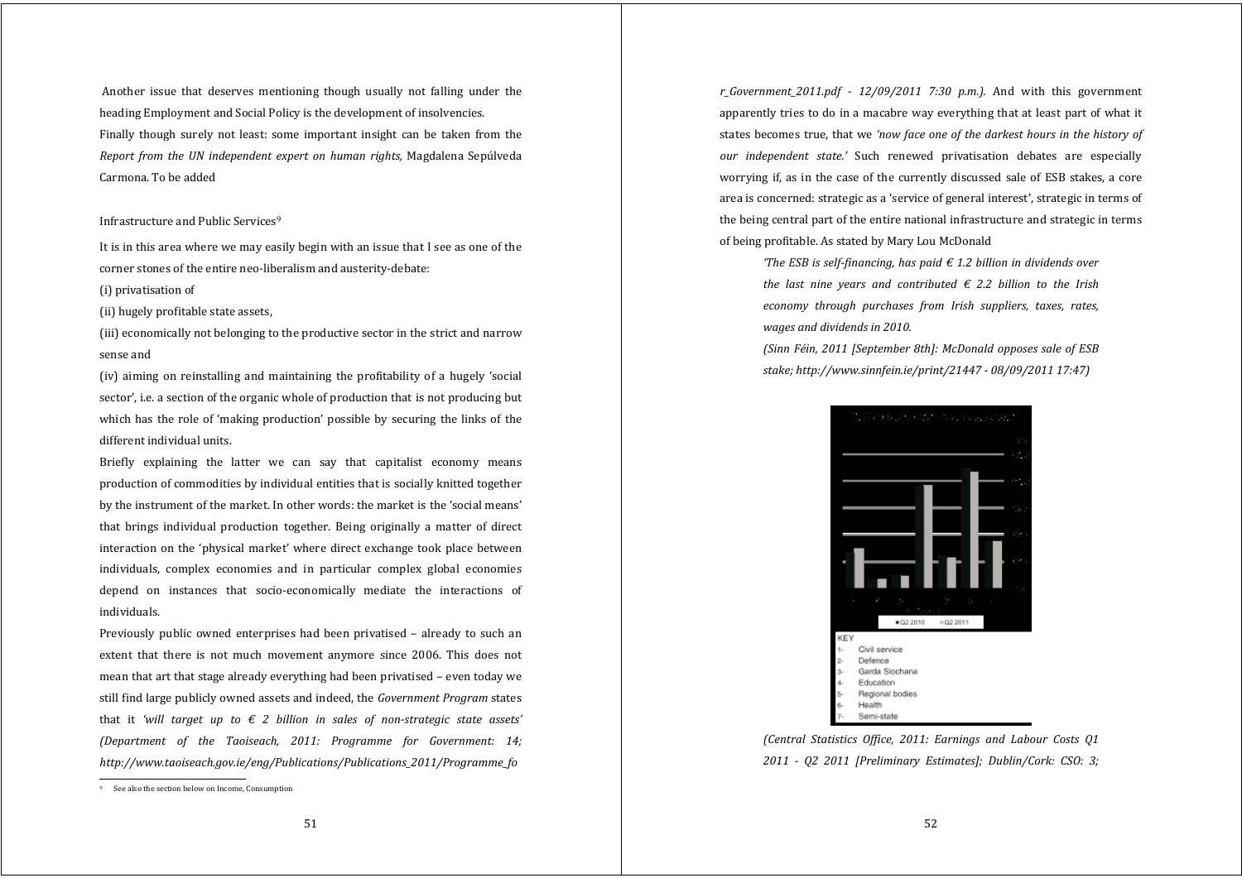Another issue that deserves mentioning though usually not falling under the heading Employment and Social Policy is the development of insolvencies. Finally though surely not least: some important insight can be taken from the *Report from the UN independent expert on human rights,* Magdalena Sepúlveda Carmona. To be added

### Infrastructure and Public Services<sup>9</sup>

It is in this area where we may easily begin with an issue that I see as one of the corner stones of the entire neo‐liberalism and austerity‐debate:

(i) privatisation of

(ii) hugely profitable state assets,

(iii) economically not belonging to the productive sector in the strict and narrow sense and

(iv) aiming on reinstalling and maintaining the profitability of <sup>a</sup> hugely 'social sector', i.e. a section of the organic whole of production that is not producing but which has the role of 'making production' possible by securing the links of the different individual units.

Briefly explaining the latter we can say that capitalist economy means production of commodities by individual entities that is socially knitted together by the instrument of the market. In other words: the market is the 'social means' that brings individual production together. Being originally <sup>a</sup> matter of direct interaction on the 'physical market' where direct exchange took place between individuals, complex economies and in particular complex global economies depend on instances that socio‐economically mediate the interactions of individuals.

Previously public owned enterprises had been privatised – already to such an extent that there is not much movement anymore since 2006. This does not mean that art that stage already everything had been privatised – even today we still find large publicly owned assets and indeed, the *Government Program* states that it 'will target up to  $\epsilon$  2 billion in sales of non-strategic state assets' *(Department of the Taoiseach, 2011: Programme for Government: 14; http://www.taoiseach.gov.ie/eng/Publications/Publications\_2011/Programme\_fo*

*r\_Government\_2011.pdf 12/09/2011 7:30 p.m.).* And with this governmen<sup>t</sup> apparently tries to do in a macabre way everything that at least part of what it states becomes true, that we *'now face one of the darkest hours in the history of our independent state.'* Such renewed privatisation debates are especially worrying if, as in the case of the currently discussed sale of ESB stakes, a core area is concerned: strategic as a 'service of general interest', strategic in terms of the being central part of the entire national infrastructure and strategic in terms of being profitable. As stated by Mary Lou McDonald

*'The ESB is selffinancing, has paid € 1.2 billion in dividends over the last nine years and contributed € 2.2 billion to the Irish economy through purchases from Irish suppliers, taxes, rates, wages and dividends in 2010.*

*(Sinn Féin, 2011 [September 8th]: McDonald opposes sale of ESB stake; http://www.sinnfein.ie/print/21447 08/09/2011 17:47)*



*(Central Statistics Office, 2011: Earnings and Labour Costs Q1 2011 Q2 2011 [Preliminary Estimates]; Dublin/Cork: CSO: 3;*

See also the section below on Income, Consumption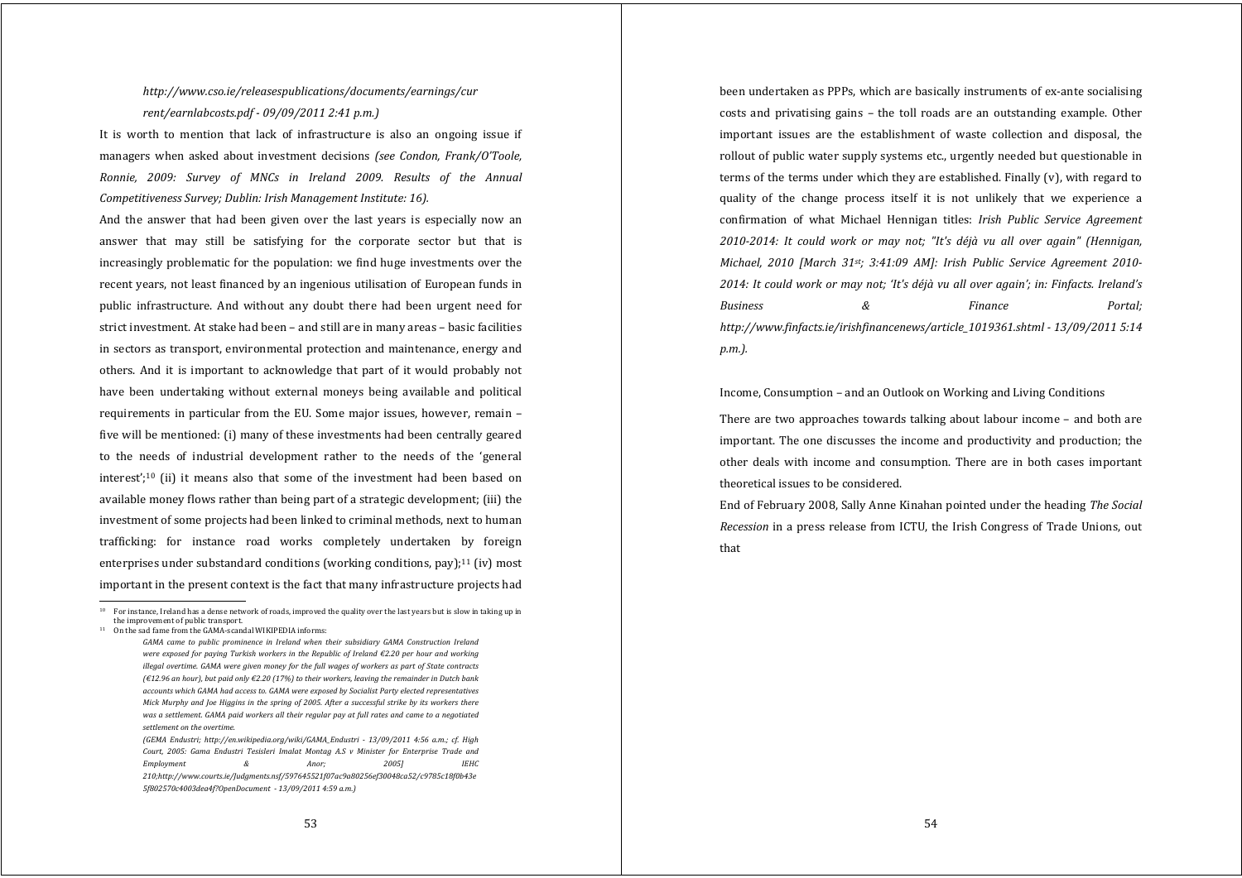# *http://www.cso.ie/releasespublications/documents/earnings/cur rent/earnlabcosts.pdf 09/09/2011 2:41 p.m.)*

It is worth to mention that lack of infrastructure is also an ongoing issue if managers when asked about investment decisions *(see Condon, Frank/O'Toole, Ronnie, 2009: Survey of MNCs in Ireland 2009. Results of the Annual Competitiveness Survey; Dublin: Irish Management Institute: 16).*

And the answer that had been given over the last years is especially now an answer that may still be satisfying for the corporate sector but that is increasingly problematic for the population: we find huge investments over the recent years, not least financed by an ingenious utilisation of European funds in public infrastructure. And without any doubt there had been urgen<sup>t</sup> need for strict investment. At stake had been – and still are in many areas – basic facilities in sectors as transport, environmental protection and maintenance, energy and others. And it is important to acknowledge that part of it would probably not have been undertaking without external moneys being available and political requirements in particular from the EU. Some major issues, however, remain – five will be mentioned: (i) many of these investments had been centrally geared to the needs of industrial development rather to the needs of the 'general interest';<sup>10</sup> (ii) it means also that some of the investment had been based on available money flows rather than being part of a strategic development; (iii) the investment of some projects had been linked to criminal methods, next to human trafficking: for instance road works completely undertaken by foreign enterprises under substandard conditions (working conditions, pay); $^{11}$  (iv) most important in the present context is the fact that many infrastructure projects had

been undertaken as PPPs, which are basically instruments of ex‐ante socialising costs and privatising gains – the toll roads are an outstanding example. Other important issues are the establishment of waste collection and disposal, the rollout of public water supply systems etc., urgently needed but questionable in terms of the terms under which they are established. Finally (v), with regard to quality of the change process itself it is not unlikely that we experience <sup>a</sup> confirmation of what Michael Hennigan titles: *Irish Public Service Agreement 20102014: It could work or may not; "It's déjà vu all over again" (Hennigan, Michael, 2010 [March 31st; 3:41:09 AM]: Irish Public Service Agreement 2010 2014: It could work or may not; 'It's déjà vu all over again'; in: Finfacts. Ireland's Business & Finance Portal; http://www.finfacts.ie/irishfinancenews/article\_1019361.shtml 13/09/2011 5:14 p.m.).*

Income, Consumption – and an Outlook on Working and Living Conditions

There are two approaches towards talking about labour income – and both are important. The one discusses the income and productivity and production; the other deals with income and consumption. There are in both cases important theoretical issues to be considered.

End of February 2008, Sally Anne Kinahan pointed under the heading *The Social Recession* in a press release from ICTU, the Irish Congress of Trade Unions, out that

<sup>&</sup>lt;sup>10</sup> For instance, Ireland has a dense network of roads, improved the quality over the last years but is slow in taking up in the improvement of public transport.

<sup>11</sup> On the sad fame from the GAMA-scandal WIKIPEDIA informs:

*GAMA came to public prominence in Ireland when their subsidiary GAMA Construction Ireland were exposed for paying Turkish workers in the Republic of Ireland €2.20 per hour and working illegal overtime. GAMA were given money for the full wages of workers as part of State contracts (€12.96 an hour), but paid only €2.20 (17%) to their workers, leaving the remainder in Dutch bank accounts which GAMA had access to. GAMA were exposed by Socialist Party elected representatives* Mick Murphy and Joe Higgins in the spring of 2005. After a successful strike by its workers there was a settlement. GAMA paid workers all their regular pay at full rates and came to a negotiated *settlement on the overtime.*

*<sup>(</sup>GEMA Endustri; http://en.wikipedia.org/wiki/GAMA\_Endustri 13/09/2011 4:56 a.m.; cf. High Court, 2005: Gama Endustri Tesisleri Imalat Montag A.S <sup>v</sup> Minister for Enterprise Trade and Employment & Anor; 2005] IEHC 210;http://www.courts.ie/Judgments.nsf/597645521f07ac9a80256ef30048ca52/c9785c18f0b43e 5f802570c4003dea4f?OpenDocument 13/09/2011 4:59 a.m.)*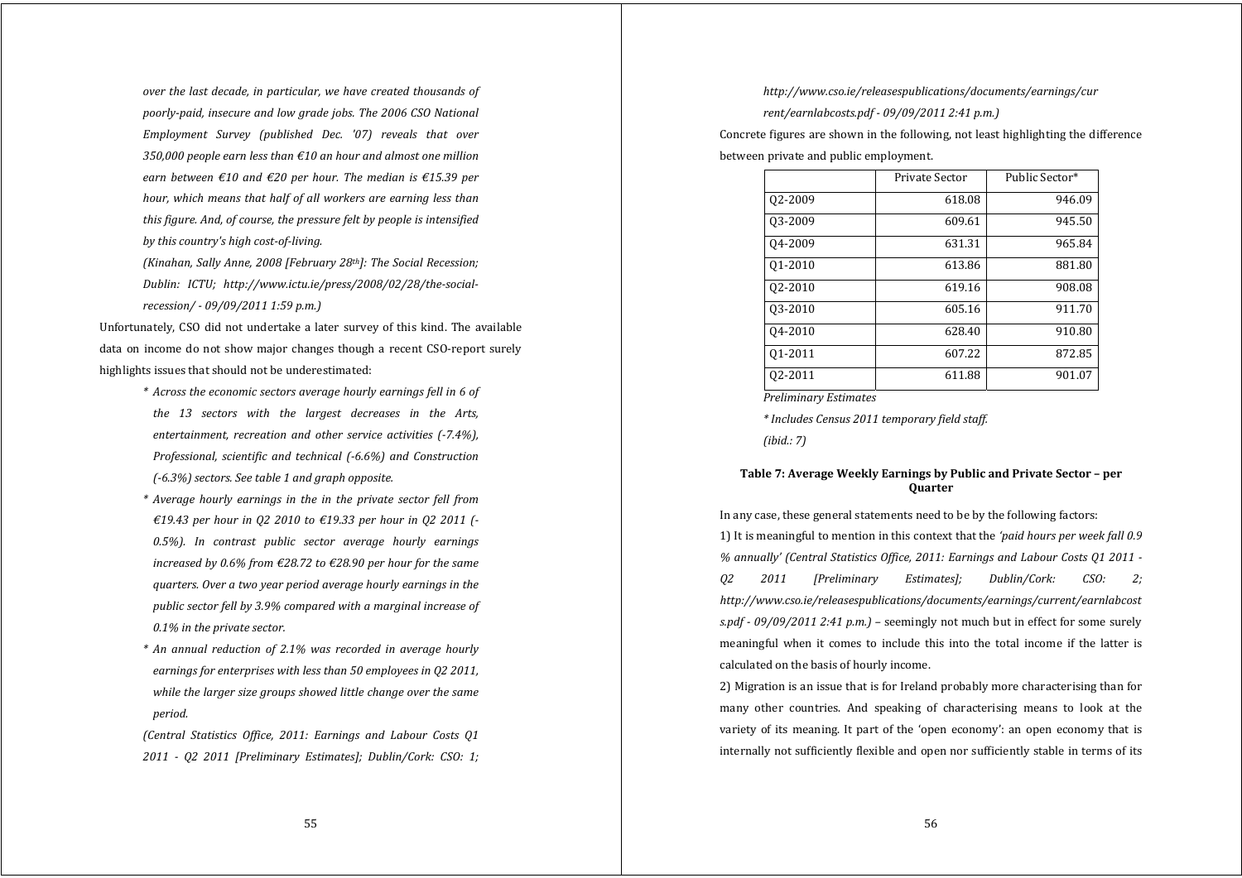*over the last decade, in particular, we have created thousands of poorlypaid, insecure and low grade jobs. The 2006 CSO National Employment Survey (published Dec. '07) reveals that over 350,000 people earn less than €10 an hour and almost one million earn between €10 and €20 per hour. The median is €15.39 per hour, which means that half of all workers are earning less than this figure. And, of course, the pressure felt by people is intensified by this country's high costofliving.*

*(Kinahan, Sally Anne, 2008 [February 28th]: The Social Recession; Dublin: ICTU; http://www.ictu.ie/press/2008/02/28/thesocialrecession/ 09/09/2011 1:59 p.m.)*

Unfortunately, CSO did not undertake a later survey of this kind. The available data on income do not show major changes though a recent CSO-report surely highlights issues that should not be underestimated:

- *\* Across the economic sectors average hourly earnings fell in 6 of the 13 sectors with the largest decreases in the Arts, entertainment, recreation and other service activities (7.4%), Professional, scientific and technical (6.6%) and Construction (6.3%) sectors. See table 1 and graph opposite.*
- *\* Average hourly earnings in the in the private sector fell from €19.43 per hour in Q2 2010 to €19.33 per hour in Q2 2011 ( 0.5%). In contrast public sector average hourly earnings increased by 0.6% from €28.72 to €28.90 per hour for the same quarters. Over <sup>a</sup> two year period average hourly earnings in the public sector fell by 3.9% compared with <sup>a</sup> marginal increase of 0.1% in the private sector.*
- *\* An annual reduction of 2.1% was recorded in average hourly earnings for enterprises with less than 50 employees in Q2 2011, while the larger size groups showed little change over the same period.*

*(Central Statistics Office, 2011: Earnings and Labour Costs Q1 2011 Q2 2011 [Preliminary Estimates]; Dublin/Cork: CSO: 1;*

# *http://www.cso.ie/releasespublications/documents/earnings/cur*

*rent/earnlabcosts.pdf 09/09/2011 2:41 p.m.)*

Concrete figures are shown in the following, not least highlighting the difference

between private and public employment.

|         | Private Sector | Public Sector* |
|---------|----------------|----------------|
| 02-2009 | 618.08         | 946.09         |
| 03-2009 | 609.61         | 945.50         |
| 04-2009 | 631.31         | 965.84         |
| 01-2010 | 613.86         | 881.80         |
| 02-2010 | 619.16         | 908.08         |
| 03-2010 | 605.16         | 911.70         |
| 04-2010 | 628.40         | 910.80         |
| 01-2011 | 607.22         | 872.85         |
| 02-2011 | 611.88         | 901.07         |

*Preliminary Estimates*

*\* Includes Census 2011 temporary field staff.*

*(ibid.: 7)*

# **Table 7: Average Weekly Earnings by Public and Private Sector – per Quarter**

In any case, these general statements need to be by the following factors:

1) It is meaningful to mention in this context that the *'paid hours per week fall 0.9 % annually' (Central Statistics Office, 2011: Earnings and Labour Costs Q1 2011 Q2 2011 [Preliminary Estimates]; Dublin/Cork: CSO: 2; http://www.cso.ie/releasespublications/documents/earnings/current/earnlabcost s.pdf 09/09/2011 2:41 p.m.) –* seemingly not much but in effect for some surely meaningful when it comes to include this into the total income if the latter is calculated on the basis of hourly income.

2) Migration is an issue that is for Ireland probably more characterising than for many other countries. And speaking of characterising means to look at the variety of its meaning. It part of the 'open economy': an open economy that is internally not sufficiently flexible and open nor sufficiently stable in terms of its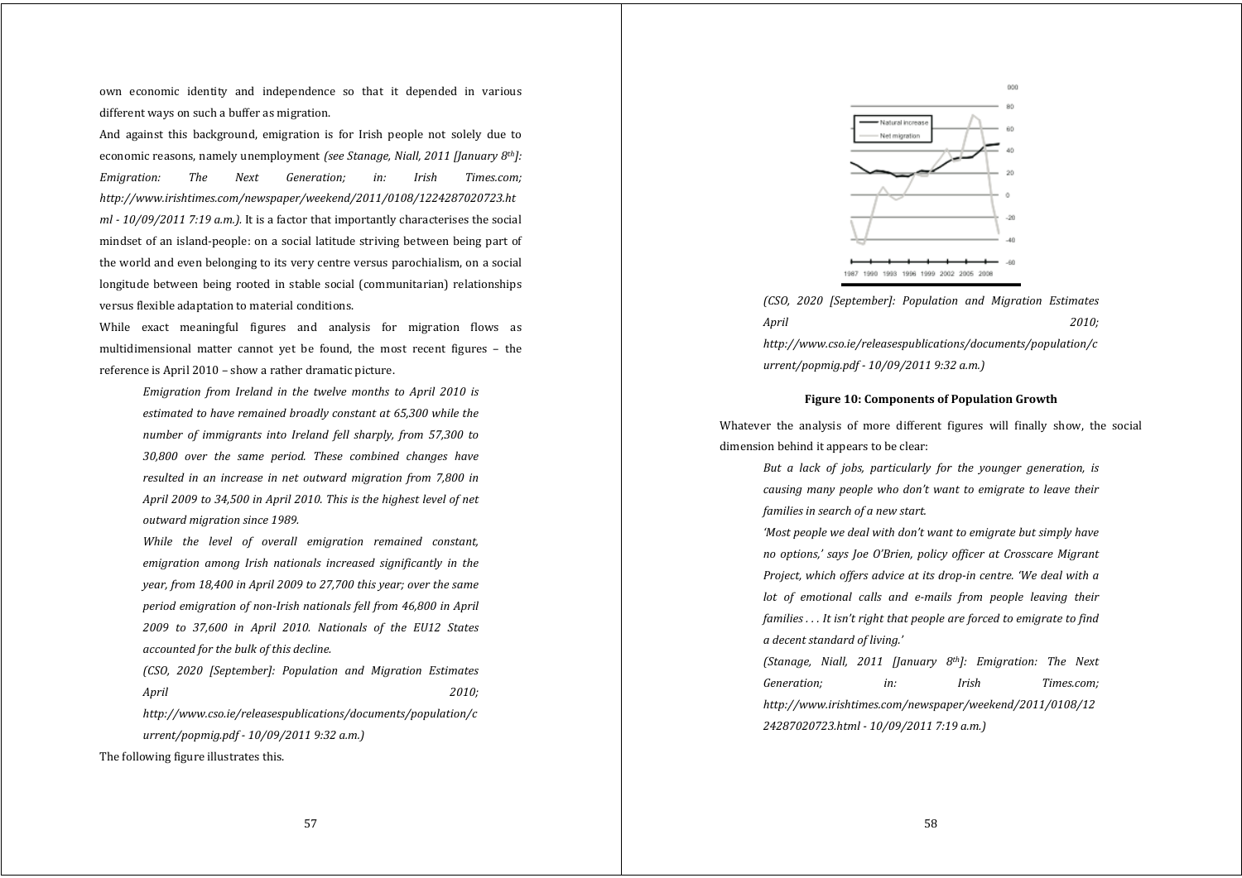own economic identity and independence so that it depended in various different ways on such a buffer as migration.

And against this background, emigration is for Irish people not solely due to economic reasons, namely unemployment *(see Stanage, Niall, 2011 [January 8th]: Emigration: The Next Generation; in: Irish Times.com; http://www.irishtimes.com/newspaper/weekend/2011/0108/1224287020723.ht ml 10/09/2011 7:19 a.m.).* It is a factor that importantly characterises the social mindset of an island‐people: on a social latitude striving between being part of the world and even belonging to its very centre versus parochialism, on a social longitude between being rooted in stable social (communitarian) relationships versus flexible adaptation to material conditions.

While exact meaningful figures and analysis for migration flows as multidimensional matter cannot vet be found, the most recent figures – the reference is April 2010 – show a rather dramatic picture.

*Emigration from Ireland in the twelve months to April 2010 is estimated to have remained broadly constant at 65,300 while the number of immigrants into Ireland fell sharply, from 57,300 to 30,800 over the same period. These combined changes have resulted in an increase in net outward migration from 7,800 in April 2009 to 34,500 in April 2010. This is the highest level of net outward migration since 1989.*

*While the level of overall emigration remained constant, emigration among Irish nationals increased significantly in the year, from 18,400 in April 2009 to 27,700 this year; over the same period emigration of nonIrish nationals fell from 46,800 in April 2009 to 37,600 in April 2010. Nationals of the EU12 States accounted for the bulk of this decline.*

*(CSO, 2020 [September]: Population and Migration Estimates April 2010;*

*http://www.cso.ie/releasespublications/documents/population/c urrent/popmig.pdf 10/09/2011 9:32 a.m.)*

The following figure illustrates this.



*(CSO, 2020 [September]: Population and Migration Estimates April 2010; http://www.cso.ie/releasespublications/documents/population/c urrent/popmig.pdf 10/09/2011 9:32 a.m.)*

## **Figure 10: Components of Population Growth**

Whatever the analysis of more different figures will finally show, the social dimension behind it appears to be clear:

> *But <sup>a</sup> lack of jobs, particularly for the younger generation, is causing many people who don't want to emigrate to leave their families in search of <sup>a</sup> new start.*

> *'Most people we deal with don't want to emigrate but simply have no options,' says Joe O'Brien, policy officer at Crosscare Migrant Project, which offers advice at its dropin centre. 'We deal with <sup>a</sup> lot of emotional calls and <sup>e</sup>mails from people leaving their families . . . It isn't right that people are forced to emigrate to find <sup>a</sup> decent standard of living.'*

> *(Stanage, Niall, 2011 [January 8th]: Emigration: The Next Generation; in: Irish Times.com; http://www.irishtimes.com/newspaper/weekend/2011/0108/12 24287020723.html 10/09/2011 7:19 a.m.)*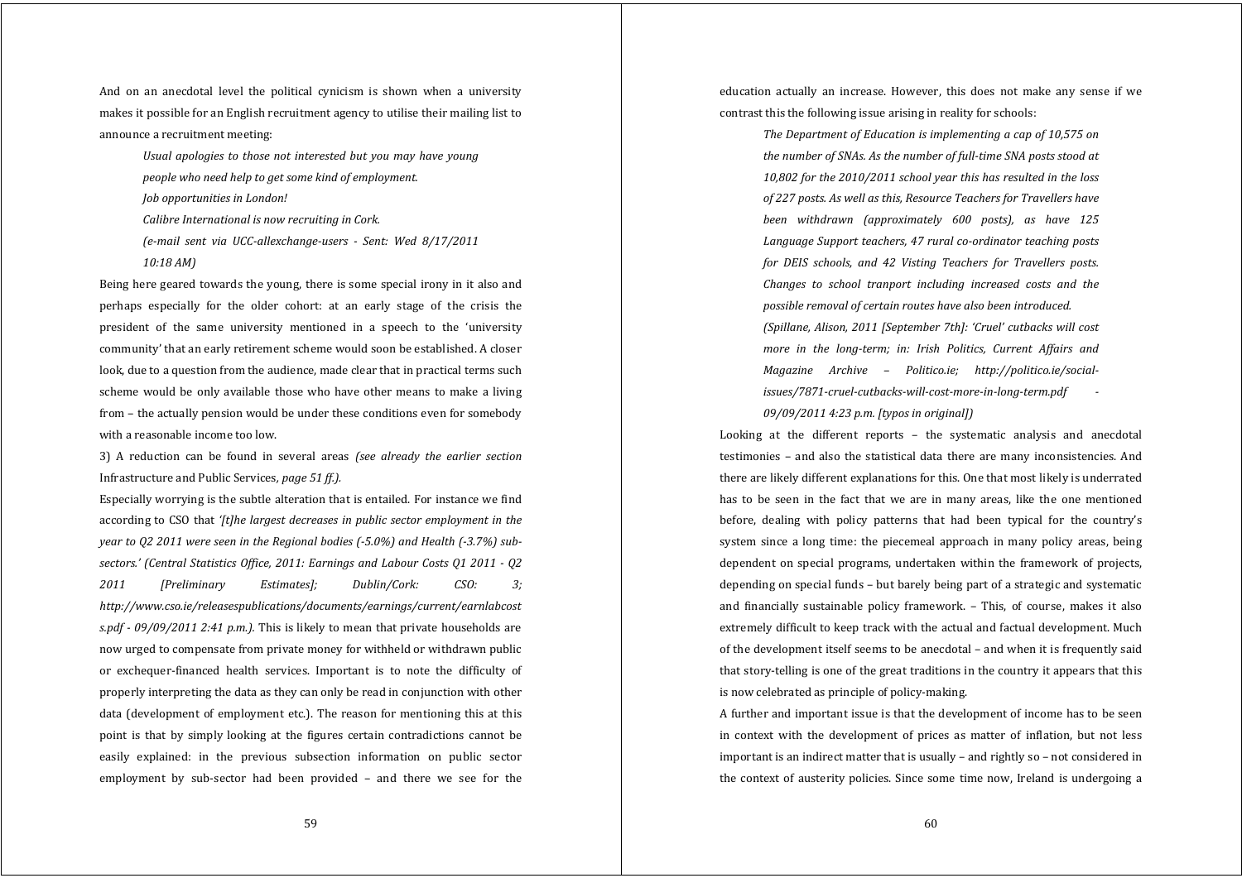And on an anecdotal level the political cynicism is shown when a university makes it possible for an English recruitment agency to utilise their mailing list to announce a recruitment meeting:

> *Usual apologies to those not interested but you may have young people who need help to ge<sup>t</sup> some kind of employment.*

*Job opportunities in London!*

*Calibre International is now recruiting in Cork.*

*(email sent via UCCallexchangeusers Sent: Wed 8/17/2011 10:18 AM)*

Being here geared towards the young, there is some special irony in it also and perhaps especially for the older cohort: at an early stage of the crisis the president of the same university mentioned in <sup>a</sup> speech to the 'university community' that an early retirement scheme would soon be established. A closer look, due to a question from the audience, made clear that in practical terms such scheme would be only available those who have other means to make a living from – the actually pension would be under these conditions even for somebody with a reasonable income too low.

3) A reduction can be found in several areas *(see already the earlier section* Infrastructure and Public Services*, page 51 ff.).*

Especially worrying is the subtle alteration that is entailed. For instance we find according to CSO that *'[t]he largest decreases in public sector employment in the year to Q2 2011 were seen in the Regional bodies (5.0%) and Health (3.7%) subsectors.' (Central Statistics Office, 2011: Earnings and Labour Costs Q1 2011 Q2 2011 [Preliminary Estimates]; Dublin/Cork: CSO: 3; http://www.cso.ie/releasespublications/documents/earnings/current/earnlabcost s.pdf 09/09/2011 2:41 p.m.).* This is likely to mean that private households are now urged to compensate from private money for withheld or withdrawn public or exchequer‐financed health services. Important is to note the difficulty of properly interpreting the data as they can only be read in conjunction with other data (development of employment etc.). The reason for mentioning this at this point is that by simply looking at the figures certain contradictions cannot be easily explained: in the previous subsection information on public sector employment by sub-sector had been provided – and there we see for the

education actually an increase. However, this does not make any sense if we contrast this the following issue arising in reality for schools:

> *The Department of Education is implementing <sup>a</sup> cap of 10,575 on the number of SNAs. As the number of fulltime SNA posts stood at 10,802 for the 2010/2011 school year this has resulted in the loss of 227 posts. As well as this, Resource Teachers for Travellers have been withdrawn (approximately 600 posts), as have 125 Language Support teachers, 47 rural coordinator teaching posts for DEIS schools, and 42 Visting Teachers for Travellers posts. Changes to school tranport including increased costs and the possible removal of certain routes have also been introduced. (Spillane, Alison, 2011 [September 7th]: 'Cruel' cutbacks will cost more in the longterm; in: Irish Politics, Current Affairs and Magazine Archive – Politico.ie; http://politico.ie/socialissues/7871cruelcutbackswillcostmoreinlongterm.pdf 09/09/2011 4:23 p.m. [typos in original])*

Looking at the different reports – the systematic analysis and anecdotal testimonies – and also the statistical data there are many inconsistencies. And there are likely different explanations for this. One that most likely is underrated has to be seen in the fact that we are in many areas, like the one mentioned before, dealing with policy patterns that had been typical for the country's system since a long time: the piecemeal approach in many policy areas, being dependent on special programs, undertaken within the framework of projects, depending on special funds – but barely being part of a strategic and systematic and financially sustainable policy framework. – This, of course, makes it also extremely difficult to keep track with the actual and factual development. Much of the development itself seems to be anecdotal – and when it is frequently said that story‐telling is one of the great traditions in the country it appears that this is now celebrated as principle of policy-making.

A further and important issue is that the development of income has to be seen in context with the development of prices as matter of inflation, but not less important is an indirect matter that is usually – and rightly so – not considered in the context of austerity policies. Since some time now, Ireland is undergoing a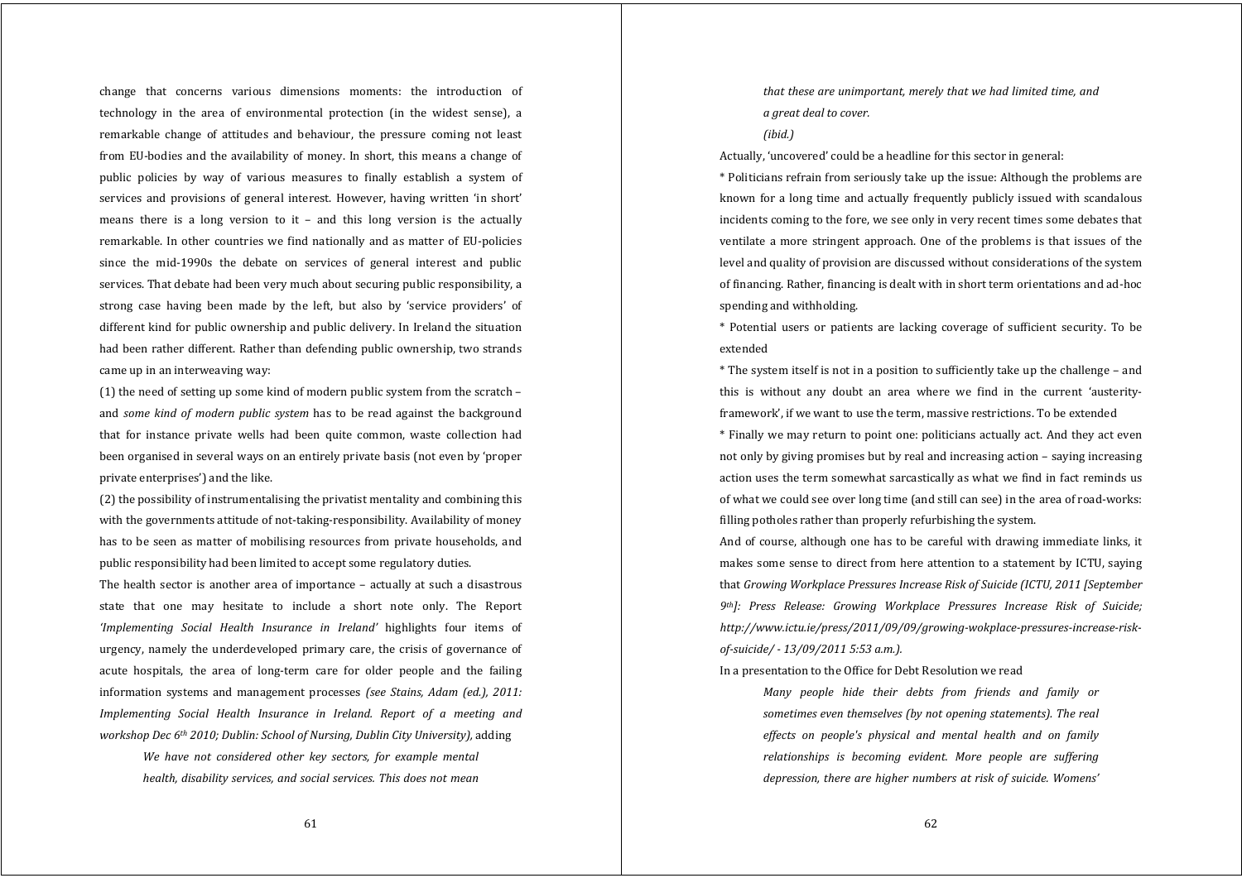change that concerns various dimensions moments: the introduction of technology in the area of environmental protection (in the widest sense), <sup>a</sup> remarkable change of attitudes and behaviour, the pressure coming not least from EU‐bodies and the availability of money. In short, this means a change of public policies by way of various measures to finally establish <sup>a</sup> system of services and provisions of general interest. However, having written 'in short' means there is a long version to it  $-$  and this long version is the actually remarkable. In other countries we find nationally and as matter of EU‐policies since the mid-1990s the debate on services of general interest and public services. That debate had been very much about securing public responsibility, a strong case having been made by the left, but also by 'service providers' of different kind for public ownership and public delivery. In Ireland the situation had been rather different. Rather than defending public ownership, two strands came up in an interweaving way:

(1) the need of setting up some kind of modern public system from the scratch – and *some kind of modern public system* has to be read against the background that for instance private wells had been quite common, waste collection had been organised in several ways on an entirely private basis (not even by 'proper private enterprises') and the like.

(2) the possibility of instrumentalising the privatist mentality and combining this with the governments attitude of not-taking-responsibility. Availability of money has to be seen as matter of mobilising resources from private households, and public responsibility had been limited to accept some regulatory duties.

The health sector is another area of importance – actually at such a disastrous state that one may hesitate to include <sup>a</sup> short note only. The Report *'Implementing Social Health Insurance in Ireland'* highlights four items of urgency, namely the underdeveloped primary care, the crisis of governance of acute hospitals, the area of long‐term care for older people and the failing information systems and managemen<sup>t</sup> processes *(see Stains, Adam (ed.), 2011: Implementing Social Health Insurance in Ireland. Report of <sup>a</sup> meeting and workshop Dec 6th 2010; Dublin: School of Nursing, Dublin City University),* adding

*We have not considered other key sectors, for example mental health, disability services, and social services. This does not mean* *that these are unimportant, merely that we had limited time, and <sup>a</sup> grea<sup>t</sup> deal to cover.*

*(ibid.)*

Actually, 'uncovered' could be a headline for this sector in general:

\* Politicians refrain from seriously take up the issue: Although the problems are known for a long time and actually frequently publicly issued with scandalous incidents coming to the fore, we see only in very recent times some debates that ventilate <sup>a</sup> more stringent approach. One of the problems is that issues of the level and quality of provision are discussed without considerations of the system of financing. Rather, financing is dealt with in short term orientations and ad‐hoc spending and withholding.

\* Potential users or patients are lacking coverage of sufficient security. To be extended

\* The system itself is not in a position to sufficiently take up the challenge – and this is without any doubt an area where we find in the current 'austerity‐ framework', if we want to use the term, massive restrictions. To be extended

\* Finally we may return to point one: politicians actually act. And they act even not only by giving promises but by real and increasing action – saying increasing action uses the term somewhat sarcastically as what we find in fact reminds us of what we could see over long time (and still can see) in the area of road‐works: filling potholes rather than properly refurbishing the system.

And of course, although one has to be careful with drawing immediate links, it makes some sense to direct from here attention to a statement by ICTU, saying that *Growing Workplace Pressures Increase Risk of Suicide (ICTU, 2011 [September 9th]: Press Release: Growing Workplace Pressures Increase Risk of Suicide; http://www.ictu.ie/press/2011/09/09/growingwokplacepressuresincreaseriskofsuicide/ 13/09/2011 5:53 a.m.).*

In a presentation to the Office for Debt Resolution we read

*Many people hide their debts from friends and family or sometimes even themselves (by not opening statements). The real effects on people's physical and mental health and on family relationships is becoming evident. More people are suffering depression, there are higher numbers at risk of suicide. Womens'*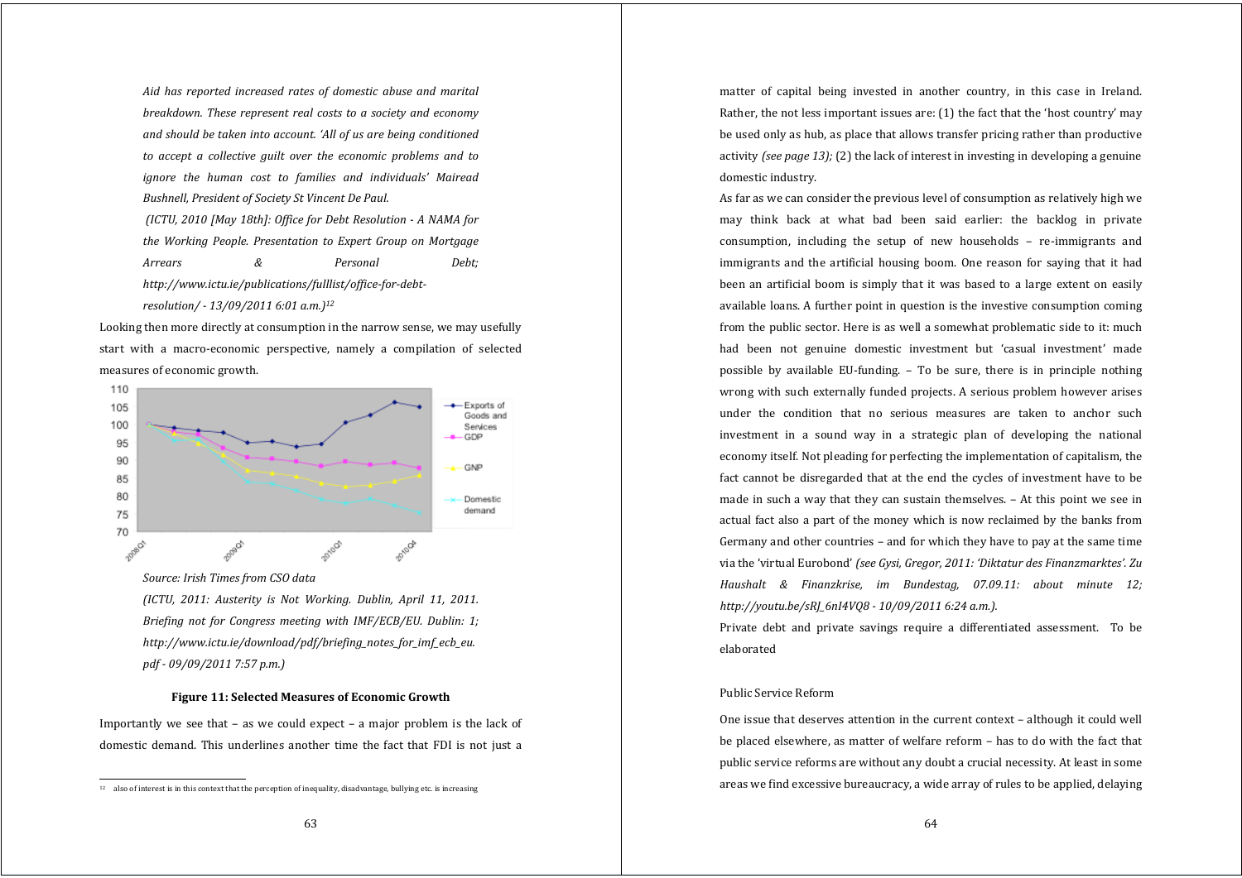*Aid has reported increased rates of domestic abuse and marital breakdown. These represent real costs to <sup>a</sup> society and economy and should be taken into account. 'All of us are being conditioned to accept <sup>a</sup> collective guilt over the economic problems and to ignore the human cost to families and individuals' Mairead Bushnell, President of Society St Vincent De Paul. (ICTU, 2010 [May 18th]: Office for Debt Resolution A NAMA for the Working People. Presentation to Expert Group on Mortgage Arrears & Personal Debt; http://www.ictu.ie/publications/fulllist/officefordebtresolution/ 13/09/2011 6:01 a.m.)12*

Looking then more directly at consumption in the narrow sense, we may usefully start with <sup>a</sup> macro‐economic perspective, namely <sup>a</sup> compilation of selected measures of economic growth.



*Source: Irish Times from CSO data*

*(ICTU, 2011: Austerity is Not Working. Dublin, April 11, 2011. Briefing not for Congress meeting with IMF/ECB/EU. Dublin: 1; http://www.ictu.ie/download/pdf/briefing\_notes\_for\_imf\_ecb\_eu. pdf 09/09/2011 7:57 p.m.)*

## **Figure 11: Selected Measures of Economic Growth**

Importantly we see that  $-$  as we could expect  $-$  a major problem is the lack of domestic demand. This underlines another time the fact that FDI is not just a

matter of capital being invested in another country, in this case in Ireland. Rather, the not less important issues are: (1) the fact that the 'host country' may be used only as hub, as place that allows transfer pricing rather than productive activity *(see page 13);* (2) the lack of interest in investing in developing a genuine domestic industry.

As far as we can consider the previous level of consumption as relatively high we may think back at what bad been said earlier: the backlog in private consumption, including the setup of new households - re-immigrants and immigrants and the artificial housing boom. One reason for saying that it had been an artificial boom is simply that it was based to a large extent on easily available loans. A further point in question is the investive consumption coming from the public sector. Here is as well a somewhat problematic side to it: much had been not genuine domestic investment but 'casual investment' made possible by available EU‐funding. – To be sure, there is in principle nothing wrong with such externally funded projects. A serious problem however arises under the condition that no serious measures are taken to anchor such investment in <sup>a</sup> sound way in <sup>a</sup> strategic plan of developing the national economy itself. Not pleading for perfecting the implementation of capitalism, the fact cannot be disregarded that at the end the cycles of investment have to be made in such a way that they can sustain themselves. – At this point we see in actual fact also a part of the money which is now reclaimed by the banks from Germany and other countries – and for which they have to pay at the same time via the 'virtual Eurobond' *(see Gysi, Gregor, 2011: 'Diktatur des Finanzmarktes'. Zu Haushalt & Finanzkrise, im Bundestag, 07.09.11: about minute 12; http://youtu.be/sRJ\_6nI4VQ8 10/09/2011 6:24 a.m.).*

Private debt and private savings require <sup>a</sup> differentiated assessment. To be elaborated

# Public Service Reform

One issue that deserves attention in the current context – although it could well be placed elsewhere, as matter of welfare reform – has to do with the fact that public service reforms are without any doubt a crucial necessity. At least in some areas we find excessive bureaucracy, a wide array of rules to be applied, delaying

 $12$  also of interest is in this context that the perception of inequality, disadvantage, bullying etc. is increasing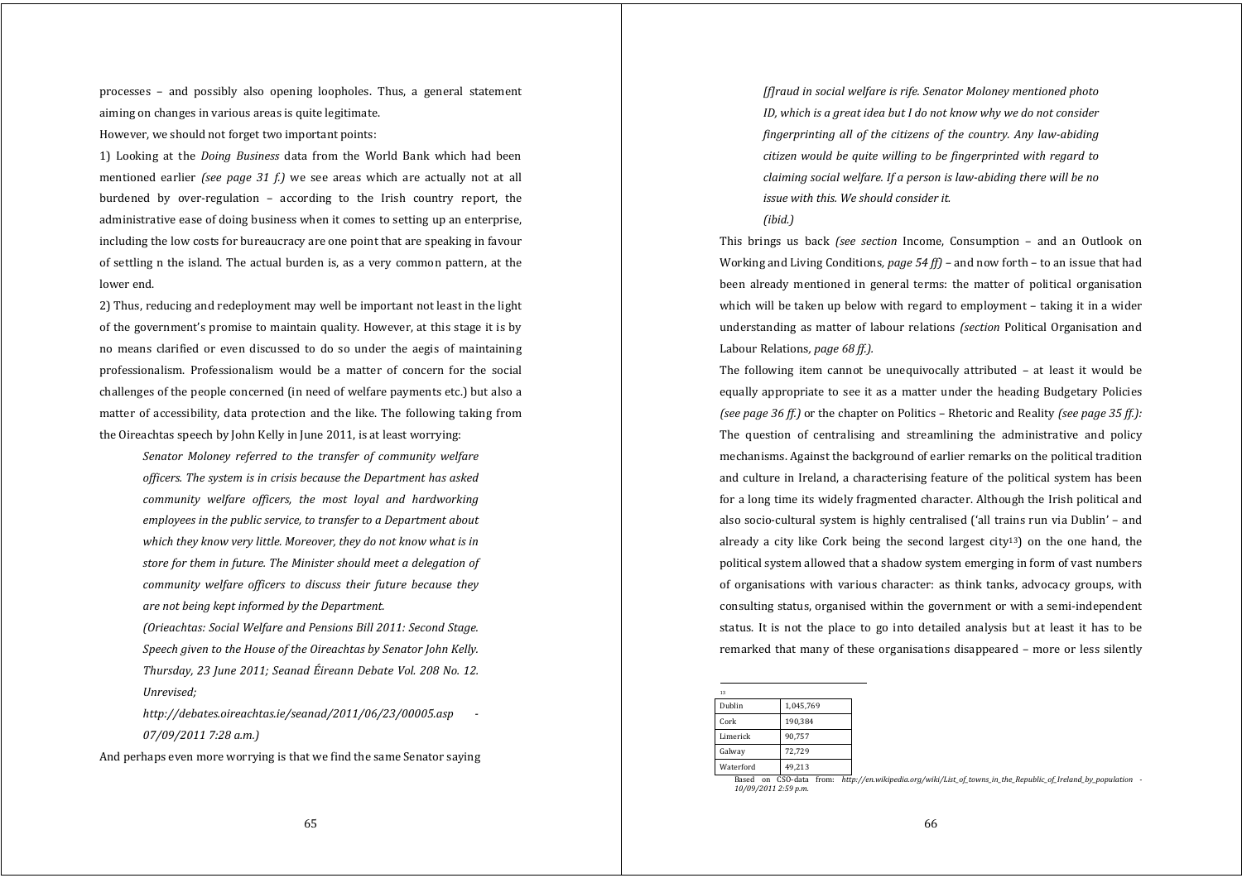processes – and possibly also opening loopholes. Thus, <sup>a</sup> general statement aiming on changes in various areas is quite legitimate.

However, we should not forget two important points:

1) Looking at the *Doing Business* data from the World Bank which had been mentioned earlier *(see page 31 f.)* we see areas which are actually not at all burdened by over-regulation  $-$  according to the Irish country report, the administrative ease of doing business when it comes to setting up an enterprise, including the low costs for bureaucracy are one point that are speaking in favour of settling n the island. The actual burden is, as a very common pattern, at the lower end.

2) Thus, reducing and redeployment may well be important not least in the light of the government's promise to maintain quality. However, at this stage it is by no means clarified or even discussed to do so under the aegis of maintaining professionalism. Professionalism would be <sup>a</sup> matter of concern for the social challenges of the people concerned (in need of welfare payments etc.) but also a matter of accessibility, data protection and the like. The following taking from the Oireachtas speech by John Kelly in June 2011, is at least worrying:

*Senator Moloney referred to the transfer of community welfare officers. The system is in crisis because the Department has asked community welfare officers, the most loyal and hardworking employees in the public service, to transfer to <sup>a</sup> Department about which they know very little. Moreover, they do not know what is in store for them in future. The Minister should meet <sup>a</sup> delegation of community welfare officers to discuss their future because they are not being kept informed by the Department.*

*(Orieachtas: Social Welfare and Pensions Bill 2011: Second Stage. Speech given to the House of the Oireachtas by Senator John Kelly. Thursday, <sup>23</sup> June 2011; Seanad Éireann Debate Vol. <sup>208</sup> No. 12. Unrevised;*

*http://debates.oireachtas.ie/seanad/2011/06/23/00005.asp 07/09/2011 7:28 a.m.)*

And perhaps even more worrying is that we find the same Senator saying

*[f]raud in social welfare is rife. Senator Moloney mentioned photo ID, which is <sup>a</sup> grea<sup>t</sup> idea but I do not know why we do not consider fingerprinting all of the citizens of the country. Any lawabiding citizen would be quite willing to be fingerprinted with regard to claiming social welfare. If <sup>a</sup> person is lawabiding there will be no issue with this. We should consider it.*

### *(ibid.)*

This brings us back *(see section* Income, Consumption – and an Outlook on Working and Living Conditions*, page 54 ff) –* and now forth – to an issue that had been already mentioned in general terms: the matter of political organisation which will be taken up below with regard to employment – taking it in a wider understanding as matter of labour relations *(section* Political Organisation and Labour Relations*, page 68 ff.).*

The following item cannot be unequivocally attributed – at least it would be equally appropriate to see it as a matter under the heading Budgetary Policies *(see page 36 ff.)* or the chapter on Politics – Rhetoric and Reality *(see page 35 ff.):* The question of centralising and streamlining the administrative and policy mechanisms. Against the background of earlier remarks on the political tradition and culture in Ireland, a characterising feature of the political system has been for a long time its widely fragmented character. Although the Irish political and also socio‐cultural system is highly centralised ('all trains run via Dublin' – and already a city like Cork being the second largest  $city^{13}$  on the one hand, the political system allowed that a shadow system emerging in form of vast numbers of organisations with various character: as think tanks, advocacy groups, with consulting status, organised within the government or with a semi‐independent status. It is not the place to go into detailed analysis but at least it has to be remarked that many of these organisations disappeared – more or less silently

| 13        |           |
|-----------|-----------|
| Dublin    | 1,045,769 |
| Cork      | 190,384   |
| Limerick  | 90,757    |
| Galway    | 72,729    |
| Waterford | 49,213    |

Based on CSO-data from: http://en.wikipedia.org/wiki/List\_of\_towns\_in\_the\_Republic\_of\_Ireland\_by\_population  $\cdot$ *10/09/2011 2:59 p.m.*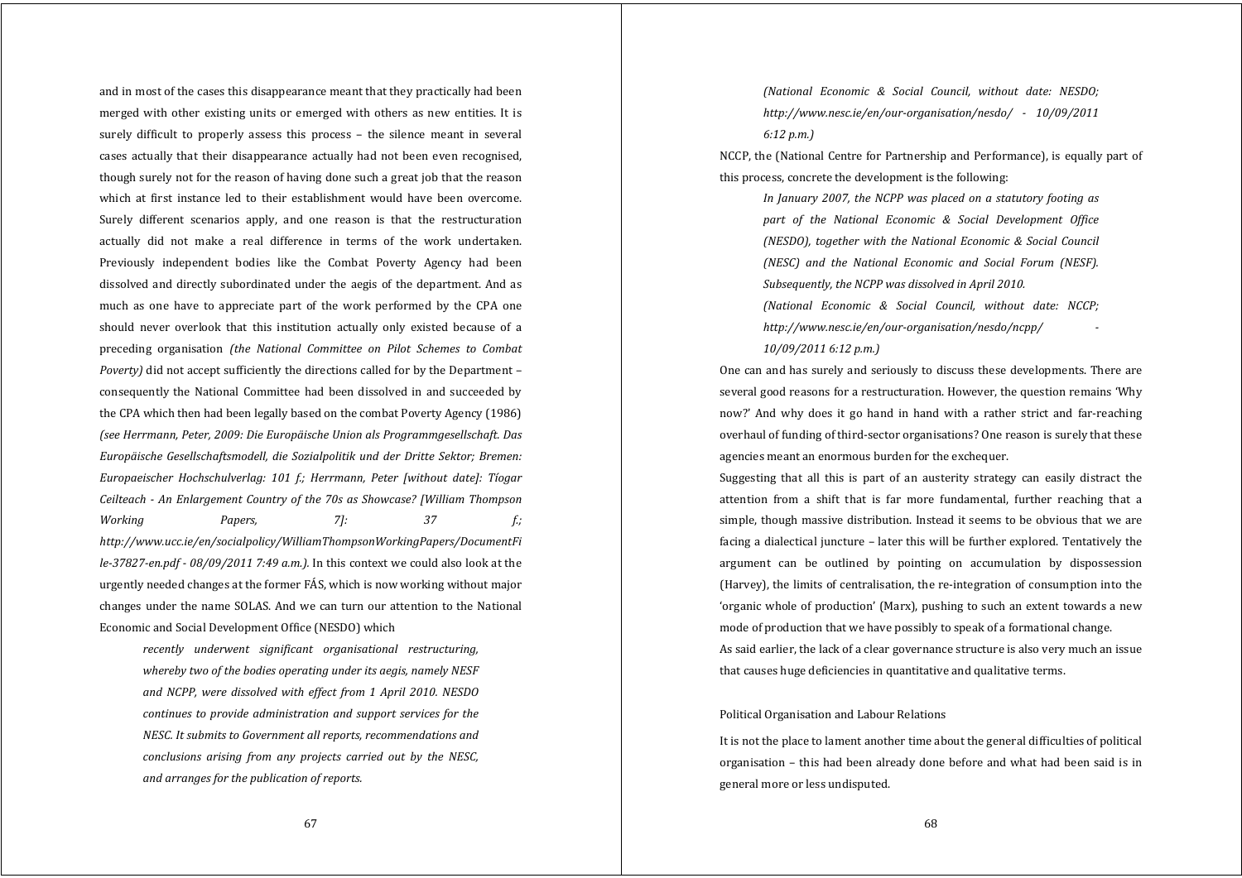and in most of the cases this disappearance meant that they practically had been merged with other existing units or emerged with others as new entities. It is surely difficult to properly assess this process – the silence meant in several cases actually that their disappearance actually had not been even recognised, though surely not for the reason of having done such a great job that the reason which at first instance led to their establishment would have been overcome. Surely different scenarios apply, and one reason is that the restructuration actually did not make <sup>a</sup> real difference in terms of the work undertaken. Previously independent bodies like the Combat Poverty Agency had been dissolved and directly subordinated under the aegis of the department. And as much as one have to appreciate part of the work performed by the CPA one should never overlook that this institution actually only existed because of <sup>a</sup> preceding organisation *(the National Committee on Pilot Schemes to Combat Poverty)* did not accept sufficiently the directions called for by the Department – consequently the National Committee had been dissolved in and succeeded by the CPA which then had been legally based on the combat Poverty Agency (1986) *(see Herrmann, Peter, 2009: Die Europäische Union als Programmgesellschaft. Das Europäische Gesellschaftsmodell, die Sozialpolitik und der Dritte Sektor; Bremen: Europaeischer Hochschulverlag: 101 f.; Herrmann, Peter [without date]: Tíogar Ceilteach An Enlargement Country of the 70s as Showcase? [William Thompson Working Papers, 7]: 37 f.; http://www.ucc.ie/en/socialpolicy/WilliamThompsonWorkingPapers/DocumentFi le37827en.pdf 08/09/2011 7:49 a.m.).* In this context we could also look at the urgently needed changes at the former FÁS, which is now working without major changes under the name SOLAS. And we can turn our attention to the National Economic and Social Development Office (NESDO) which

*recently underwent significant organisational restructuring, whereby two of the bodies operating under its aegis, namely NESF and NCPP, were dissolved with effect from 1 April 2010. NESDO continues to provide administration and support services for the NESC. It submits to Government all reports, recommendations and conclusions arising from any projects carried out by the NESC, and arranges for the publication of reports.*

*(National Economic & Social Council, without date: NESDO; http://www.nesc.ie/en/ourorganisation/nesdo/ 10/09/2011 6:12 p.m.)*

NCCP, the (National Centre for Partnership and Performance), is equally part of this process, concrete the development is the following:

*In January 2007, the NCPP was placed on <sup>a</sup> statutory footing as part of the National Economic & Social Development Office (NESDO), together with the National Economic & Social Council (NESC) and the National Economic and Social Forum (NESF). Subsequently, the NCPP was dissolved in April 2010.*

*(National Economic & Social Council, without date: NCCP; http://www.nesc.ie/en/ourorganisation/nesdo/ncpp/ 10/09/2011 6:12 p.m.)*

One can and has surely and seriously to discuss these developments. There are several good reasons for a restructuration. However, the question remains 'Why now?' And why does it go hand in hand with a rather strict and far-reaching overhaul of funding of third‐sector organisations? One reason is surely that these agencies meant an enormous burden for the exchequer.

Suggesting that all this is part of an austerity strategy can easily distract the attention from <sup>a</sup> shift that is far more fundamental, further reaching that <sup>a</sup> simple, though massive distribution. Instead it seems to be obvious that we are facing a dialectical juncture – later this will be further explored. Tentatively the argumen<sup>t</sup> can be outlined by pointing on accumulation by dispossession (Harvey), the limits of centralisation, the re‐integration of consumption into the 'organic whole of production' (Marx), pushing to such an extent towards a new mode of production that we have possibly to speak of a formational change. As said earlier, the lack of a clear governance structure is also very much an issue that causes huge deficiencies in quantitative and qualitative terms.

# Political Organisation and Labour Relations

It is not the place to lament another time about the general difficulties of political organisation – this had been already done before and what had been said is in general more or less undisputed.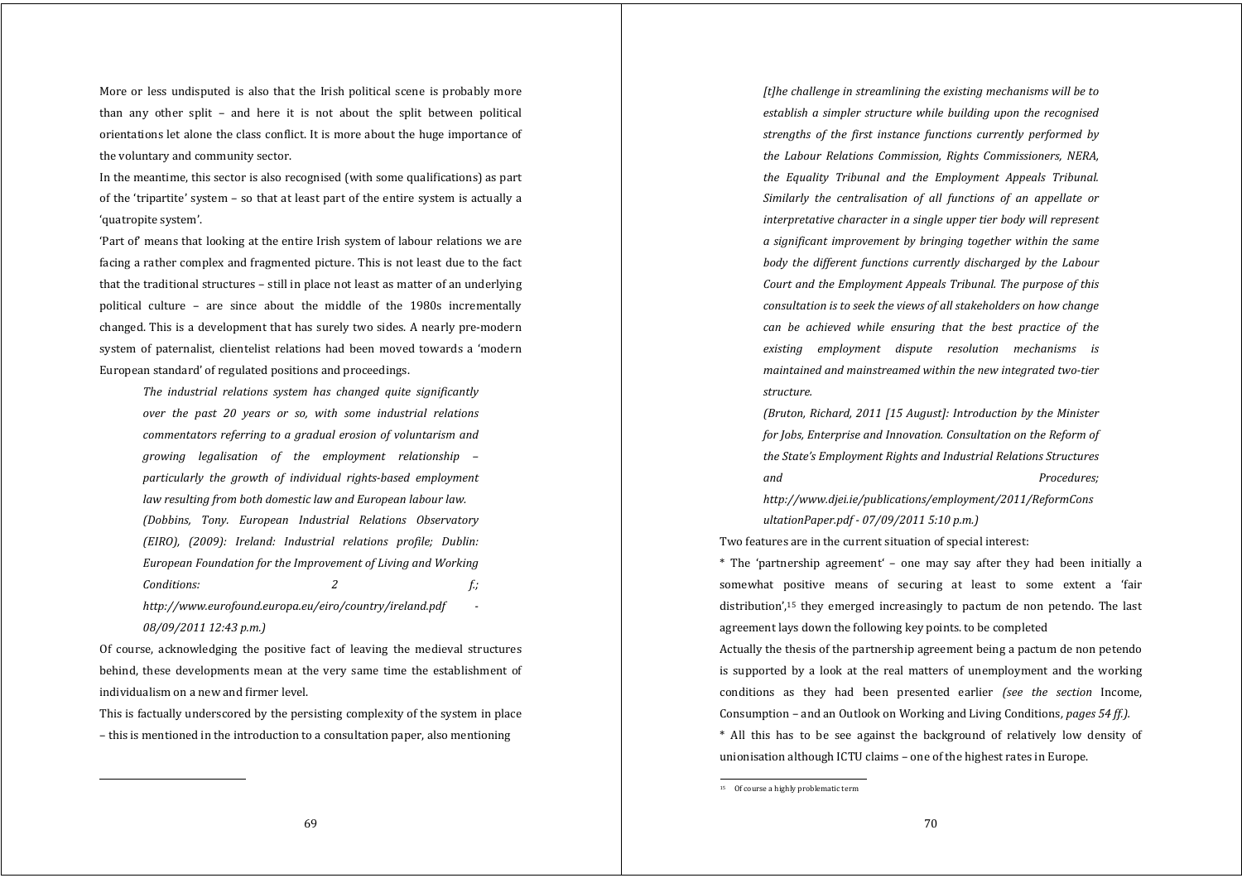More or less undisputed is also that the Irish political scene is probably more than any other split – and here it is not about the split between political orientations let alone the class conflict. It is more about the huge importance of the voluntary and community sector.

In the meantime, this sector is also recognised (with some qualifications) as part of the 'tripartite' system – so that at least part of the entire system is actually a 'quatropite system'.

'Part of' means that looking at the entire Irish system of labour relations we are facing a rather complex and fragmented picture. This is not least due to the fact that the traditional structures – still in place not least as matter of an underlying political culture – are since about the middle of the 1980s incrementally changed. This is a development that has surely two sides. A nearly pre‐modern system of paternalist, clientelist relations had been moved towards <sup>a</sup> 'modern European standard' of regulated positions and proceedings.

*The industrial relations system has changed quite significantly over the past 20 years or so, with some industrial relations commentators referring to <sup>a</sup> gradual erosion of voluntarism and growing legalisation of the employment relationship – particularly the growth of individual rightsbased employment law resulting from both domestic law and European labour law. (Dobbins, Tony. European Industrial Relations Observatory (EIRO), (2009): Ireland: Industrial relations profile; Dublin: European Foundation for the Improvement of Living and Working Conditions: 2 f.; http://www.eurofound.europa.eu/eiro/country/ireland.pdf 08/09/2011 12:43 p.m.)*

Of course, acknowledging the positive fact of leaving the medieval structures behind, these developments mean at the very same time the establishment of individualism on a new and firmer level.

This is factually underscored by the persisting complexity of the system in place – this is mentioned in the introduction to a consultation paper, also mentioning

*[t]he challenge in streamlining the existing mechanisms will be to establish <sup>a</sup> simpler structure while building upon the recognised strengths of the first instance functions currently performed by the Labour Relations Commission, Rights Commissioners, NERA, the Equality Tribunal and the Employment Appeals Tribunal. Similarly the centralisation of all functions of an appellate or interpretative character in <sup>a</sup> single upper tier body will represent <sup>a</sup> significant improvement by bringing together within the same body the different functions currently discharged by the Labour Court and the Employment Appeals Tribunal. The purpose of this consultation is to seek the views of all stakeholders on how change can be achieved while ensuring that the best practice of the existing employment dispute resolution mechanisms is maintained and mainstreamed within the new integrated twotier structure.*

*(Bruton, Richard, 2011 [15 August]: Introduction by the Minister for Jobs, Enterprise and Innovation. Consultation on the Reform of the State's Employment Rights and Industrial Relations Structures and Procedures; http://www.djei.ie/publications/employment/2011/ReformCons*

*ultationPaper.pdf 07/09/2011 5:10 p.m.)*

Two features are in the current situation of special interest:

\* The 'partnership agreement' – one may say after they had been initially <sup>a</sup> somewhat positive means of securing at least to some extent a 'fair distribution',<sup>15</sup> they emerged increasingly to pactum de non petendo. The last agreement lays down the following key points. to be completed

Actually the thesis of the partnership agreement being a pactum de non petendo is supported by a look at the real matters of unemployment and the working conditions as they had been presented earlier *(see the section* Income, Consumption – and an Outlook on Working and Living Conditions*, pages 54 ff.).*

\* All this has to be see against the background of relatively low density of unionisation although ICTU claims – one of the highest rates in Europe.

<sup>&</sup>lt;sup>15</sup> Of course a highly problematic term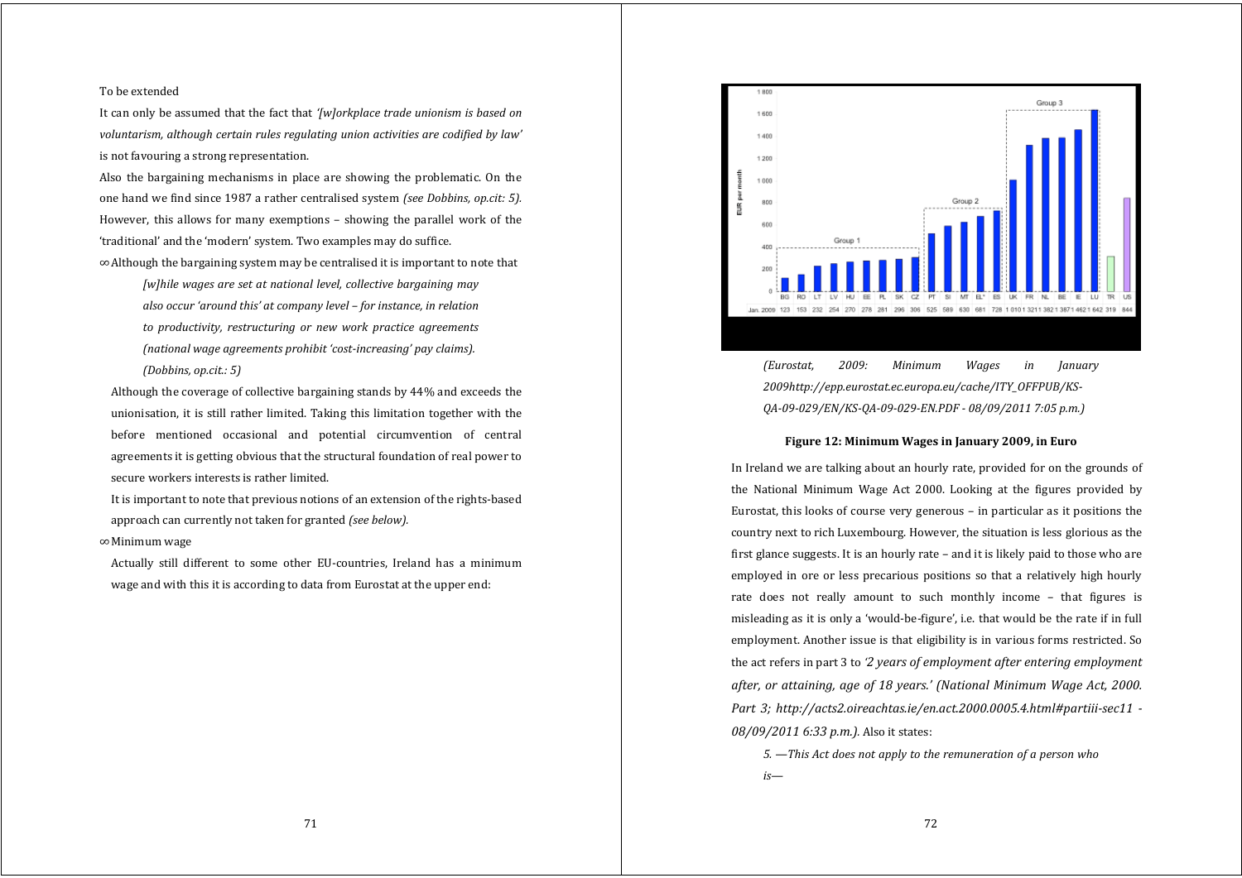### To be extended

It can only be assumed that the fact that *'[w]orkplace trade unionism is based on voluntarism, although certain rules regulating union activities are codified by law'* is not favouring a strong representation.

Also the bargaining mechanisms in place are showing the problematic. On the one hand we find since 1987 a rather centralised system *(see Dobbins, op.cit: 5).* However, this allows for many exemptions – showing the parallel work of the 'traditional' and the 'modern' system. Two examples may do suffice.

∞ Although the bargaining system may be centralised it is important to note that

*[w]hile wages are set at national level, collective bargaining may also occur 'around this' at company level – for instance, in relation to productivity, restructuring or new work practice agreements (national wage agreements prohibit 'costincreasing' pay claims).*

*(Dobbins, op.cit.: 5)*

 Although the coverage of collective bargaining stands by 44% and exceeds the unionisation, it is still rather limited. Taking this limitation together with the before mentioned occasional and potential circumvention of central agreements it is getting obvious that the structural foundation of real power to secure workers interests is rather limited.

 It is important to note that previous notions of an extension of the rights‐based approach can currently not taken for granted *(see below).*

# ∞ Minimum wage

 Actually still different to some other EU‐countries, Ireland has <sup>a</sup> minimum wage and with this it is according to data from Eurostat at the upper end:



*(Eurostat, 2009: Minimum Wages in January 2009http://epp.eurostat.ec.europa.eu/cache/ITY\_OFFPUB/KS-QA09029/EN/KSQA09029EN.PDF 08/09/2011 7:05 p.m.)*

## **Figure 12: Minimum Wages in January 2009, in Euro**

 In Ireland we are talking about an hourly rate, provided for on the grounds of the National Minimum Wage Act 2000. Looking at the figures provided by Eurostat, this looks of course very generous – in particular as it positions the country next to rich Luxembourg. However, the situation is less glorious as the first glance suggests. It is an hourly rate – and it is likely paid to those who are employed in ore or less precarious positions so that <sup>a</sup> relatively high hourly rate does not really amount to such monthly income – that figures is misleading as it is only a 'would‐be‐figure', i.e. that would be the rate if in full employment. Another issue is that eligibility is in various forms restricted. So the act refers in part 3 to *'2 years of employment after entering employment after, or attaining, age of 18 years.' (National Minimum Wage Act, 2000. Part 3; http://acts2.oireachtas.ie/en.act.2000.0005.4.html#partiiisec11 08/09/2011 6:33 p.m.).* Also it states:

*5. —This Act does not apply to the remuneration of <sup>a</sup> person who is—*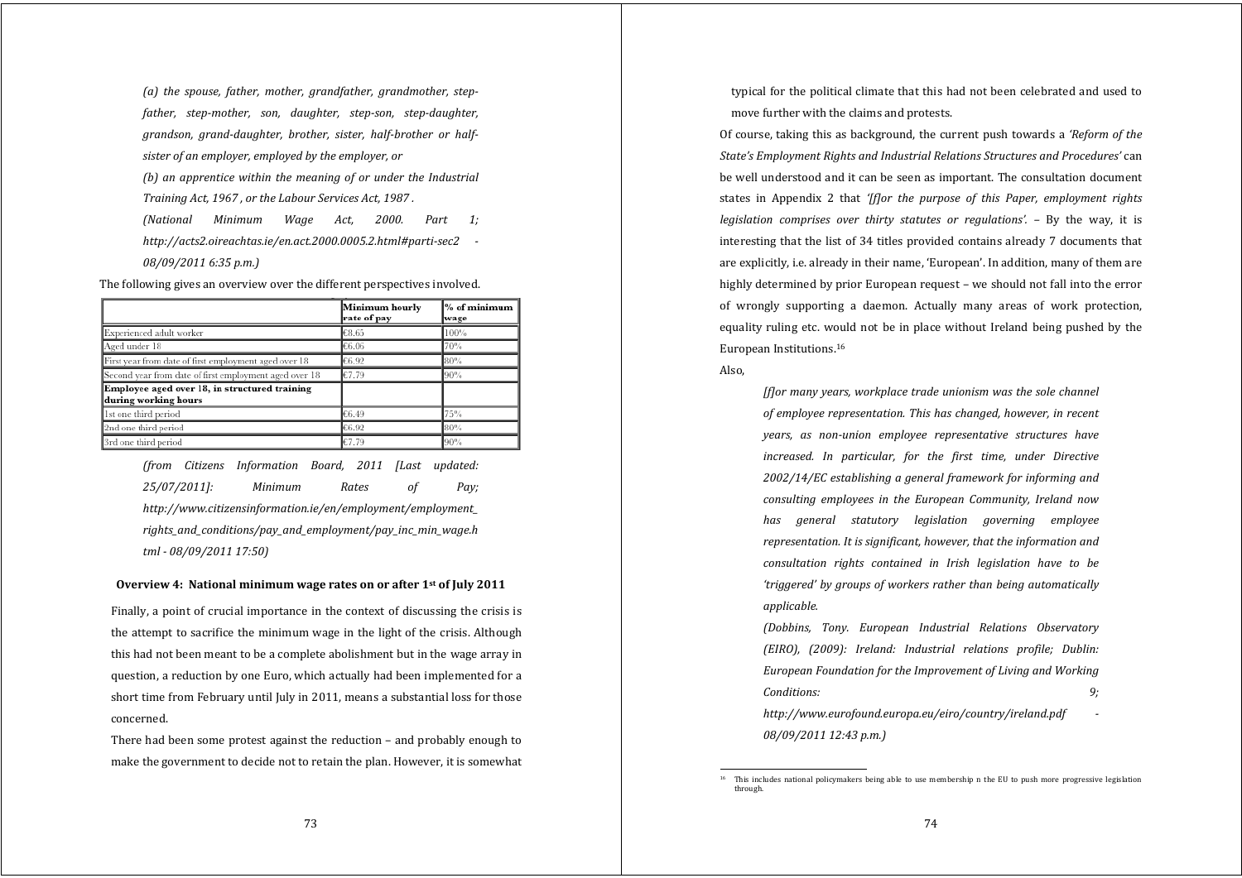*(a) the spouse, father, mother, grandfather, grandmother, stepfather, stepmother, son, daughter, stepson, stepdaughter, grandson, granddaughter, brother, sister, halfbrother or halfsister of an employer, employed by the employer, or (b) an apprentice within the meaning of or under the Industrial Training Act, 1967 , or the Labour Services Act, 1987 . (National Minimum Wage Act, 2000. Part 1;*

*http://acts2.oireachtas.ie/en.act.2000.0005.2.html#partisec2 08/09/2011 6:35 p.m.)*

The following gives an overview over the different perspectives involved.

|                                                                       | Minimum hourly<br>rate of pay | % of minimum<br>wage |
|-----------------------------------------------------------------------|-------------------------------|----------------------|
| Experienced adult worker                                              | €8.65                         | $100\%$              |
| Aged under 18                                                         | €6.06                         | 70%                  |
| First year from date of first employment aged over 18                 | €6.92                         | 80%                  |
| Second year from date of first employment aged over 18                | €7.79                         | 90%                  |
| Employee aged over 18, in structured training<br>during working hours |                               |                      |
| 1st one third period                                                  | €6.49                         | 75%                  |
| 2nd one third period                                                  | €6.92                         | 80%                  |
| 3rd one third period                                                  | €7.79                         | 90%                  |

*(from Citizens Information Board, 2011 [Last updated: 25/07/2011]: Minimum Rates of Pay; http://www.citizensinformation.ie/en/employment/employment\_ rights\_and\_conditions/pay\_and\_employment/pay\_inc\_min\_wage.h tml 08/09/2011 17:50)*

#### **Overview 4: National minimum wage rates on or after 1st of July 2011**

 Finally, a point of crucial importance in the context of discussing the crisis is the attempt to sacrifice the minimum wage in the light of the crisis. Although this had not been meant to be a complete abolishment but in the wage array in question, a reduction by one Euro, which actually had been implemented for a short time from February until July in 2011, means a substantial loss for those concerned.

 There had been some protest against the reduction – and probably enough to make the government to decide not to retain the plan. However, it is somewhat typical for the political climate that this had not been celebrated and used to move further with the claims and protests.

Of course, taking this as background, the current push towards a *'Reform of the State's Employment Rights and Industrial Relations Structures and Procedures'* can be well understood and it can be seen as important. The consultation document states in Appendix 2 that *'[f]or the purpose of this Paper, employment rights legislation comprises over thirty statutes or regulations'. –* By the way, it is interesting that the list of 34 titles provided contains already 7 documents that are explicitly, i.e. already in their name, 'European'. In addition, many of them are highly determined by prior European request – we should not fall into the error of wrongly supporting <sup>a</sup> daemon. Actually many areas of work protection, equality ruling etc. would not be in place without Ireland being pushed by the European Institutions.16

#### Also,

*[f]or many years, workplace trade unionism was the sole channel of employee representation. This has changed, however, in recent years, as nonunion employee representative structures have increased. In particular, for the first time, under Directive 2002/14/EC establishing <sup>a</sup> general framework for informing and consulting employees in the European Community, Ireland now has general statutory legislation governing employee representation. It is significant, however, that the information and consultation rights contained in Irish legislation have to be 'triggered' by groups of workers rather than being automatically applicable.*

*(Dobbins, Tony. European Industrial Relations Observatory (EIRO), (2009): Ireland: Industrial relations profile; Dublin: European Foundation for the Improvement of Living and Working Conditions: 9; http://www.eurofound.europa.eu/eiro/country/ireland.pdf* 

*08/09/2011 12:43 p.m.)*

<sup>&</sup>lt;sup>16</sup> This includes national policymakers being able to use membership n the EU to push more progressive legislation through.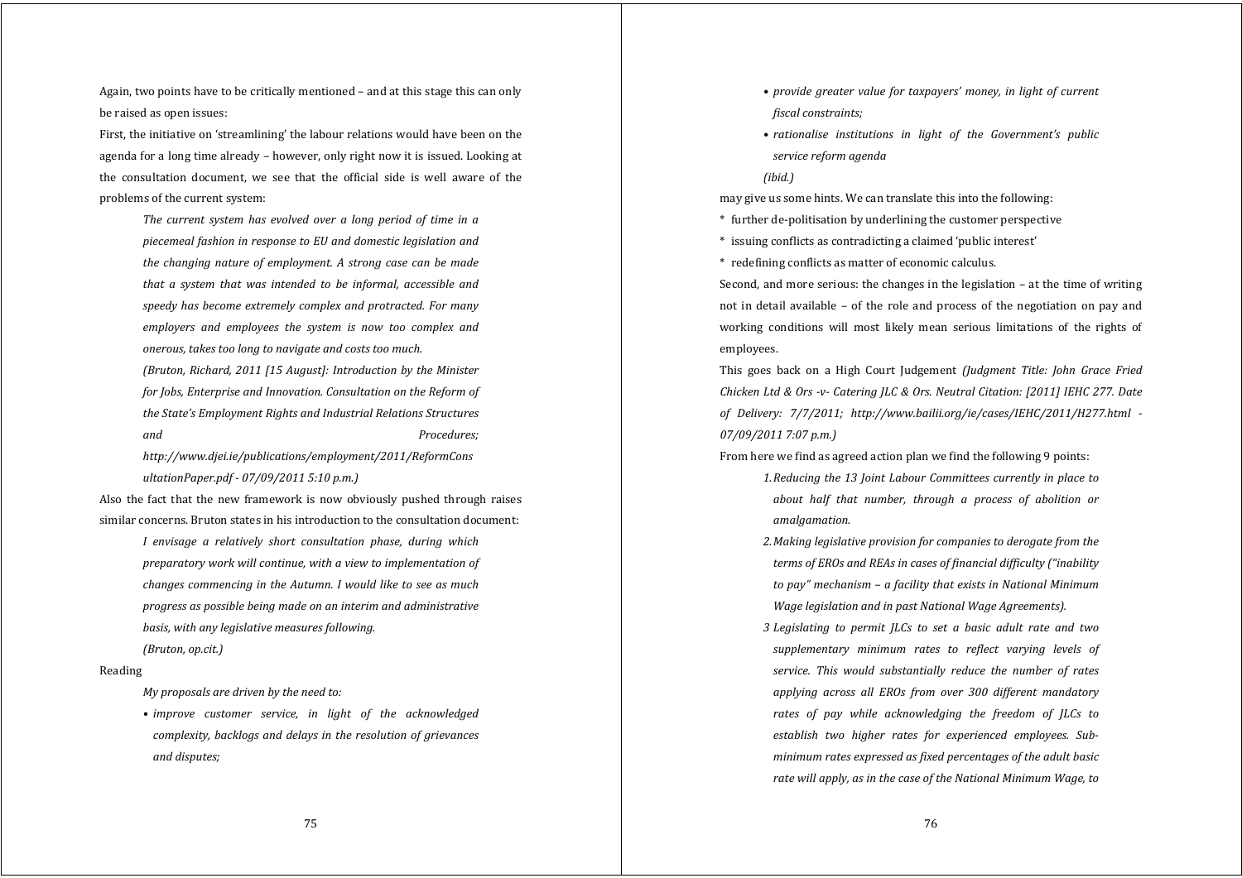Again, two points have to be critically mentioned – and at this stage this can only be raised as open issues:

First, the initiative on 'streamlining' the labour relations would have been on the agenda for a long time already – however, only right now it is issued. Looking at the consultation document, we see that the official side is well aware of the problems of the current system:

> *The current system has evolved over <sup>a</sup> long period of time in <sup>a</sup> piecemeal fashion in response to EU and domestic legislation and the changing nature of employment. A strong case can be made that <sup>a</sup> system that was intended to be informal, accessible and speedy has become extremely complex and protracted. For many employers and employees the system is now too complex and onerous, takes too long to navigate and costs too much.*

> *(Bruton, Richard, 2011 [15 August]: Introduction by the Minister for Jobs, Enterprise and Innovation. Consultation on the Reform of the State's Employment Rights and Industrial Relations Structures and Procedures;*

*http://www.djei.ie/publications/employment/2011/ReformCons ultationPaper.pdf 07/09/2011 5:10 p.m.)*

Also the fact that the new framework is now obviously pushed through raises similar concerns. Bruton states in his introduction to the consultation document:

*I envisage <sup>a</sup> relatively short consultation phase, during which preparatory work will continue, with <sup>a</sup> view to implementation of changes commencing in the Autumn. I would like to see as much progress as possible being made on an interim and administrative basis, with any legislative measures following. (Bruton, op.cit.)*

#### Reading

*My proposals are driven by the need to:*

*• improve customer service, in light of the acknowledged complexity, backlogs and delays in the resolution of grievances and disputes;*

- *• provide greater value for taxpayers' money, in light of current fiscal constraints;*
- *• rationalise institutions in light of the Government's public service reform agenda*
- *(ibid.)*

may give us some hints. We can translate this into the following:

- \* further de‐politisation by underlining the customer perspective
- \* issuing conflicts as contradicting a claimed 'public interest'
- \* redefining conflicts as matter of economic calculus.

Second, and more serious: the changes in the legislation – at the time of writing not in detail available – of the role and process of the negotiation on pay and working conditions will most likely mean serious limitations of the rights of employees.

This goes back on <sup>a</sup> High Court Judgement *(Judgment Title: John Grace Fried Chicken Ltd & Ors v Catering JLC & Ors. Neutral Citation: [2011] IEHC 277. Date of Delivery: 7/7/2011; http://www.bailii.org/ie/cases/IEHC/2011/H277.html 07/09/2011 7:07 p.m.)*

From here we find as agreed action plan we find the following 9 points:

- *1.Reducing the 13 Joint Labour Committees currently in place to about half that number, through <sup>a</sup> process of abolition or amalgamation.*
- *2.Making legislative provision for companies to derogate from the terms of EROs and REAs in cases of financial difficulty ("inability to pay" mechanism – <sup>a</sup> facility that exists in National Minimum Wage legislation and in past National Wage Agreements).*
- *3 Legislating to permit JLCs to set <sup>a</sup> basic adult rate and two supplementary minimum rates to reflect varying levels of service. This would substantially reduce the number of rates applying across all EROs from over 300 different mandatory rates of pay while acknowledging the freedom of JLCs to establish two higher rates for experienced employees. Subminimum rates expressed as fixed percentages of the adult basic rate will apply, as in the case of the National Minimum Wage, to*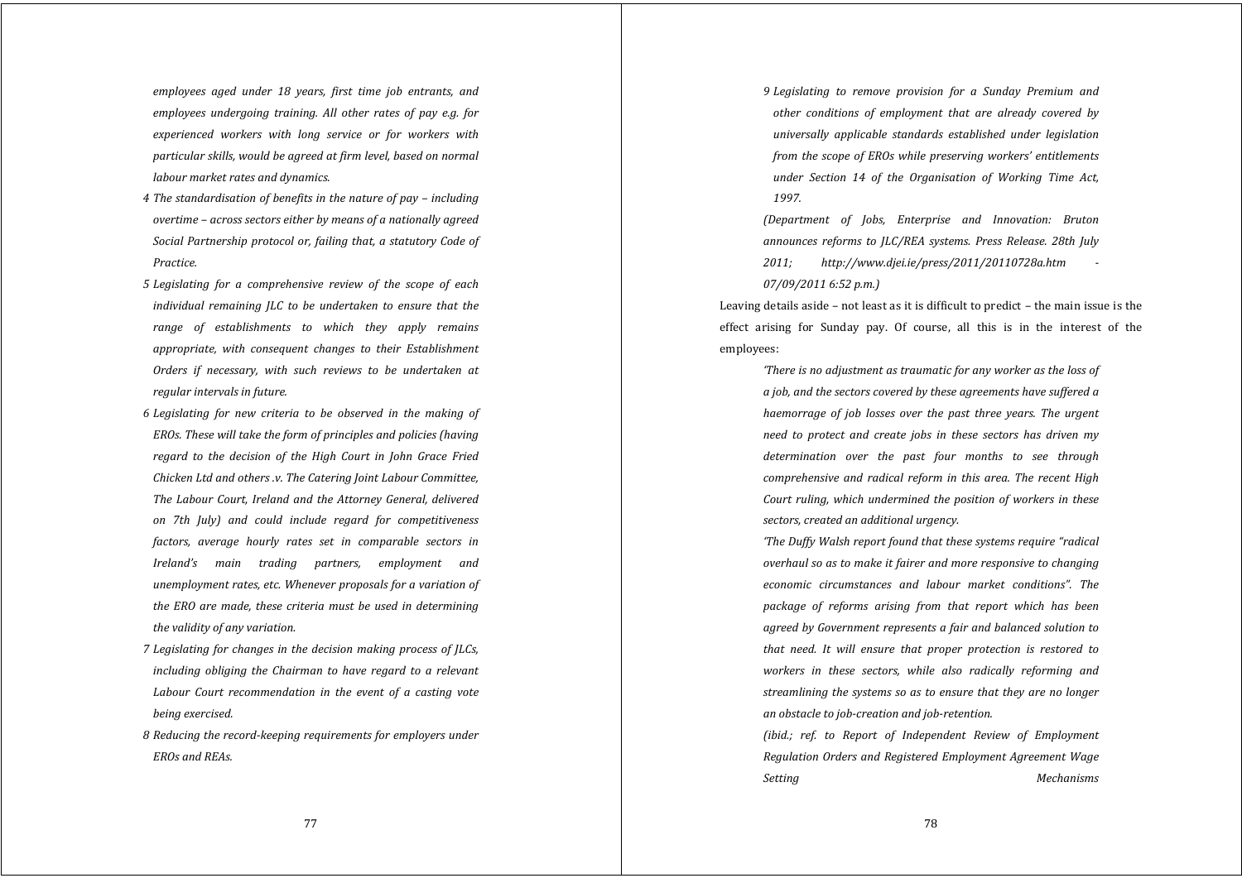*employees aged under 18 years, first time job entrants, and employees undergoing training. All other rates of pay e.g. for experienced workers with long service or for workers with particular skills, would be agreed at firm level, based on normal labour market rates and dynamics.*

- *4 The standardisation of benefits in the nature of pay – including overtime – across sectors either by means of <sup>a</sup> nationally agreed Social Partnership protocol or, failing that, <sup>a</sup> statutory Code of Practice.*
- *5 Legislating for <sup>a</sup> comprehensive review of the scope of each individual remaining JLC to be undertaken to ensure that the range of establishments to which they apply remains appropriate, with consequent changes to their Establishment Orders if necessary, with such reviews to be undertaken at regular intervals in future.*
- *6 Legislating for new criteria to be observed in the making of EROs. These will take the form of principles and policies (having regard to the decision of the High Court in John Grace Fried Chicken Ltd and others .v. The Catering Joint Labour Committee, The Labour Court, Ireland and the Attorney General, delivered on 7th July) and could include regard for competitiveness factors, average hourly rates set in comparable sectors in Ireland's main trading partners, employment and unemployment rates, etc. Whenever proposals for <sup>a</sup> variation of the ERO are made, these criteria must be used in determining the validity of any variation.*
- *7 Legislating for changes in the decision making process of JLCs, including obliging the Chairman to have regard to <sup>a</sup> relevant Labour Court recommendation in the event of <sup>a</sup> casting vote being exercised.*
- *8 Reducing the recordkeeping requirements for employers under EROs and REAs.*

*9 Legislating to remove provision for <sup>a</sup> Sunday Premium and other conditions of employment that are already covered by universally applicable standards established under legislation from the scope of EROs while preserving workers' entitlements under Section 14 of the Organisation of Working Time Act, 1997.*

*(Department of Jobs, Enterprise and Innovation: Bruton announces reforms to JLC/REA systems. Press Release. 28th July 2011; http://www.djei.ie/press/2011/20110728a.htm 07/09/2011 6:52 p.m.)*

Leaving details aside – not least as it is difficult to predict – the main issue is the effect arising for Sunday pay. Of course, all this is in the interest of the employees:

> *'There is no adjustment as traumatic for any worker as the loss of <sup>a</sup> job, and the sectors covered by these agreements have suffered <sup>a</sup> haemorrage of job losses over the past three years. The urgen<sup>t</sup> need to protect and create jobs in these sectors has driven my determination over the past four months to see through comprehensive and radical reform in this area. The recent High Court ruling, which undermined the position of workers in these sectors, created an additional urgency.*

> *'The Duffy Walsh report found that these systems require "radical overhaul so as to make it fairer and more responsive to changing economic circumstances and labour market conditions". The package of reforms arising from that report which has been agreed by Government represents <sup>a</sup> fair and balanced solution to that need. It will ensure that proper protection is restored to workers in these sectors, while also radically reforming and streamlining the systems so as to ensure that they are no longer an obstacle to jobcreation and jobretention.*

> *(ibid.; ref. to Report of Independent Review of Employment Regulation Orders and Registered Employment Agreement Wage Setting Mechanisms*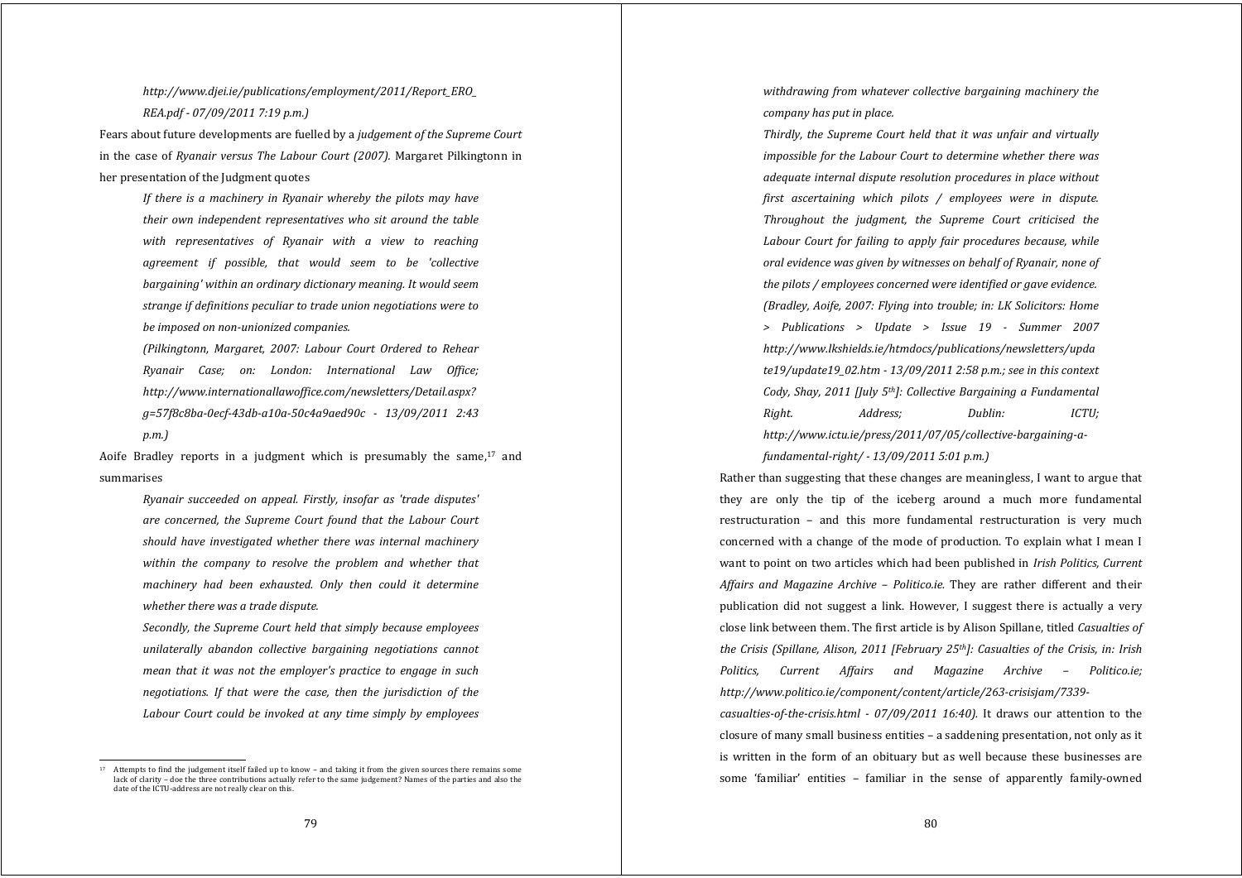*http://www.djei.ie/publications/employment/2011/Report\_ERO\_ REA.pdf 07/09/2011 7:19 p.m.)*

Fears about future developments are fuelled by a *judgement of the Supreme Court* in the case of *Ryanair versus The Labour Court (2007).* Margaret Pilkingtonn in her presentation of the Judgment quotes

> *If there is <sup>a</sup> machinery in Ryanair whereby the pilots may have their own independent representatives who sit around the table with representatives of Ryanair with <sup>a</sup> view to reaching agreemen<sup>t</sup> if possible, that would seem to be 'collective bargaining' within an ordinary dictionary meaning. It would seem strange if definitions peculiar to trade union negotiations were to be imposed on nonunionized companies.*

> *(Pilkingtonn, Margaret, 2007: Labour Court Ordered to Rehear Ryanair Case; on: London: International Law Office; http://www.internationallawoffice.com/newsletters/Detail.aspx? g=57f8c8ba0ecf43dba10a50c4a9aed90c 13/09/2011 2:43 p.m.)*

Aoife Bradley reports in <sup>a</sup> judgment which is presumably the same,17 and summarises

*Ryanair succeeded on appeal. Firstly, insofar as 'trade disputes' are concerned, the Supreme Court found that the Labour Court should have investigated whether there was internal machinery within the company to resolve the problem and whether that machinery had been exhausted. Only then could it determine whether there was <sup>a</sup> trade dispute.*

*Secondly, the Supreme Court held that simply because employees unilaterally abandon collective bargaining negotiations cannot mean that it was not the employer's practice to engage in such negotiations. If that were the case, then the jurisdiction of the Labour Court could be invoked at any time simply by employees* *withdrawing from whatever collective bargaining machinery the company has put in place.*

*Thirdly, the Supreme Court held that it was unfair and virtually impossible for the Labour Court to determine whether there was adequate internal dispute resolution procedures in place without first ascertaining which pilots / employees were in dispute. Throughout the judgment, the Supreme Court criticised the Labour Court for failing to apply fair procedures because, while oral evidence was given by witnesses on behalf of Ryanair, none of the pilots / employees concerned were identified or gave evidence. (Bradley, Aoife, 2007: Flying into trouble; in: LK Solicitors: Home > Publications <sup>&</sup>gt; Update <sup>&</sup>gt; Issue 19 Summer 2007 http://www.lkshields.ie/htmdocs/publications/newsletters/upda te19/update19\_02.htm 13/09/2011 2:58 p.m.; see in this context Cody, Shay, 2011 [July 5th]: Collective Bargaining <sup>a</sup> Fundamental Right. Address; Dublin: ICTU; http://www.ictu.ie/press/2011/07/05/collectivebargainingafundamentalright/ 13/09/2011 5:01 p.m.)*

Rather than suggesting that these changes are meaningless, I want to argue that they are only the tip of the iceberg around <sup>a</sup> much more fundamental restructuration – and this more fundamental restructuration is very much concerned with <sup>a</sup> change of the mode of production. To explain what I mean I want to point on two articles which had been published in *Irish Politics, Current Affairs and Magazine Archive – Politico.ie.* They are rather different and their publication did not sugges<sup>t</sup> <sup>a</sup> link. However, I sugges<sup>t</sup> there is actually <sup>a</sup> very close link between them. The first article is by Alison Spillane, titled *Casualties of the Crisis (Spillane, Alison, 2011 [February 25th]: Casualties of the Crisis, in: Irish Politics, Current Affairs and Magazine Archive – Politico.ie; http://www.politico.ie/component/content/article/263crisisjam/7339*

*casualtiesofthecrisis.html 07/09/2011 16:40).* It draws our attention to the closure of many small business entities – a saddening presentation, not only as it is written in the form of an obituary but as well because these businesses are some 'familiar' entities - familiar in the sense of apparently family-owned

Attempts to find the judgement itself failed up to know – and taking it from the given sources there remains some lack of clarity – doe the three contributions actually refer to the same judgement? Names of the parties and also the date of the ICTU‐address are not really clear on this.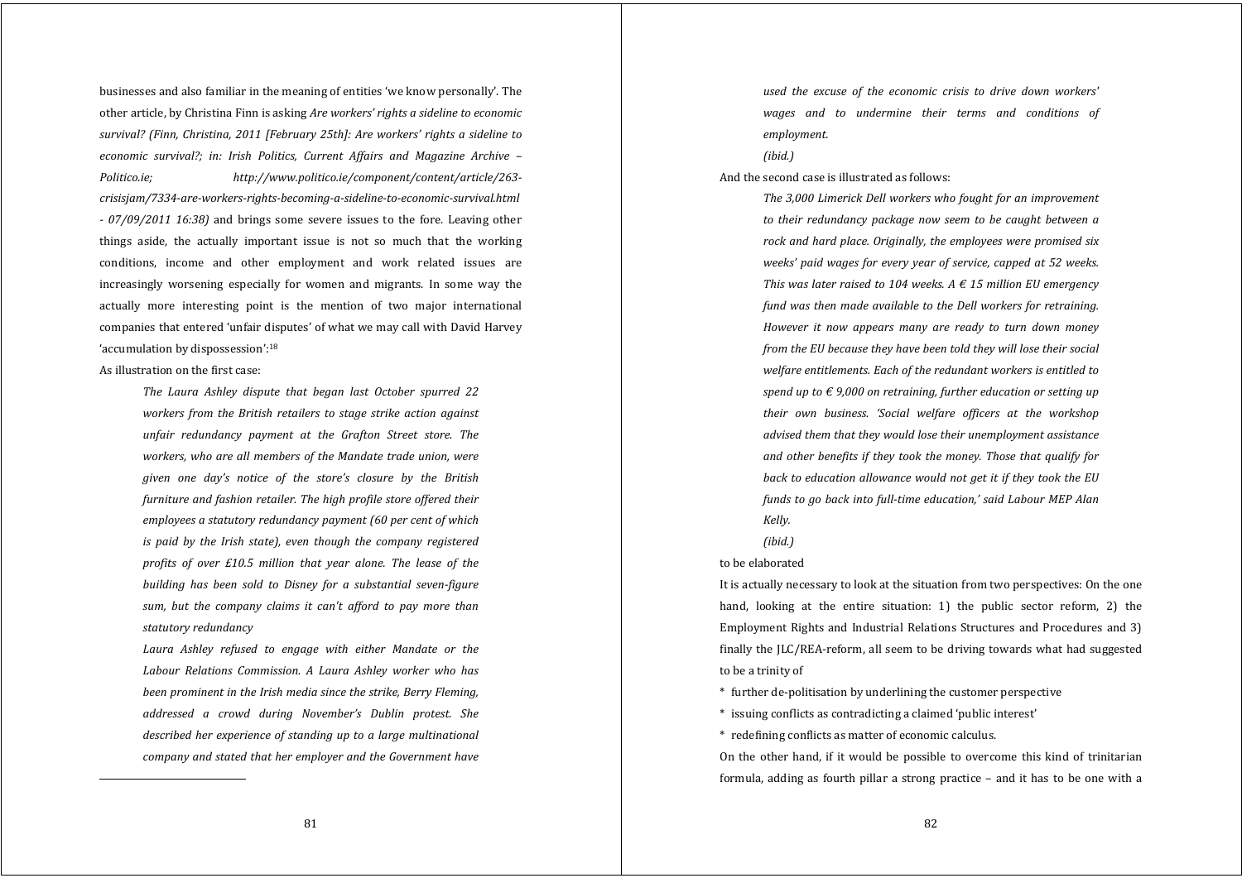businesses and also familiar in the meaning of entities 'we know personally'. The other article, by Christina Finn is asking *Are workers' rights <sup>a</sup> sideline to economic survival? (Finn, Christina, 2011 [February 25th]: Are workers' rights <sup>a</sup> sideline to economic survival?; in: Irish Politics, Current Affairs and Magazine Archive – Politico.ie; http://www.politico.ie/component/content/article/263 crisisjam/7334areworkersrightsbecomingasidelinetoeconomicsurvival.html 07/09/2011 16:38)* and brings some severe issues to the fore. Leaving other things aside, the actually important issue is not so much that the working conditions, income and other employment and work related issues are increasingly worsening especially for women and migrants. In some way the actually more interesting point is the mention of two major international companies that entered 'unfair disputes' of what we may call with David Harvey 'accumulation by dispossession':18

# As illustration on the first case:

*The Laura Ashley dispute that began last October spurred 22 workers from the British retailers to stage strike action against unfair redundancy payment at the Grafton Street store. The workers, who are all members of the Mandate trade union, were given one day's notice of the store's closure by the British furniture and fashion retailer. The high profile store offered their employees <sup>a</sup> statutory redundancy payment (60 per cent of which is paid by the Irish state), even though the company registered profits of over £10.5 million that year alone. The lease of the building has been sold to Disney for <sup>a</sup> substantial sevenfigure sum, but the company claims it can't afford to pay more than statutory redundancy*

*Laura Ashley refused to engage with either Mandate or the Labour Relations Commission. A Laura Ashley worker who has been prominent in the Irish media since the strike, Berry Fleming, addressed <sup>a</sup> crowd during November's Dublin protest. She described her experience of standing up to <sup>a</sup> large multinational company and stated that her employer and the Government have* *used the excuse of the economic crisis to drive down workers' wages and to undermine their terms and conditions of employment.*

# *(ibid.)*

And the second case is illustrated as follows:

*The 3,000 Limerick Dell workers who fought for an improvement to their redundancy package now seem to be caught between <sup>a</sup> rock and hard place. Originally, the employees were promised six weeks' paid wages for every year of service, capped at 52 weeks. This was later raised to 104 weeks. A € 15 million EU emergency fund was then made available to the Dell workers for retraining. However it now appears many are ready to turn down money from the EU because they have been told they will lose their social welfare entitlements. Each of the redundant workers is entitled to spend up to € 9,000 on retraining, further education or setting up their own business. 'Social welfare officers at the workshop advised them that they would lose their unemployment assistance and other benefits if they took the money. Those that qualify for back to education allowance would not ge<sup>t</sup> it if they took the EU funds to go back into fulltime education,' said Labour MEP Alan Kelly.*

*(ibid.)*

## to be elaborated

It is actually necessary to look at the situation from two perspectives: On the one hand, looking at the entire situation: 1) the public sector reform, 2) the Employment Rights and Industrial Relations Structures and Procedures and 3) finally the JLC/REA‐reform, all seem to be driving towards what had suggested to be a trinity of

- \* further de‐politisation by underlining the customer perspective
- \* issuing conflicts as contradicting a claimed 'public interest'

\* redefining conflicts as matter of economic calculus.

On the other hand, if it would be possible to overcome this kind of trinitarian formula, adding as fourth pillar a strong practice  $-$  and it has to be one with a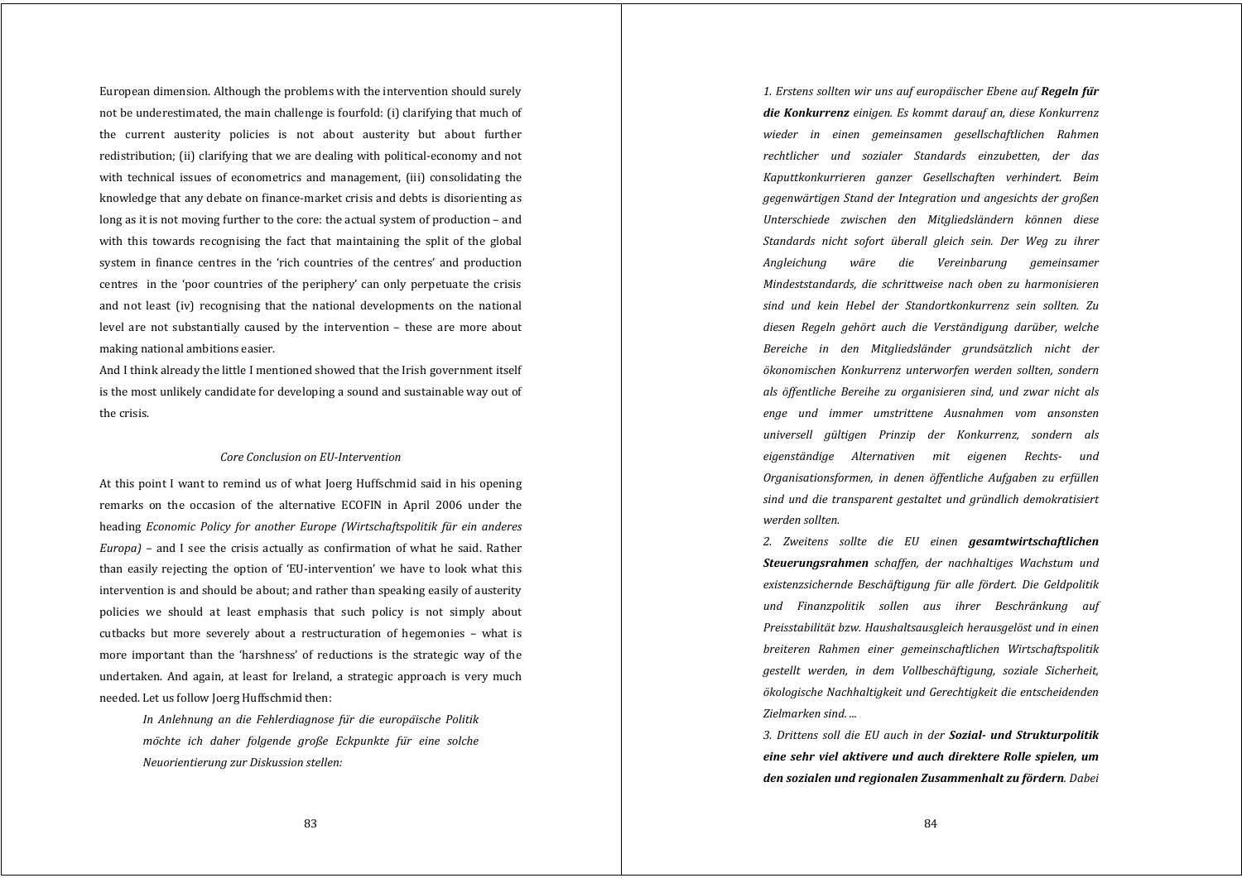European dimension. Although the problems with the intervention should surely not be underestimated, the main challenge is fourfold: (i) clarifying that much of the current austerity policies is not about austerity but about further redistribution; (ii) clarifying that we are dealing with political-economy and not with technical issues of econometrics and management, (iii) consolidating the knowledge that any debate on finance-market crisis and debts is disorienting as long as it is not moving further to the core: the actual system of production – and with this towards recognising the fact that maintaining the split of the global system in finance centres in the 'rich countries of the centres' and production centres in the 'poor countries of the periphery' can only perpetuate the crisis and not least (iv) recognising that the national developments on the national level are not substantially caused by the intervention – these are more about making national ambitions easier.

And I think already the little I mentioned showed that the Irish government itself is the most unlikely candidate for developing a sound and sustainable way out of the crisis.

# *Core Conclusion on EUIntervention*

At this point I want to remind us of what Joerg Huffschmid said in his opening remarks on the occasion of the alternative ECOFIN in April 2006 under the heading *Economic Policy for another Europe (Wirtschaftspolitik für ein anderes Europa*) – and I see the crisis actually as confirmation of what he said. Rather than easily rejecting the option of 'EU‐intervention' we have to look what this intervention is and should be about; and rather than speaking easily of austerity policies we should at least emphasis that such policy is not simply about cutbacks but more severely about <sup>a</sup> restructuration of hegemonies – what is more important than the 'harshness' of reductions is the strategic way of the undertaken. And again, at least for Ireland, a strategic approach is very much needed. Let us follow Joerg Huffschmid then:

> *In Anlehnung an die Fehlerdiagnose fü<sup>r</sup> die europäische Politik mo ̈chte ich daher folgende große Eckpunkte fü<sup>r</sup> eine solche Neuorientierung zur Diskussion stellen:*

*1. Erstens sollten wir uns auf europäischer Ebene auf Regeln fü<sup>r</sup> die Konkurrenz einigen. Es kommt darauf an, diese Konkurrenz wieder in einen gemeinsamen gesellschaftlichen Rahmen rechtlicher und sozialer Standards einzubetten, der das Kaputtkonkurrieren ganzer Gesellschaften verhindert. Beim gegenwärtigen Stand der Integration und angesichts der großen Unterschiede zwischen den Mitgliedsländern können diese Standards nicht sofort überall gleich sein. Der Weg zu ihrer Angleichung wäre die Vereinbarung gemeinsamer Mindeststandards, die schrittweise nach oben zu harmonisieren sind und kein Hebel der Standortkonkurrenz sein sollten. Zu diesen Regeln gehört auch die Verständigung darüber, welche Bereiche in den Mitgliedsländer grundsätzlich nicht der ökonomischen Konkurrenz unterworfen werden sollten, sondern als öffentliche Bereihe zu organisieren sind, und zwar nicht als enge und immer umstrittene Ausnahmen vom ansonsten universell gültigen Prinzip der Konkurrenz, sondern als eigenständige Alternativen mit eigenen Rechts und Organisationsformen, in denen öffentliche Aufgaben zu erfüllen sind und die transparent gestaltet und gründlich demokratisiert werden sollten.*

*2. Zweitens sollte die EU einen gesamtwirtschaftlichen Steuerungsrahmen schaffen, der nachhaltiges Wachstum und existenzsichernde Beschäftigung für alle fördert. Die Geldpolitik und Finanzpolitik sollen aus ihrer Beschränkung auf Preisstabilität bzw. Haushaltsausgleich herausgelöst und in einen breiteren Rahmen einer gemeinschaftlichen Wirtschaftspolitik gestellt werden, in dem Vollbeschäftigung, soziale Sicherheit, ökologische Nachhaltigkeit und Gerechtigkeit die entscheidenden Zielmarken sind. ...*

*3. Drittens soll die EU auch in der Sozial und Strukturpolitik eine sehr viel aktivere und auch direktere Rolle spielen, um den sozialen und regionalen Zusammenhalt zu fördern. Dabei*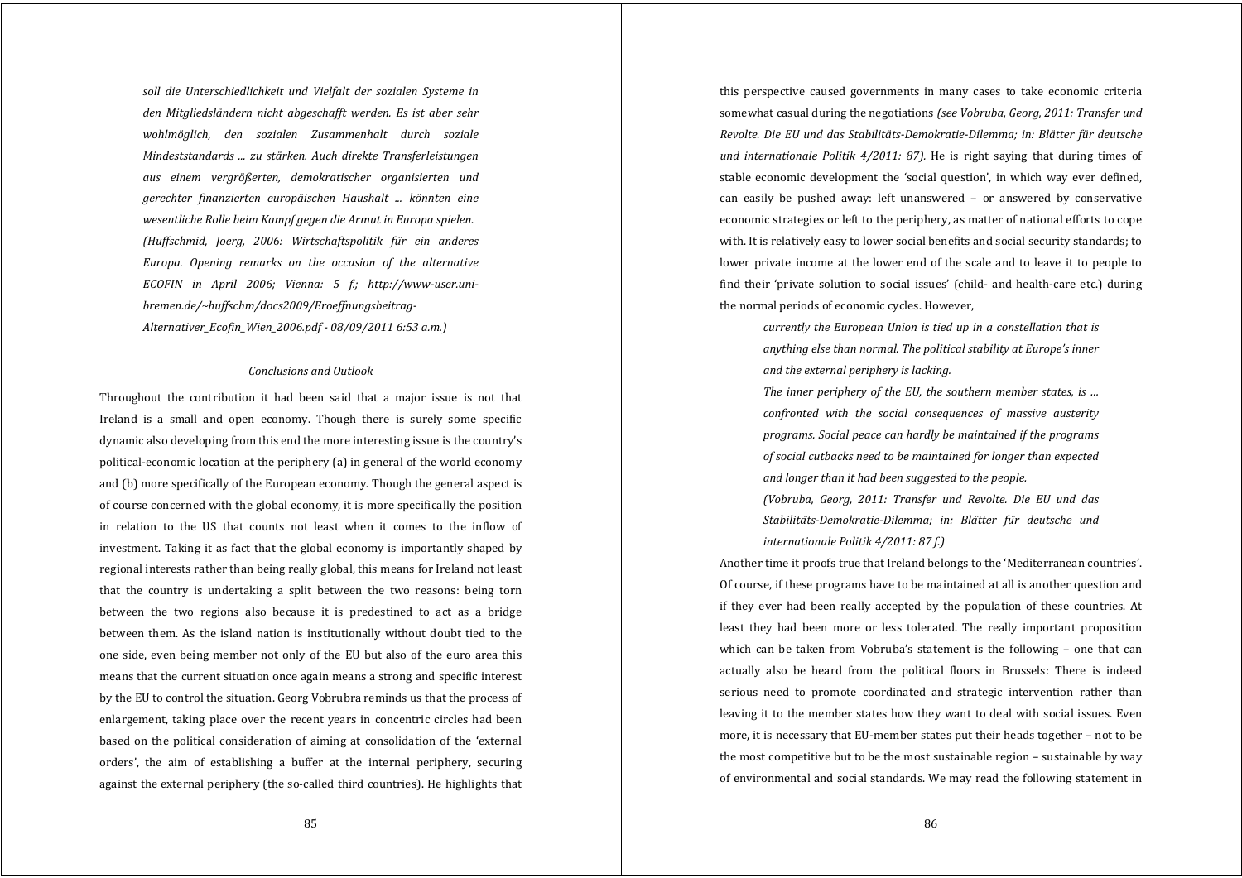*soll die Unterschiedlichkeit und Vielfalt der sozialen Systeme in den Mitgliedsländern nicht abgeschafft werden. Es ist aber sehr wohlmöglich, den sozialen Zusammenhalt durch soziale Mindeststandards ... zu stärken. Auch direkte Transferleistungen aus einem vergrößerten, demokratischer organisierten und gerechter finanzierten europäischen Haushalt ... könnten eine wesentliche Rolle beim Kampf gegen die Armut in Europa spielen. (Huffschmid, Joerg, 2006: Wirtschaftspolitik fü<sup>r</sup> ein anderes Europa. Opening remarks on the occasion of the alternative ECOFIN in April 2006; Vienna: 5 f.; http://wwwuser.unibremen.de/~huffschm/docs2009/Eroeffnungsbeitrag-Alternativer\_Ecofin\_Wien\_2006.pdf 08/09/2011 6:53 a.m.)*

# *Conclusions and Outlook*

Throughout the contribution it had been said that a major issue is not that Ireland is <sup>a</sup> small and open economy. Though there is surely some specific dynamic also developing from this end the more interesting issue is the country's political‐economic location at the periphery (a) in general of the world economy and (b) more specifically of the European economy. Though the general aspect is of course concerned with the global economy, it is more specifically the position in relation to the US that counts not least when it comes to the inflow of investment. Taking it as fact that the global economy is importantly shaped by regional interests rather than being really global, this means for Ireland not least that the country is undertaking <sup>a</sup> split between the two reasons: being torn between the two regions also because it is predestined to act as <sup>a</sup> bridge between them. As the island nation is institutionally without doubt tied to the one side, even being member not only of the EU but also of the euro area this means that the current situation once again means a strong and specific interest by the EU to control the situation. Georg Vobrubra reminds us that the process of enlargement, taking place over the recent years in concentric circles had been based on the political consideration of aiming at consolidation of the 'external orders', the aim of establishing <sup>a</sup> buffer at the internal periphery, securing against the external periphery (the so-called third countries). He highlights that

this perspective caused governments in many cases to take economic criteria somewhat casual during the negotiations *(see Vobruba, Georg, 2011: Transfer und Revolte. Die EU und das StabilitätsDemokratieDilemma; in: Blätter für deutsche und internationale Politik 4/2011: 87).* He is right saying that during times of stable economic development the 'social question', in which way ever defined, can easily be pushed away: left unanswered – or answered by conservative economic strategies or left to the periphery, as matter of national efforts to cope with. It is relatively easy to lower social benefits and social security standards; to lower private income at the lower end of the scale and to leave it to people to find their 'private solution to social issues' (child- and health-care etc.) during the normal periods of economic cycles. However,

> *currently the European Union is tied up in <sup>a</sup> constellation that is anything else than normal. The political stability at Europe's inner and the external periphery is lacking.*

> *The inner periphery of the EU, the southern member states, is … confronted with the social consequences of massive austerity programs. Social peace can hardly be maintained if the programs of social cutbacks need to be maintained for longer than expected and longer than it had been suggested to the people.*

> *(Vobruba, Georg, 2011: Transfer und Revolte. Die EU und das StabilitätsDemokratieDilemma; in: Blätter fü<sup>r</sup> deutsche und internationale Politik 4/2011: 87 f.)*

Another time it proofs true that Ireland belongs to the 'Mediterranean countries'. Of course, if these programs have to be maintained at all is another question and if they ever had been really accepted by the population of these countries. At least they had been more or less tolerated. The really important proposition which can be taken from Vobruba's statement is the following - one that can actually also be heard from the political floors in Brussels: There is indeed serious need to promote coordinated and strategic intervention rather than leaving it to the member states how they want to deal with social issues. Even more, it is necessary that EU‐member states put their heads together – not to be the most competitive but to be the most sustainable region – sustainable by way of environmental and social standards. We may read the following statement in